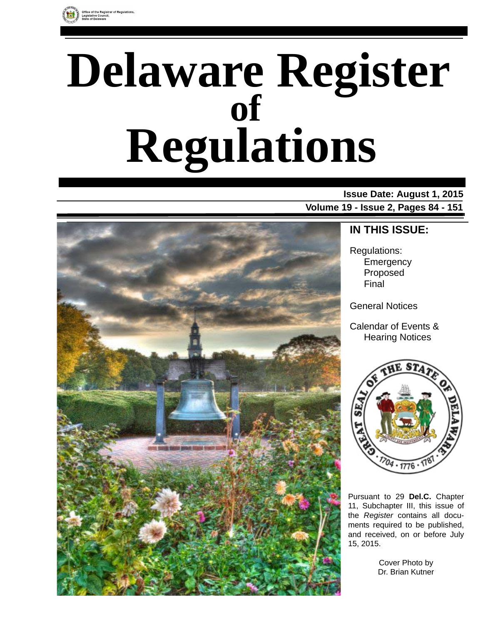

# **Delaware Register Regulations of**

### **Issue Date: August 1, 2015 Volume 19 - Issue 2, Pages 84 - 151**



### **IN THIS ISSUE:**

Regulations: **Emergency** Proposed Final

General Notices

Calendar of Events & Hearing Notices



Pursuant to 29 **Del.C.** Chapter 11, Subchapter III, this issue of the *Register* contains all documents required to be published, and received, on or before July 15, 2015.

> Cover Photo by Dr. Brian Kutner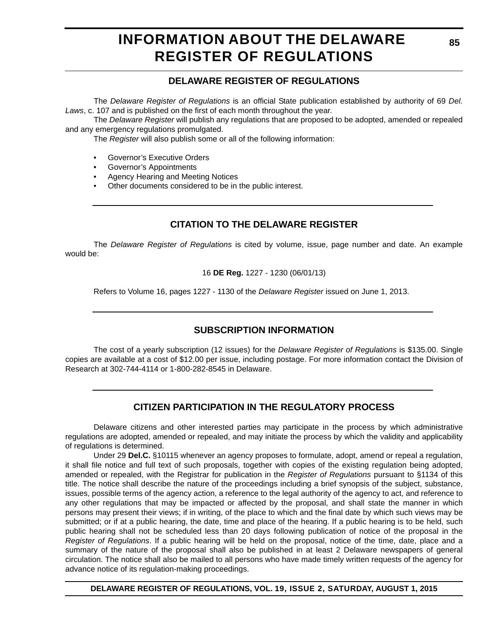# **INFORMATION ABOUT THE DELAWARE REGISTER OF REGULATIONS**

### **DELAWARE REGISTER OF REGULATIONS**

The *Delaware Register of Regulations* is an official State publication established by authority of 69 *Del. Laws*, c. 107 and is published on the first of each month throughout the year.

The *Delaware Register* will publish any regulations that are proposed to be adopted, amended or repealed and any emergency regulations promulgated.

The *Register* will also publish some or all of the following information:

- Governor's Executive Orders
- Governor's Appointments
- Agency Hearing and Meeting Notices
- Other documents considered to be in the public interest.

### **CITATION TO THE DELAWARE REGISTER**

The *Delaware Register of Regulations* is cited by volume, issue, page number and date. An example would be:

16 **DE Reg.** 1227 - 1230 (06/01/13)

Refers to Volume 16, pages 1227 - 1130 of the *Delaware Register* issued on June 1, 2013.

### **SUBSCRIPTION INFORMATION**

The cost of a yearly subscription (12 issues) for the *Delaware Register of Regulations* is \$135.00. Single copies are available at a cost of \$12.00 per issue, including postage. For more information contact the Division of Research at 302-744-4114 or 1-800-282-8545 in Delaware.

### **CITIZEN PARTICIPATION IN THE REGULATORY PROCESS**

Delaware citizens and other interested parties may participate in the process by which administrative regulations are adopted, amended or repealed, and may initiate the process by which the validity and applicability of regulations is determined.

Under 29 **Del.C.** §10115 whenever an agency proposes to formulate, adopt, amend or repeal a regulation, it shall file notice and full text of such proposals, together with copies of the existing regulation being adopted, amended or repealed, with the Registrar for publication in the *Register of Regulations* pursuant to §1134 of this title. The notice shall describe the nature of the proceedings including a brief synopsis of the subject, substance, issues, possible terms of the agency action, a reference to the legal authority of the agency to act, and reference to any other regulations that may be impacted or affected by the proposal, and shall state the manner in which persons may present their views; if in writing, of the place to which and the final date by which such views may be submitted; or if at a public hearing, the date, time and place of the hearing. If a public hearing is to be held, such public hearing shall not be scheduled less than 20 days following publication of notice of the proposal in the *Register of Regulations*. If a public hearing will be held on the proposal, notice of the time, date, place and a summary of the nature of the proposal shall also be published in at least 2 Delaware newspapers of general circulation. The notice shall also be mailed to all persons who have made timely written requests of the agency for advance notice of its regulation-making proceedings.

**DELAWARE REGISTER OF REGULATIONS, VOL. 19, ISSUE 2, SATURDAY, AUGUST 1, 2015**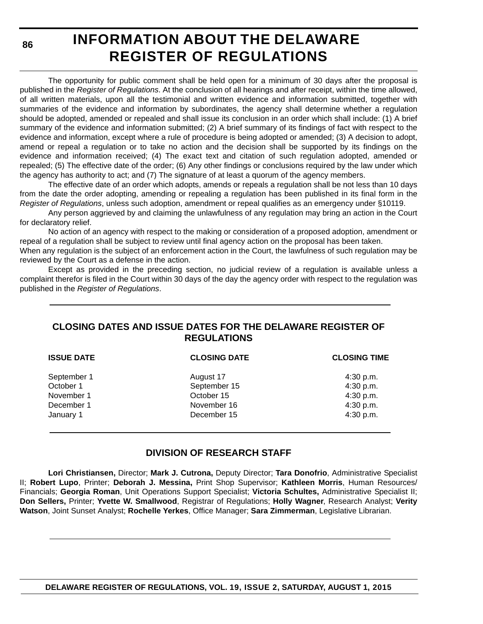**86**

# **INFORMATION ABOUT THE DELAWARE REGISTER OF REGULATIONS**

The opportunity for public comment shall be held open for a minimum of 30 days after the proposal is published in the *Register of Regulations*. At the conclusion of all hearings and after receipt, within the time allowed, of all written materials, upon all the testimonial and written evidence and information submitted, together with summaries of the evidence and information by subordinates, the agency shall determine whether a regulation should be adopted, amended or repealed and shall issue its conclusion in an order which shall include: (1) A brief summary of the evidence and information submitted; (2) A brief summary of its findings of fact with respect to the evidence and information, except where a rule of procedure is being adopted or amended; (3) A decision to adopt, amend or repeal a regulation or to take no action and the decision shall be supported by its findings on the evidence and information received; (4) The exact text and citation of such regulation adopted, amended or repealed; (5) The effective date of the order; (6) Any other findings or conclusions required by the law under which the agency has authority to act; and (7) The signature of at least a quorum of the agency members.

The effective date of an order which adopts, amends or repeals a regulation shall be not less than 10 days from the date the order adopting, amending or repealing a regulation has been published in its final form in the *Register of Regulations*, unless such adoption, amendment or repeal qualifies as an emergency under §10119.

Any person aggrieved by and claiming the unlawfulness of any regulation may bring an action in the Court for declaratory relief.

No action of an agency with respect to the making or consideration of a proposed adoption, amendment or repeal of a regulation shall be subject to review until final agency action on the proposal has been taken.

When any regulation is the subject of an enforcement action in the Court, the lawfulness of such regulation may be reviewed by the Court as a defense in the action.

Except as provided in the preceding section, no judicial review of a regulation is available unless a complaint therefor is filed in the Court within 30 days of the day the agency order with respect to the regulation was published in the *Register of Regulations*.

### **CLOSING DATES AND ISSUE DATES FOR THE DELAWARE REGISTER OF REGULATIONS**

| <b>ISSUE DATE</b> | <b>CLOSING DATE</b> | <b>CLOSING TIME</b> |
|-------------------|---------------------|---------------------|
| September 1       | August 17           | 4:30 p.m.           |
| October 1         | September 15        | 4:30 p.m.           |
| November 1        | October 15          | 4:30 p.m.           |
| December 1        | November 16         | 4:30 p.m.           |
| January 1         | December 15         | 4:30 p.m.           |

### **DIVISION OF RESEARCH STAFF**

**Lori Christiansen,** Director; **Mark J. Cutrona,** Deputy Director; **Tara Donofrio**, Administrative Specialist II; **Robert Lupo**, Printer; **Deborah J. Messina,** Print Shop Supervisor; **Kathleen Morris**, Human Resources/ Financials; **Georgia Roman**, Unit Operations Support Specialist; **Victoria Schultes,** Administrative Specialist II; **Don Sellers,** Printer; **Yvette W. Smallwood**, Registrar of Regulations; **Holly Wagner**, Research Analyst; **Verity Watson**, Joint Sunset Analyst; **Rochelle Yerkes**, Office Manager; **Sara Zimmerman**, Legislative Librarian.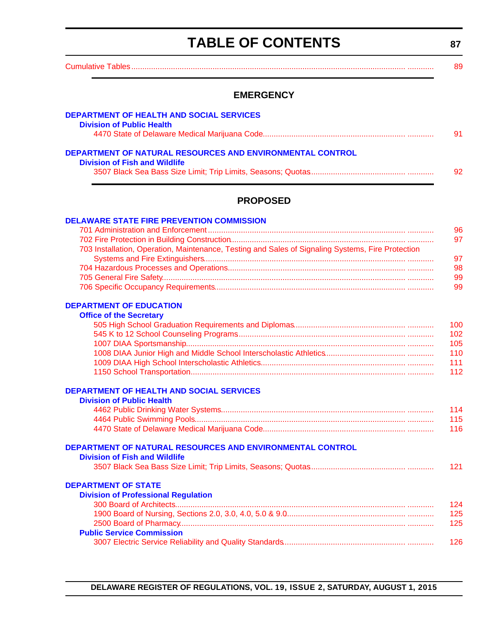# **TABLE OF CONTENTS**

**87**

<span id="page-3-0"></span>

| <b>EMERGENCY</b>                                                                                  |    |
|---------------------------------------------------------------------------------------------------|----|
| <b>DEPARTMENT OF HEALTH AND SOCIAL SERVICES</b><br><b>Division of Public Health</b>               |    |
|                                                                                                   | 91 |
| DEPARTMENT OF NATURAL RESOURCES AND ENVIRONMENTAL CONTROL<br><b>Division of Fish and Wildlife</b> |    |
|                                                                                                   | 92 |
| <b>PROPOSED</b>                                                                                   |    |
| <b>DELAWARE STATE FIRE PREVENTION COMMISSION</b>                                                  | 96 |

| 703 Installation, Operation, Maintenance, Testing and Sales of Signaling Systems, Fire Protection |     |
|---------------------------------------------------------------------------------------------------|-----|
|                                                                                                   | 97  |
|                                                                                                   | 98. |
|                                                                                                   | 99. |
|                                                                                                   | 99. |
|                                                                                                   |     |

### **[DEPARTMENT OF EDUCATION](http://www.doe.k12.de.us/site/default.aspx?PageID=1)**

| <b>Office of the Secretary</b> |     |
|--------------------------------|-----|
|                                | 100 |
|                                | 102 |
|                                | 105 |
|                                | 110 |
|                                | 111 |
|                                | 112 |

### **[DEPARTMENT OF HEALTH AND SOCIAL SERVICES](http://dhss.delaware.gov/dhss/dph/index.html)**

| <b>Division of Public Health</b> |     |
|----------------------------------|-----|
|                                  | 114 |
|                                  | 115 |
|                                  | 116 |

### **[DEPARTMENT OF NATURAL RESOURCES AND ENVIRONMENTAL CONTROL](http://www.dnrec.delaware.gov/fw/Pages/FWPortal.aspx)**

| <b>Division of Fish and Wildlife</b> |     |
|--------------------------------------|-----|
|                                      | 121 |

### **DEPARTMENT OF STATE**

| <b>Division of Professional Regulation</b> |      |
|--------------------------------------------|------|
|                                            | 124  |
|                                            | 125  |
|                                            | 125  |
| <b>Public Service Commission</b>           |      |
|                                            | 126. |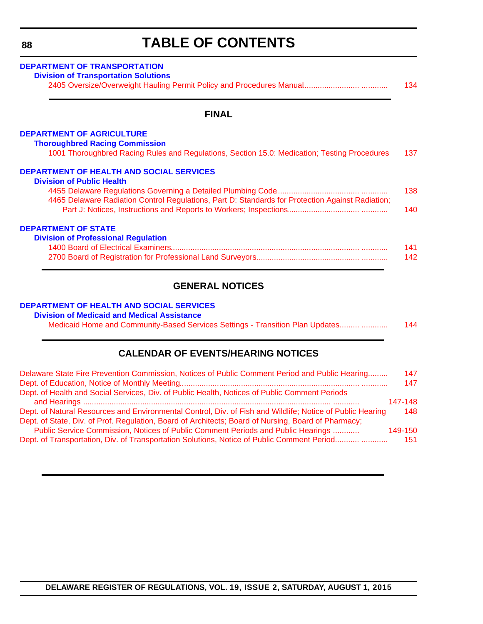# **TABLE OF CONTENTS**

<span id="page-4-0"></span>

| DEPARTMENT OF TRANSPORTATION<br><b>Division of Transportation Solutions</b>                                                           | 134 |
|---------------------------------------------------------------------------------------------------------------------------------------|-----|
| <b>FINAL</b>                                                                                                                          |     |
| <b>DEPARTMENT OF AGRICULTURE</b>                                                                                                      |     |
| <b>Thoroughbred Racing Commission</b><br>1001 Thoroughbred Racing Rules and Regulations, Section 15.0: Medication; Testing Procedures | 137 |
| <b>DEPARTMENT OF HEALTH AND SOCIAL SERVICES</b>                                                                                       |     |
| <b>Division of Public Health</b>                                                                                                      |     |
|                                                                                                                                       | 138 |
| 4465 Delaware Radiation Control Regulations, Part D: Standards for Protection Against Radiation;                                      | 140 |
| <b>DEPARTMENT OF STATE</b>                                                                                                            |     |
| <b>Division of Professional Regulation</b>                                                                                            |     |
|                                                                                                                                       | 141 |
|                                                                                                                                       | 142 |
|                                                                                                                                       |     |

### **GENERAL NOTICES**

#### **[DEPARTMENT OF HEALTH AND SOCIAL SERVICES](http://dhss.delaware.gov/dhss/dmma/)**

#### **Division of Medicaid and Medical Assistance**

Medicaid Home and Community-Based Services Settings - Transition Plan Updates......... ....................... 144

### **CALENDAR OF EVENTS/HEARING NOTICES**

| Delaware State Fire Prevention Commission, Notices of Public Comment Period and Public Hearing            | 147     |
|-----------------------------------------------------------------------------------------------------------|---------|
|                                                                                                           | 147     |
| Dept. of Health and Social Services, Div. of Public Health, Notices of Public Comment Periods             |         |
|                                                                                                           | 147-148 |
| Dept. of Natural Resources and Environmental Control, Div. of Fish and Wildlife; Notice of Public Hearing | 148     |
| Dept. of State, Div. of Prof. Regulation, Board of Architects; Board of Nursing, Board of Pharmacy;       |         |
| Public Service Commission, Notices of Public Comment Periods and Public Hearings                          | 149-150 |
| Dept. of Transportation, Div. of Transportation Solutions, Notice of Public Comment Period                | 151     |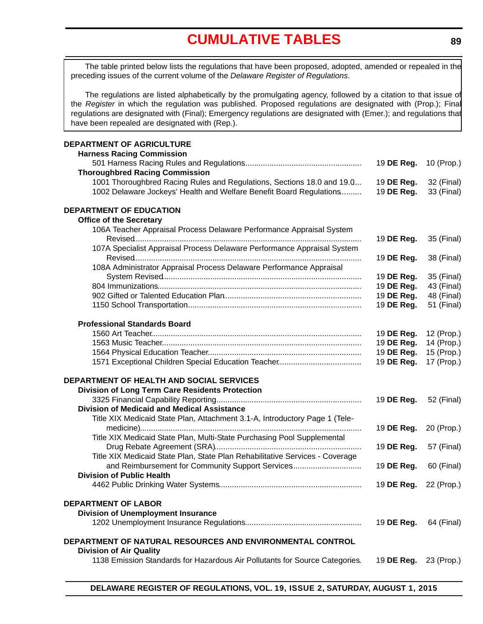# **[CUMULATIVE TABLES](#page-3-0)**

<span id="page-5-0"></span>The table printed below lists the regulations that have been proposed, adopted, amended or repealed in the preceding issues of the current volume of the *Delaware Register of Regulations*.

The regulations are listed alphabetically by the promulgating agency, followed by a citation to that issue of the *Register* in which the regulation was published. Proposed regulations are designated with (Prop.); Final regulations are designated with (Final); Emergency regulations are designated with (Emer.); and regulations that have been repealed are designated with (Rep.).

#### **DEPARTMENT OF AGRICULTURE**

| <b>Harness Racing Commission</b>                                             |            |            |
|------------------------------------------------------------------------------|------------|------------|
|                                                                              | 19 DE Reg. | 10 (Prop.) |
| <b>Thoroughbred Racing Commission</b>                                        |            |            |
| 1001 Thoroughbred Racing Rules and Regulations, Sections 18.0 and 19.0       | 19 DE Reg. | 32 (Final) |
| 1002 Delaware Jockeys' Health and Welfare Benefit Board Regulations          | 19 DE Reg. | 33 (Final) |
|                                                                              |            |            |
| <b>DEPARTMENT OF EDUCATION</b>                                               |            |            |
| <b>Office of the Secretary</b>                                               |            |            |
| 106A Teacher Appraisal Process Delaware Performance Appraisal System         |            |            |
|                                                                              | 19 DE Reg. | 35 (Final) |
| 107A Specialist Appraisal Process Delaware Performance Appraisal System      |            |            |
|                                                                              | 19 DE Reg. | 38 (Final) |
| 108A Administrator Appraisal Process Delaware Performance Appraisal          |            |            |
|                                                                              | 19 DE Reg. | 35 (Final) |
|                                                                              | 19 DE Reg. | 43 (Final) |
|                                                                              | 19 DE Reg. | 48 (Final) |
|                                                                              | 19 DE Reg. | 51 (Final) |
|                                                                              |            |            |
| <b>Professional Standards Board</b>                                          |            |            |
|                                                                              | 19 DE Reg. | 12 (Prop.) |
|                                                                              | 19 DE Reg. | 14 (Prop.) |
|                                                                              | 19 DE Reg. | 15 (Prop.) |
|                                                                              | 19 DE Reg. | 17 (Prop.) |
|                                                                              |            |            |
| DEPARTMENT OF HEALTH AND SOCIAL SERVICES                                     |            |            |
| Division of Long Term Care Residents Protection                              |            |            |
|                                                                              | 19 DE Reg. | 52 (Final) |
| <b>Division of Medicaid and Medical Assistance</b>                           |            |            |
| Title XIX Medicaid State Plan, Attachment 3.1-A, Introductory Page 1 (Tele-  |            |            |
|                                                                              | 19 DE Reg. | 20 (Prop.) |
| Title XIX Medicaid State Plan, Multi-State Purchasing Pool Supplemental      |            |            |
|                                                                              | 19 DE Reg. | 57 (Final) |
| Title XIX Medicaid State Plan, State Plan Rehabilitative Services - Coverage |            |            |
| and Reimbursement for Community Support Services                             | 19 DE Reg. | 60 (Final) |
| <b>Division of Public Health</b>                                             |            |            |
|                                                                              | 19 DE Reg. | 22 (Prop.) |
|                                                                              |            |            |
| <b>DEPARTMENT OF LABOR</b>                                                   |            |            |
| <b>Division of Unemployment Insurance</b>                                    |            |            |
|                                                                              | 19 DE Reg. | 64 (Final) |
|                                                                              |            |            |
| DEPARTMENT OF NATURAL RESOURCES AND ENVIRONMENTAL CONTROL                    |            |            |
| <b>Division of Air Quality</b>                                               |            |            |
| 1138 Emission Standards for Hazardous Air Pollutants for Source Categories.  | 19 DE Reg. | 23 (Prop.) |
|                                                                              |            |            |
|                                                                              |            |            |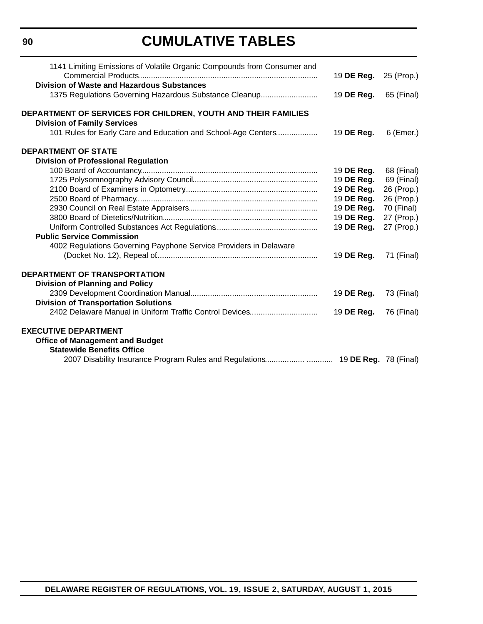# **CUMULATIVE TABLES**

| 1141 Limiting Emissions of Volatile Organic Compounds from Consumer and                              |            |            |
|------------------------------------------------------------------------------------------------------|------------|------------|
|                                                                                                      | 19 DE Reg. | 25 (Prop.) |
| Division of Waste and Hazardous Substances<br>1375 Regulations Governing Hazardous Substance Cleanup | 19 DE Reg. | 65 (Final) |
|                                                                                                      |            |            |
| DEPARTMENT OF SERVICES FOR CHILDREN, YOUTH AND THEIR FAMILIES<br><b>Division of Family Services</b>  |            |            |
| 101 Rules for Early Care and Education and School-Age Centers                                        | 19 DE Reg. | 6 (Emer.)  |
| <b>DEPARTMENT OF STATE</b>                                                                           |            |            |
| <b>Division of Professional Regulation</b>                                                           |            |            |
|                                                                                                      | 19 DE Reg. | 68 (Final) |
|                                                                                                      | 19 DE Reg. | 69 (Final) |
|                                                                                                      | 19 DE Reg. | 26 (Prop.) |
|                                                                                                      | 19 DE Reg. | 26 (Prop.) |
|                                                                                                      | 19 DE Reg. | 70 (Final) |
|                                                                                                      | 19 DE Reg. | 27 (Prop.) |
|                                                                                                      | 19 DE Reg. | 27 (Prop.) |
| <b>Public Service Commission</b>                                                                     |            |            |
| 4002 Regulations Governing Payphone Service Providers in Delaware                                    | 19 DE Reg. | 71 (Final) |
|                                                                                                      |            |            |
| <b>DEPARTMENT OF TRANSPORTATION</b>                                                                  |            |            |
| <b>Division of Planning and Policy</b>                                                               |            |            |
|                                                                                                      | 19 DE Reg. | 73 (Final) |
| <b>Division of Transportation Solutions</b>                                                          |            |            |
| 2402 Delaware Manual in Uniform Traffic Control Devices                                              | 19 DE Reg. | 76 (Final) |
| <b>EXECUTIVE DEPARTMENT</b>                                                                          |            |            |
| <b>Office of Management and Budget</b>                                                               |            |            |
| <b>Statewide Benefits Office</b>                                                                     |            |            |
|                                                                                                      |            |            |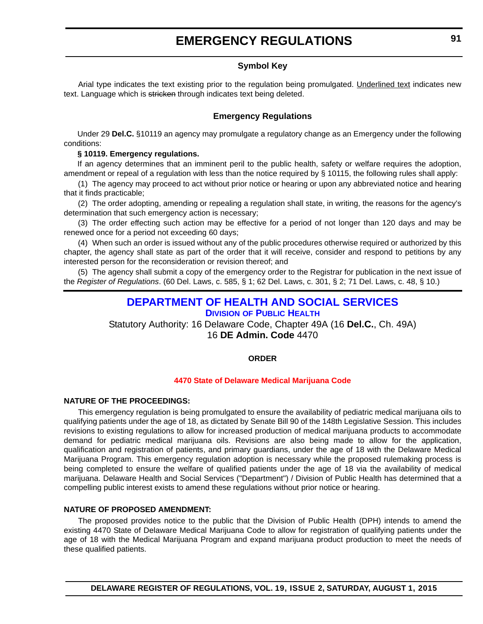### **Symbol Key**

<span id="page-7-0"></span>Arial type indicates the text existing prior to the regulation being promulgated. Underlined text indicates new text. Language which is stricken through indicates text being deleted.

#### **Emergency Regulations**

Under 29 **Del.C.** §10119 an agency may promulgate a regulatory change as an Emergency under the following conditions:

#### **§ 10119. Emergency regulations.**

If an agency determines that an imminent peril to the public health, safety or welfare requires the adoption, amendment or repeal of a regulation with less than the notice required by § 10115, the following rules shall apply:

(1) The agency may proceed to act without prior notice or hearing or upon any abbreviated notice and hearing that it finds practicable;

(2) The order adopting, amending or repealing a regulation shall state, in writing, the reasons for the agency's determination that such emergency action is necessary;

(3) The order effecting such action may be effective for a period of not longer than 120 days and may be renewed once for a period not exceeding 60 days;

(4) When such an order is issued without any of the public procedures otherwise required or authorized by this chapter, the agency shall state as part of the order that it will receive, consider and respond to petitions by any interested person for the reconsideration or revision thereof; and

(5) The agency shall submit a copy of the emergency order to the Registrar for publication in the next issue of the *Register of Regulations*. (60 Del. Laws, c. 585, § 1; 62 Del. Laws, c. 301, § 2; 71 Del. Laws, c. 48, § 10.)

# **[DEPARTMENT OF HEALTH AND SOCIAL SERVICES](http://www.dhss.delaware.gov/dhss/dph/index.html)**

**DIVISION OF PUBLIC HEALTH** Statutory Authority: 16 Delaware Code, Chapter 49A (16 **Del.C.**, Ch. 49A)

16 **DE Admin. Code** 4470

#### **ORDER**

#### **[4470 State of Delaware Medical Marijuana Code](#page-3-0)**

#### **NATURE OF THE PROCEEDINGS:**

This emergency regulation is being promulgated to ensure the availability of pediatric medical marijuana oils to qualifying patients under the age of 18, as dictated by Senate Bill 90 of the 148th Legislative Session. This includes revisions to existing regulations to allow for increased production of medical marijuana products to accommodate demand for pediatric medical marijuana oils. Revisions are also being made to allow for the application, qualification and registration of patients, and primary guardians, under the age of 18 with the Delaware Medical Marijuana Program. This emergency regulation adoption is necessary while the proposed rulemaking process is being completed to ensure the welfare of qualified patients under the age of 18 via the availability of medical marijuana. Delaware Health and Social Services ("Department") / Division of Public Health has determined that a compelling public interest exists to amend these regulations without prior notice or hearing.

#### **NATURE OF PROPOSED AMENDMENT:**

The proposed provides notice to the public that the Division of Public Health (DPH) intends to amend the existing 4470 State of Delaware Medical Marijuana Code to allow for registration of qualifying patients under the age of 18 with the Medical Marijuana Program and expand marijuana product production to meet the needs of these qualified patients.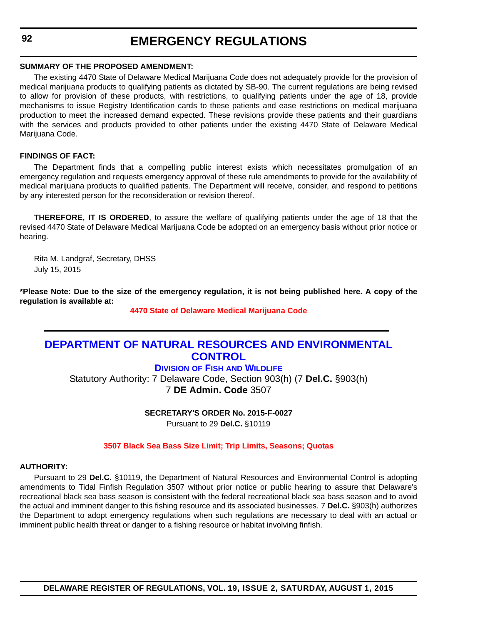#### <span id="page-8-0"></span>**SUMMARY OF THE PROPOSED AMENDMENT:**

The existing 4470 State of Delaware Medical Marijuana Code does not adequately provide for the provision of medical marijuana products to qualifying patients as dictated by SB-90. The current regulations are being revised to allow for provision of these products, with restrictions, to qualifying patients under the age of 18, provide mechanisms to issue Registry Identification cards to these patients and ease restrictions on medical marijuana production to meet the increased demand expected. These revisions provide these patients and their guardians with the services and products provided to other patients under the existing 4470 State of Delaware Medical Marijuana Code.

#### **FINDINGS OF FACT:**

The Department finds that a compelling public interest exists which necessitates promulgation of an emergency regulation and requests emergency approval of these rule amendments to provide for the availability of medical marijuana products to qualified patients. The Department will receive, consider, and respond to petitions by any interested person for the reconsideration or revision thereof.

**THEREFORE, IT IS ORDERED**, to assure the welfare of qualifying patients under the age of 18 that the revised 4470 State of Delaware Medical Marijuana Code be adopted on an emergency basis without prior notice or hearing.

Rita M. Landgraf, Secretary, DHSS July 15, 2015

**\*Please Note: Due to the size of the emergency regulation, it is not being published here. A copy of the regulation is available at:**

**[4470 State of Delaware Medical Marijuana Code](http://regulations.delaware.gov/register/august2015/emergency/19 DE Reg 91 08-01-15.htm)**

### **[DEPARTMENT OF NATURAL RESOURCES AND ENVIRONMENTAL](http://www.dnrec.delaware.gov/fw/Pages/FWPortal.aspx)  CONTROL**

### **DIVISION OF FISH AND WILDLIFE**

Statutory Authority: 7 Delaware Code, Section 903(h) (7 **Del.C.** §903(h) 7 **DE Admin. Code** 3507

**SECRETARY'S ORDER No. 2015-F-0027**

Pursuant to 29 **Del.C.** §10119

#### **[3507 Black Sea Bass Size Limit; Trip Limits, Seasons; Quotas](#page-3-0)**

#### **AUTHORITY:**

Pursuant to 29 **Del.C.** §10119, the Department of Natural Resources and Environmental Control is adopting amendments to Tidal Finfish Regulation 3507 without prior notice or public hearing to assure that Delaware's recreational black sea bass season is consistent with the federal recreational black sea bass season and to avoid the actual and imminent danger to this fishing resource and its associated businesses. 7 **Del.C.** §903(h) authorizes the Department to adopt emergency regulations when such regulations are necessary to deal with an actual or imminent public health threat or danger to a fishing resource or habitat involving finfish.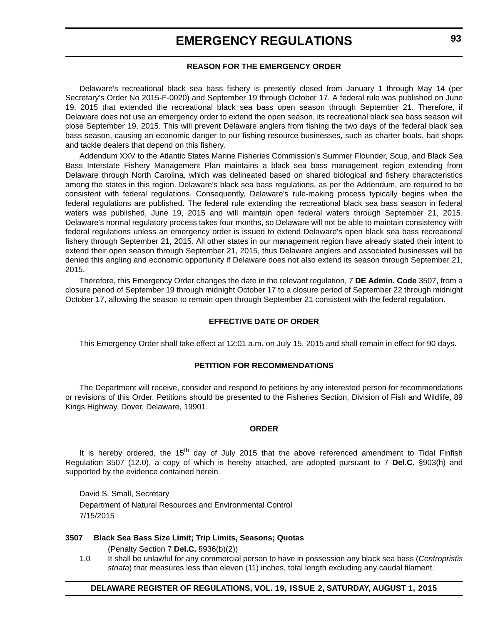#### **REASON FOR THE EMERGENCY ORDER**

Delaware's recreational black sea bass fishery is presently closed from January 1 through May 14 (per Secretary's Order No 2015-F-0020) and September 19 through October 17. A federal rule was published on June 19, 2015 that extended the recreational black sea bass open season through September 21. Therefore, if Delaware does not use an emergency order to extend the open season, its recreational black sea bass season will close September 19, 2015. This will prevent Delaware anglers from fishing the two days of the federal black sea bass season, causing an economic danger to our fishing resource businesses, such as charter boats, bait shops and tackle dealers that depend on this fishery.

Addendum XXV to the Atlantic States Marine Fisheries Commission's Summer Flounder, Scup, and Black Sea Bass Interstate Fishery Management Plan maintains a black sea bass management region extending from Delaware through North Carolina, which was delineated based on shared biological and fishery characteristics among the states in this region. Delaware's black sea bass regulations, as per the Addendum, are required to be consistent with federal regulations. Consequently, Delaware's rule-making process typically begins when the federal regulations are published. The federal rule extending the recreational black sea bass season in federal waters was published, June 19, 2015 and will maintain open federal waters through September 21, 2015. Delaware's normal regulatory process takes four months, so Delaware will not be able to maintain consistency with federal regulations unless an emergency order is issued to extend Delaware's open black sea bass recreational fishery through September 21, 2015. All other states in our management region have already stated their intent to extend their open season through September 21, 2015, thus Delaware anglers and associated businesses will be denied this angling and economic opportunity if Delaware does not also extend its season through September 21, 2015.

Therefore, this Emergency Order changes the date in the relevant regulation, 7 **DE Admin. Code** 3507, from a closure period of September 19 through midnight October 17 to a closure period of September 22 through midnight October 17, allowing the season to remain open through September 21 consistent with the federal regulation.

#### **EFFECTIVE DATE OF ORDER**

This Emergency Order shall take effect at 12:01 a.m. on July 15, 2015 and shall remain in effect for 90 days.

#### **PETITION FOR RECOMMENDATIONS**

The Department will receive, consider and respond to petitions by any interested person for recommendations or revisions of this Order. Petitions should be presented to the Fisheries Section, Division of Fish and Wildlife, 89 Kings Highway, Dover, Delaware, 19901.

#### **ORDER**

It is hereby ordered, the 15<sup>th</sup> day of July 2015 that the above referenced amendment to Tidal Finfish Regulation 3507 (12.0), a copy of which is hereby attached, are adopted pursuant to 7 **Del.C.** §903(h) and supported by the evidence contained herein.

David S. Small, Secretary Department of Natural Resources and Environmental Control 7/15/2015

#### **3507 Black Sea Bass Size Limit; Trip Limits, Seasons; Quotas**

(Penalty Section 7 **Del.C.** §936(b)(2))

1.0 It shall be unlawful for any commercial person to have in possession any black sea bass (*Centropristis striata*) that measures less than eleven (11) inches, total length excluding any caudal filament.

#### **DELAWARE REGISTER OF REGULATIONS, VOL. 19, ISSUE 2, SATURDAY, AUGUST 1, 2015**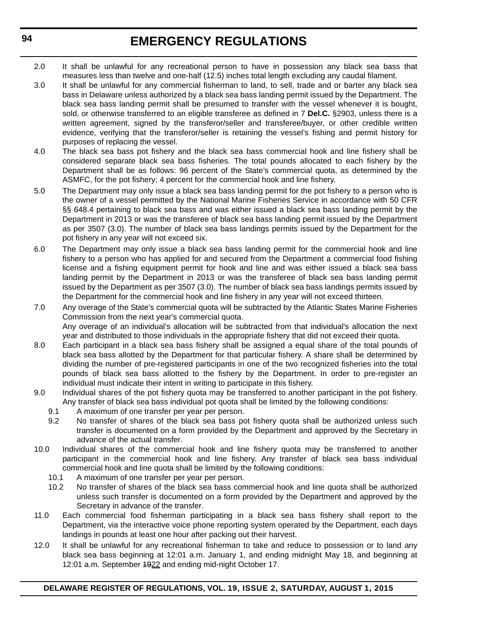- 2.0 It shall be unlawful for any recreational person to have in possession any black sea bass that measures less than twelve and one-half (12.5) inches total length excluding any caudal filament.
- 3.0 It shall be unlawful for any commercial fisherman to land, to sell, trade and or barter any black sea bass in Delaware unless authorized by a black sea bass landing permit issued by the Department. The black sea bass landing permit shall be presumed to transfer with the vessel whenever it is bought, sold, or otherwise transferred to an eligible transferee as defined in 7 **Del.C.** §2903, unless there is a written agreement, signed by the transferor/seller and transferee/buyer, or other credible written evidence, verifying that the transferor/seller is retaining the vessel's fishing and permit history for purposes of replacing the vessel.
- 4.0 The black sea bass pot fishery and the black sea bass commercial hook and line fishery shall be considered separate black sea bass fisheries. The total pounds allocated to each fishery by the Department shall be as follows: 96 percent of the State's commercial quota, as determined by the ASMFC, for the pot fishery; 4 percent for the commercial hook and line fishery.
- 5.0 The Department may only issue a black sea bass landing permit for the pot fishery to a person who is the owner of a vessel permitted by the National Marine Fisheries Service in accordance with 50 CFR §§ 648.4 pertaining to black sea bass and was either issued a black sea bass landing permit by the Department in 2013 or was the transferee of black sea bass landing permit issued by the Department as per 3507 (3.0). The number of black sea bass landings permits issued by the Department for the pot fishery in any year will not exceed six.
- 6.0 The Department may only issue a black sea bass landing permit for the commercial hook and line fishery to a person who has applied for and secured from the Department a commercial food fishing license and a fishing equipment permit for hook and line and was either issued a black sea bass landing permit by the Department in 2013 or was the transferee of black sea bass landing permit issued by the Department as per 3507 (3.0). The number of black sea bass landings permits issued by the Department for the commercial hook and line fishery in any year will not exceed thirteen.
- 7.0 Any overage of the State's commercial quota will be subtracted by the Atlantic States Marine Fisheries Commission from the next year's commercial quota. Any overage of an individual's allocation will be subtracted from that individual's allocation the next year and distributed to those individuals in the appropriate fishery that did not exceed their quota.
- 8.0 Each participant in a black sea bass fishery shall be assigned a equal share of the total pounds of black sea bass allotted by the Department for that particular fishery. A share shall be determined by dividing the number of pre-registered participants in one of the two recognized fisheries into the total pounds of black sea bass allotted to the fishery by the Department. In order to pre-register an individual must indicate their intent in writing to participate in this fishery.
- 9.0 Individual shares of the pot fishery quota may be transferred to another participant in the pot fishery. Any transfer of black sea bass individual pot quota shall be limited by the following conditions:
	- 9.1 A maximum of one transfer per year per person.
	- 9.2 No transfer of shares of the black sea bass pot fishery quota shall be authorized unless such transfer is documented on a form provided by the Department and approved by the Secretary in advance of the actual transfer.
- 10.0 Individual shares of the commercial hook and line fishery quota may be transferred to another participant in the commercial hook and line fishery. Any transfer of black sea bass individual commercial hook and line quota shall be limited by the following conditions:
	- 10.1 A maximum of one transfer per year per person.
	- 10.2 No transfer of shares of the black sea bass commercial hook and line quota shall be authorized unless such transfer is documented on a form provided by the Department and approved by the Secretary in advance of the transfer.
- 11.0 Each commercial food fisherman participating in a black sea bass fishery shall report to the Department, via the interactive voice phone reporting system operated by the Department, each days landings in pounds at least one hour after packing out their harvest.
- 12.0 It shall be unlawful for any recreational fisherman to take and reduce to possession or to land any black sea bass beginning at 12:01 a.m. January 1, and ending midnight May 18, and beginning at 12:01 a.m. September 4922 and ending mid-night October 17.

#### **DELAWARE REGISTER OF REGULATIONS, VOL. 19, ISSUE 2, SATURDAY, AUGUST 1, 2015**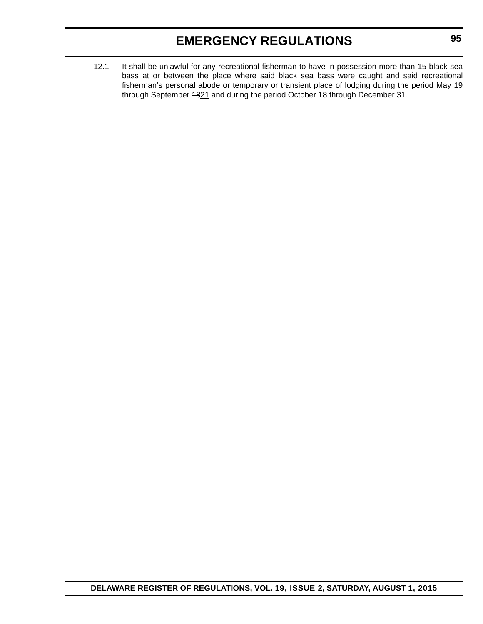12.1 It shall be unlawful for any recreational fisherman to have in possession more than 15 black sea bass at or between the place where said black sea bass were caught and said recreational fisherman's personal abode or temporary or transient place of lodging during the period May 19 through September 4821 and during the period October 18 through December 31.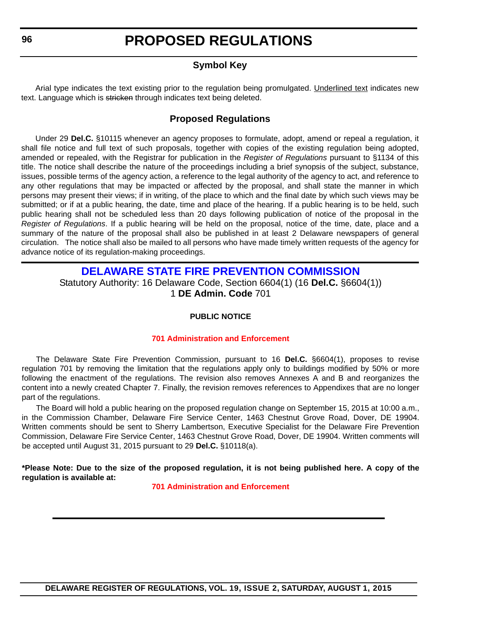### **Symbol Key**

<span id="page-12-0"></span>Arial type indicates the text existing prior to the regulation being promulgated. Underlined text indicates new text. Language which is stricken through indicates text being deleted.

### **Proposed Regulations**

Under 29 **Del.C.** §10115 whenever an agency proposes to formulate, adopt, amend or repeal a regulation, it shall file notice and full text of such proposals, together with copies of the existing regulation being adopted, amended or repealed, with the Registrar for publication in the *Register of Regulations* pursuant to §1134 of this title. The notice shall describe the nature of the proceedings including a brief synopsis of the subject, substance, issues, possible terms of the agency action, a reference to the legal authority of the agency to act, and reference to any other regulations that may be impacted or affected by the proposal, and shall state the manner in which persons may present their views; if in writing, of the place to which and the final date by which such views may be submitted; or if at a public hearing, the date, time and place of the hearing. If a public hearing is to be held, such public hearing shall not be scheduled less than 20 days following publication of notice of the proposal in the *Register of Regulations*. If a public hearing will be held on the proposal, notice of the time, date, place and a summary of the nature of the proposal shall also be published in at least 2 Delaware newspapers of general circulation. The notice shall also be mailed to all persons who have made timely written requests of the agency for advance notice of its regulation-making proceedings.

### **[DELAWARE STATE FIRE PREVENTION COMMISSION](http://www.statefirecommission.delaware.gov/)**

Statutory Authority: 16 Delaware Code, Section 6604(1) (16 **Del.C.** §6604(1)) 1 **DE Admin. Code** 701

#### **PUBLIC NOTICE**

#### **[701 Administration and Enforcement](#page-3-0)**

The Delaware State Fire Prevention Commission, pursuant to 16 **Del.C.** §6604(1), proposes to revise regulation 701 by removing the limitation that the regulations apply only to buildings modified by 50% or more following the enactment of the regulations. The revision also removes Annexes A and B and reorganizes the content into a newly created Chapter 7. Finally, the revision removes references to Appendixes that are no longer part of the regulations.

The Board will hold a public hearing on the proposed regulation change on September 15, 2015 at 10:00 a.m., in the Commission Chamber, Delaware Fire Service Center, 1463 Chestnut Grove Road, Dover, DE 19904. Written comments should be sent to Sherry Lambertson, Executive Specialist for the Delaware Fire Prevention Commission, Delaware Fire Service Center, 1463 Chestnut Grove Road, Dover, DE 19904. Written comments will be accepted until August 31, 2015 pursuant to 29 **Del.C.** §10118(a).

**\*Please Note: Due to the size of the proposed regulation, it is not being published here. A copy of the regulation is available at:**

**[701 Administration and Enforcement](http://regulations.delaware.gov/register/august2015/proposed/19 DE Reg 96 08-01-15.htm)**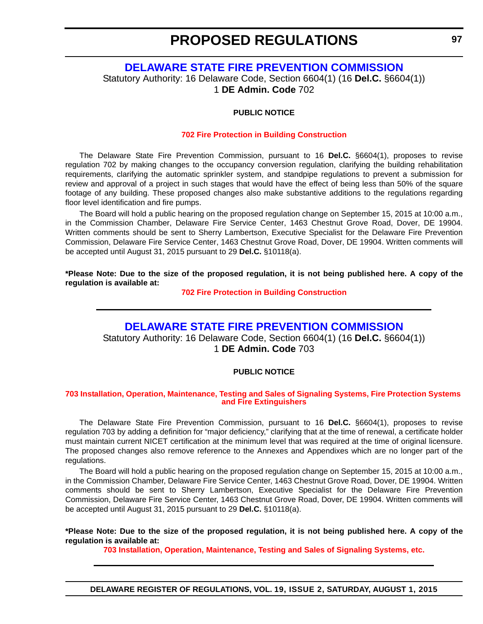**97**

### **[DELAWARE STATE FIRE PREVENTION COMMISSION](http://www.statefirecommission.delaware.gov/)**

<span id="page-13-0"></span>Statutory Authority: 16 Delaware Code, Section 6604(1) (16 **Del.C.** §6604(1)) 1 **DE Admin. Code** 702

#### **PUBLIC NOTICE**

#### **[702 Fire Protection in Building Construction](#page-3-0)**

The Delaware State Fire Prevention Commission, pursuant to 16 **Del.C.** §6604(1), proposes to revise regulation 702 by making changes to the occupancy conversion regulation, clarifying the building rehabilitation requirements, clarifying the automatic sprinkler system, and standpipe regulations to prevent a submission for review and approval of a project in such stages that would have the effect of being less than 50% of the square footage of any building. These proposed changes also make substantive additions to the regulations regarding floor level identification and fire pumps.

The Board will hold a public hearing on the proposed regulation change on September 15, 2015 at 10:00 a.m., in the Commission Chamber, Delaware Fire Service Center, 1463 Chestnut Grove Road, Dover, DE 19904. Written comments should be sent to Sherry Lambertson, Executive Specialist for the Delaware Fire Prevention Commission, Delaware Fire Service Center, 1463 Chestnut Grove Road, Dover, DE 19904. Written comments will be accepted until August 31, 2015 pursuant to 29 **Del.C.** §10118(a).

**\*Please Note: Due to the size of the proposed regulation, it is not being published here. A copy of the regulation is available at:**

**[702 Fire Protection in Building Construction](http://regulations.delaware.gov/register/august2015/proposed/19 DE Reg 97 08-01-15.htm)**

### **[DELAWARE STATE FIRE PREVENTION COMMISSION](http://www.statefirecommission.delaware.gov/)**

Statutory Authority: 16 Delaware Code, Section 6604(1) (16 **Del.C.** §6604(1)) 1 **DE Admin. Code** 703

#### **PUBLIC NOTICE**

#### **[703 Installation, Operation, Maintenance, Testing and Sales of Signaling Systems, Fire Protection Systems](#page-3-0)  and Fire Extinguishers**

The Delaware State Fire Prevention Commission, pursuant to 16 **Del.C.** §6604(1), proposes to revise regulation 703 by adding a definition for "major deficiency," clarifying that at the time of renewal, a certificate holder must maintain current NICET certification at the minimum level that was required at the time of original licensure. The proposed changes also remove reference to the Annexes and Appendixes which are no longer part of the regulations.

The Board will hold a public hearing on the proposed regulation change on September 15, 2015 at 10:00 a.m., in the Commission Chamber, Delaware Fire Service Center, 1463 Chestnut Grove Road, Dover, DE 19904. Written comments should be sent to Sherry Lambertson, Executive Specialist for the Delaware Fire Prevention Commission, Delaware Fire Service Center, 1463 Chestnut Grove Road, Dover, DE 19904. Written comments will be accepted until August 31, 2015 pursuant to 29 **Del.C.** §10118(a).

**\*Please Note: Due to the size of the proposed regulation, it is not being published here. A copy of the regulation is available at:**

**[703 Installation, Operation, Maintenance, Testing and Sales of Signaling Systems, etc.](http://regulations.delaware.gov/register/august2015/proposed/19 DE Reg 97a 08-01-15.htm)**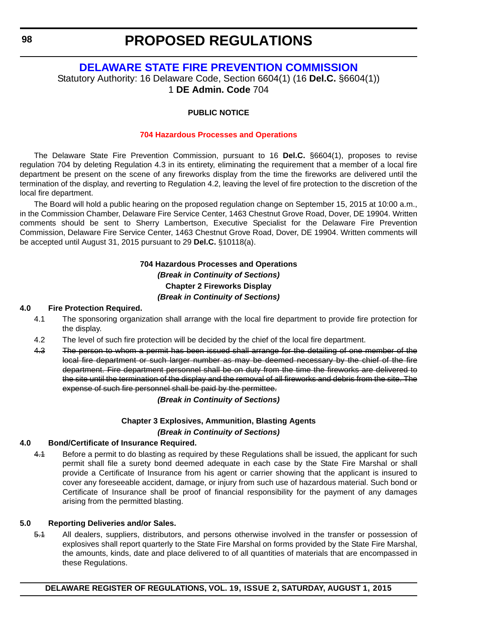### **[DELAWARE STATE FIRE PREVENTION COMMISSION](http://www.statefirecommission.delaware.gov/)**

<span id="page-14-0"></span>Statutory Authority: 16 Delaware Code, Section 6604(1) (16 **Del.C.** §6604(1)) 1 **DE Admin. Code** 704

#### **PUBLIC NOTICE**

#### **[704 Hazardous Processes and Operations](#page-3-0)**

The Delaware State Fire Prevention Commission, pursuant to 16 **Del.C.** §6604(1), proposes to revise regulation 704 by deleting Regulation 4.3 in its entirety, eliminating the requirement that a member of a local fire department be present on the scene of any fireworks display from the time the fireworks are delivered until the termination of the display, and reverting to Regulation 4.2, leaving the level of fire protection to the discretion of the local fire department.

The Board will hold a public hearing on the proposed regulation change on September 15, 2015 at 10:00 a.m., in the Commission Chamber, Delaware Fire Service Center, 1463 Chestnut Grove Road, Dover, DE 19904. Written comments should be sent to Sherry Lambertson, Executive Specialist for the Delaware Fire Prevention Commission, Delaware Fire Service Center, 1463 Chestnut Grove Road, Dover, DE 19904. Written comments will be accepted until August 31, 2015 pursuant to 29 **Del.C.** §10118(a).

#### **704 Hazardous Processes and Operations** *(Break in Continuity of Sections)* **Chapter 2 Fireworks Display** *(Break in Continuity of Sections)*

#### **4.0 Fire Protection Required.**

- 4.1 The sponsoring organization shall arrange with the local fire department to provide fire protection for the display.
- 4.2 The level of such fire protection will be decided by the chief of the local fire department.
- 4.3 The person to whom a permit has been issued shall arrange for the detailing of one member of the local fire department or such larger number as may be deemed necessary by the chief of the fire department. Fire department personnel shall be on duty from the time the fireworks are delivered to the site until the termination of the display and the removal of all fireworks and debris from the site. The expense of such fire personnel shall be paid by the permittee.

*(Break in Continuity of Sections)*

#### **Chapter 3 Explosives, Ammunition, Blasting Agents** *(Break in Continuity of Sections)*

#### **4.0 Bond/Certificate of Insurance Required.**

4.1 Before a permit to do blasting as required by these Regulations shall be issued, the applicant for such permit shall file a surety bond deemed adequate in each case by the State Fire Marshal or shall provide a Certificate of Insurance from his agent or carrier showing that the applicant is insured to cover any foreseeable accident, damage, or injury from such use of hazardous material. Such bond or Certificate of Insurance shall be proof of financial responsibility for the payment of any damages arising from the permitted blasting.

#### **5.0 Reporting Deliveries and/or Sales.**

5.1 All dealers, suppliers, distributors, and persons otherwise involved in the transfer or possession of explosives shall report quarterly to the State Fire Marshal on forms provided by the State Fire Marshal, the amounts, kinds, date and place delivered to of all quantities of materials that are encompassed in these Regulations.

**DELAWARE REGISTER OF REGULATIONS, VOL. 19, ISSUE 2, SATURDAY, AUGUST 1, 2015**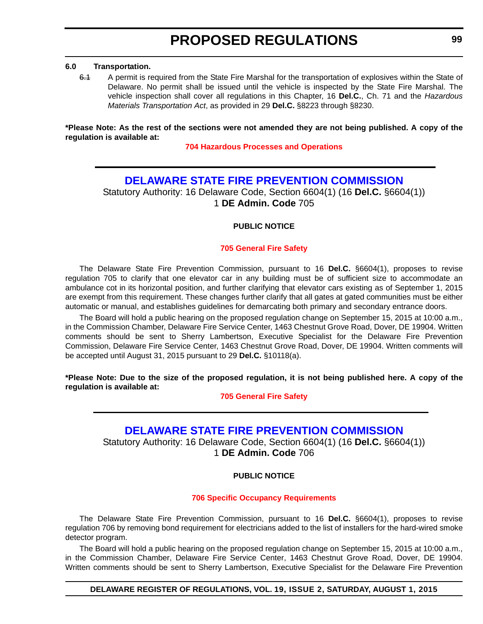#### <span id="page-15-0"></span>**6.0 Transportation.**

6.1 A permit is required from the State Fire Marshal for the transportation of explosives within the State of Delaware. No permit shall be issued until the vehicle is inspected by the State Fire Marshal. The vehicle inspection shall cover all regulations in this Chapter, 16 **Del.C.**, Ch. 71 and the *Hazardous Materials Transportation Act*, as provided in 29 **Del.C.** §8223 through §8230.

**\*Please Note: As the rest of the sections were not amended they are not being published. A copy of the regulation is available at:**

**[704 Hazardous Processes and Operations](http://regulations.delaware.gov/register/august2015/proposed/19 DE Reg 98 08-01-15.htm)**

### **[DELAWARE STATE FIRE PREVENTION COMMISSION](http://www.statefirecommission.delaware.gov/)**

Statutory Authority: 16 Delaware Code, Section 6604(1) (16 **Del.C.** §6604(1)) 1 **DE Admin. Code** 705

#### **PUBLIC NOTICE**

#### **[705 General Fire Safety](#page-3-0)**

The Delaware State Fire Prevention Commission, pursuant to 16 **Del.C.** §6604(1), proposes to revise regulation 705 to clarify that one elevator car in any building must be of sufficient size to accommodate an ambulance cot in its horizontal position, and further clarifying that elevator cars existing as of September 1, 2015 are exempt from this requirement. These changes further clarify that all gates at gated communities must be either automatic or manual, and establishes guidelines for demarcating both primary and secondary entrance doors.

The Board will hold a public hearing on the proposed regulation change on September 15, 2015 at 10:00 a.m., in the Commission Chamber, Delaware Fire Service Center, 1463 Chestnut Grove Road, Dover, DE 19904. Written comments should be sent to Sherry Lambertson, Executive Specialist for the Delaware Fire Prevention Commission, Delaware Fire Service Center, 1463 Chestnut Grove Road, Dover, DE 19904. Written comments will be accepted until August 31, 2015 pursuant to 29 **Del.C.** §10118(a).

**\*Please Note: Due to the size of the proposed regulation, it is not being published here. A copy of the regulation is available at:**

**[705 General Fire Safety](http://regulations.delaware.gov/register/august2015/proposed/19 DE Reg 99 08-01-15.htm)**

### **[DELAWARE STATE FIRE PREVENTION COMMISSION](http://www.statefirecommission.delaware.gov/)**

Statutory Authority: 16 Delaware Code, Section 6604(1) (16 **Del.C.** §6604(1)) 1 **DE Admin. Code** 706

#### **PUBLIC NOTICE**

#### **[706 Specific Occupancy Requirements](#page-3-0)**

The Delaware State Fire Prevention Commission, pursuant to 16 **Del.C.** §6604(1), proposes to revise regulation 706 by removing bond requirement for electricians added to the list of installers for the hard-wired smoke detector program.

The Board will hold a public hearing on the proposed regulation change on September 15, 2015 at 10:00 a.m., in the Commission Chamber, Delaware Fire Service Center, 1463 Chestnut Grove Road, Dover, DE 19904. Written comments should be sent to Sherry Lambertson, Executive Specialist for the Delaware Fire Prevention

#### **DELAWARE REGISTER OF REGULATIONS, VOL. 19, ISSUE 2, SATURDAY, AUGUST 1, 2015**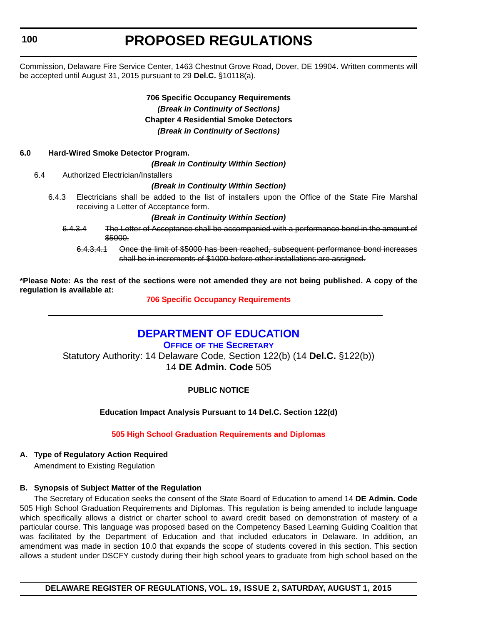<span id="page-16-0"></span>**100**

# **PROPOSED REGULATIONS**

Commission, Delaware Fire Service Center, 1463 Chestnut Grove Road, Dover, DE 19904. Written comments will be accepted until August 31, 2015 pursuant to 29 **Del.C.** §10118(a).

### **706 Specific Occupancy Requirements** *(Break in Continuity of Sections)* **Chapter 4 Residential Smoke Detectors** *(Break in Continuity of Sections)*

#### **6.0 Hard-Wired Smoke Detector Program.**

*(Break in Continuity Within Section)*

6.4 Authorized Electrician/Installers

#### *(Break in Continuity Within Section)*

6.4.3 Electricians shall be added to the list of installers upon the Office of the State Fire Marshal receiving a Letter of Acceptance form.

#### *(Break in Continuity Within Section)*

- 6.4.3.4 The Letter of Acceptance shall be accompanied with a performance bond in the amount of \$5000.
	- 6.4.3.4.1 Once the limit of \$5000 has been reached, subsequent performance bond increases shall be in increments of \$1000 before other installations are assigned.

**\*Please Note: As the rest of the sections were not amended they are not being published. A copy of the regulation is available at:**

**[706 Specific Occupancy Requirements](http://regulations.delaware.gov/register/august2015/proposed/19 DE Reg 99a 08-01-15.htm)**

### **[DEPARTMENT OF EDUCATION](https://pubapps.doe.k12.de.us/EducationalDirectoryPublic/pages/DDOE/Default.aspx)**

**OFFICE OF THE SECRETARY** Statutory Authority: 14 Delaware Code, Section 122(b) (14 **Del.C.** §122(b)) 14 **DE Admin. Code** 505

**PUBLIC NOTICE**

**Education Impact Analysis Pursuant to 14 Del.C. Section 122(d)**

#### **[505 High School Graduation Requirements and Diplomas](#page-3-0)**

#### **A. Type of Regulatory Action Required**

Amendment to Existing Regulation

#### **B. Synopsis of Subject Matter of the Regulation**

The Secretary of Education seeks the consent of the State Board of Education to amend 14 **DE Admin. Code** 505 High School Graduation Requirements and Diplomas. This regulation is being amended to include language which specifically allows a district or charter school to award credit based on demonstration of mastery of a particular course. This language was proposed based on the Competency Based Learning Guiding Coalition that was facilitated by the Department of Education and that included educators in Delaware. In addition, an amendment was made in section 10.0 that expands the scope of students covered in this section. This section allows a student under DSCFY custody during their high school years to graduate from high school based on the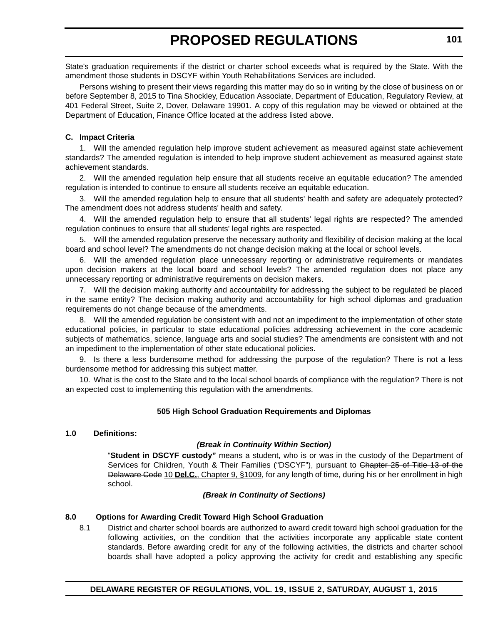State's graduation requirements if the district or charter school exceeds what is required by the State. With the amendment those students in DSCYF within Youth Rehabilitations Services are included.

Persons wishing to present their views regarding this matter may do so in writing by the close of business on or before September 8, 2015 to Tina Shockley, Education Associate, Department of Education, Regulatory Review, at 401 Federal Street, Suite 2, Dover, Delaware 19901. A copy of this regulation may be viewed or obtained at the Department of Education, Finance Office located at the address listed above.

#### **C. Impact Criteria**

1. Will the amended regulation help improve student achievement as measured against state achievement standards? The amended regulation is intended to help improve student achievement as measured against state achievement standards.

2. Will the amended regulation help ensure that all students receive an equitable education? The amended regulation is intended to continue to ensure all students receive an equitable education.

3. Will the amended regulation help to ensure that all students' health and safety are adequately protected? The amendment does not address students' health and safety.

4. Will the amended regulation help to ensure that all students' legal rights are respected? The amended regulation continues to ensure that all students' legal rights are respected.

5. Will the amended regulation preserve the necessary authority and flexibility of decision making at the local board and school level? The amendments do not change decision making at the local or school levels.

6. Will the amended regulation place unnecessary reporting or administrative requirements or mandates upon decision makers at the local board and school levels? The amended regulation does not place any unnecessary reporting or administrative requirements on decision makers.

7. Will the decision making authority and accountability for addressing the subject to be regulated be placed in the same entity? The decision making authority and accountability for high school diplomas and graduation requirements do not change because of the amendments.

8. Will the amended regulation be consistent with and not an impediment to the implementation of other state educational policies, in particular to state educational policies addressing achievement in the core academic subjects of mathematics, science, language arts and social studies? The amendments are consistent with and not an impediment to the implementation of other state educational policies.

9. Is there a less burdensome method for addressing the purpose of the regulation? There is not a less burdensome method for addressing this subject matter.

10. What is the cost to the State and to the local school boards of compliance with the regulation? There is not an expected cost to implementing this regulation with the amendments.

#### **505 High School Graduation Requirements and Diplomas**

#### **1.0 Definitions:**

#### *(Break in Continuity Within Section)*

"**Student in DSCYF custody"** means a student, who is or was in the custody of the Department of Services for Children, Youth & Their Families ("DSCYF"), pursuant to Chapter 25 of Title 13 of the Delaware Code 10 **Del.C.**, Chapter 9, §1009, for any length of time, during his or her enrollment in high school.

#### *(Break in Continuity of Sections)*

### **8.0 Options for Awarding Credit Toward High School Graduation**

8.1 District and charter school boards are authorized to award credit toward high school graduation for the following activities, on the condition that the activities incorporate any applicable state content standards. Before awarding credit for any of the following activities, the districts and charter school boards shall have adopted a policy approving the activity for credit and establishing any specific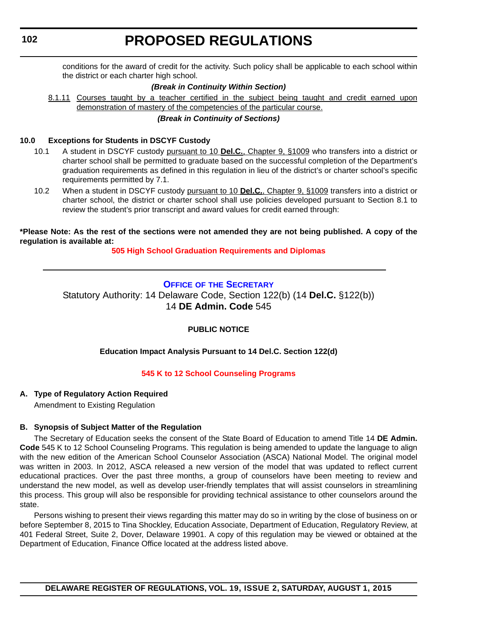<span id="page-18-0"></span>**102**

# **PROPOSED REGULATIONS**

conditions for the award of credit for the activity. Such policy shall be applicable to each school within the district or each charter high school.

#### *(Break in Continuity Within Section)*

8.1.11 Courses taught by a teacher certified in the subject being taught and credit earned upon demonstration of mastery of the competencies of the particular course.

#### *(Break in Continuity of Sections)*

#### **10.0 Exceptions for Students in DSCYF Custody**

- 10.1 A student in DSCYF custody pursuant to 10 **Del.C.**, Chapter 9, §1009 who transfers into a district or charter school shall be permitted to graduate based on the successful completion of the Department's graduation requirements as defined in this regulation in lieu of the district's or charter school's specific requirements permitted by 7.1.
- 10.2 When a student in DSCYF custody pursuant to 10 **Del.C.**, Chapter 9, §1009 transfers into a district or charter school, the district or charter school shall use policies developed pursuant to Section 8.1 to review the student's prior transcript and award values for credit earned through:

**\*Please Note: As the rest of the sections were not amended they are not being published. A copy of the regulation is available at:**

**[505 High School Graduation Requirements and Diplomas](http://regulations.delaware.gov/register/august2015/proposed/19 DE Reg 100 08-01-15.htm)**

#### **OFFICE OF [THE SECRETARY](https://pubapps.doe.k12.de.us/EducationalDirectoryPublic/pages/DDOE/Default.aspx)**

Statutory Authority: 14 Delaware Code, Section 122(b) (14 **Del.C.** §122(b)) 14 **DE Admin. Code** 545

#### **PUBLIC NOTICE**

#### **Education Impact Analysis Pursuant to 14 Del.C. Section 122(d)**

#### **[545 K to 12 School Counseling Programs](#page-3-0)**

#### **A. Type of Regulatory Action Required**

Amendment to Existing Regulation

#### **B. Synopsis of Subject Matter of the Regulation**

The Secretary of Education seeks the consent of the State Board of Education to amend Title 14 **DE Admin. Code** 545 K to 12 School Counseling Programs. This regulation is being amended to update the language to align with the new edition of the American School Counselor Association (ASCA) National Model. The original model was written in 2003. In 2012, ASCA released a new version of the model that was updated to reflect current educational practices. Over the past three months, a group of counselors have been meeting to review and understand the new model, as well as develop user-friendly templates that will assist counselors in streamlining this process. This group will also be responsible for providing technical assistance to other counselors around the state.

Persons wishing to present their views regarding this matter may do so in writing by the close of business on or before September 8, 2015 to Tina Shockley, Education Associate, Department of Education, Regulatory Review, at 401 Federal Street, Suite 2, Dover, Delaware 19901. A copy of this regulation may be viewed or obtained at the Department of Education, Finance Office located at the address listed above.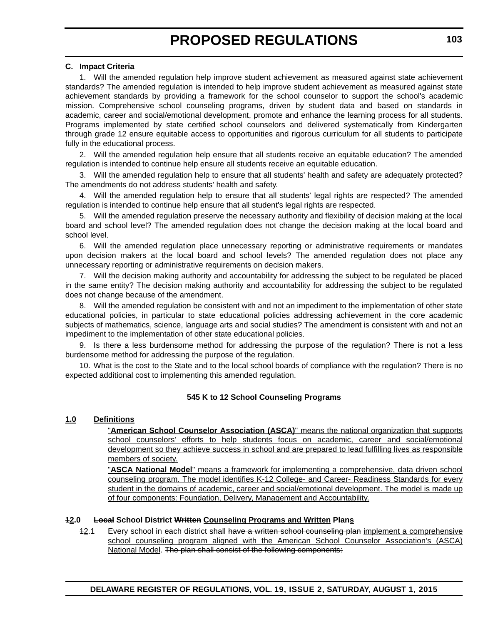#### **C. Impact Criteria**

1. Will the amended regulation help improve student achievement as measured against state achievement standards? The amended regulation is intended to help improve student achievement as measured against state achievement standards by providing a framework for the school counselor to support the school's academic mission. Comprehensive school counseling programs, driven by student data and based on standards in academic, career and social/emotional development, promote and enhance the learning process for all students. Programs implemented by state certified school counselors and delivered systematically from Kindergarten through grade 12 ensure equitable access to opportunities and rigorous curriculum for all students to participate fully in the educational process.

2. Will the amended regulation help ensure that all students receive an equitable education? The amended regulation is intended to continue help ensure all students receive an equitable education.

3. Will the amended regulation help to ensure that all students' health and safety are adequately protected? The amendments do not address students' health and safety.

4. Will the amended regulation help to ensure that all students' legal rights are respected? The amended regulation is intended to continue help ensure that all student's legal rights are respected.

5. Will the amended regulation preserve the necessary authority and flexibility of decision making at the local board and school level? The amended regulation does not change the decision making at the local board and school level.

6. Will the amended regulation place unnecessary reporting or administrative requirements or mandates upon decision makers at the local board and school levels? The amended regulation does not place any unnecessary reporting or administrative requirements on decision makers.

7. Will the decision making authority and accountability for addressing the subject to be regulated be placed in the same entity? The decision making authority and accountability for addressing the subject to be regulated does not change because of the amendment.

8. Will the amended regulation be consistent with and not an impediment to the implementation of other state educational policies, in particular to state educational policies addressing achievement in the core academic subjects of mathematics, science, language arts and social studies? The amendment is consistent with and not an impediment to the implementation of other state educational policies.

9. Is there a less burdensome method for addressing the purpose of the regulation? There is not a less burdensome method for addressing the purpose of the regulation.

10. What is the cost to the State and to the local school boards of compliance with the regulation? There is no expected additional cost to implementing this amended regulation.

#### **545 K to 12 School Counseling Programs**

#### **1.0 Definitions**

"**American School Counselor Association (ASCA)**" means the national organization that supports school counselors' efforts to help students focus on academic, career and social/emotional development so they achieve success in school and are prepared to lead fulfilling lives as responsible members of society.

"**ASCA National Model**" means a framework for implementing a comprehensive, data driven school counseling program. The model identifies K-12 College- and Career- Readiness Standards for every student in the domains of academic, career and social/emotional development. The model is made up of four components: Foundation, Delivery, Management and Accountability.

#### **12.0 Local School District Written Counseling Programs and Written Plans**

12.1 Every school in each district shall have a written school counseling plan implement a comprehensive school counseling program aligned with the American School Counselor Association's (ASCA) National Model. The plan shall consist of the following components: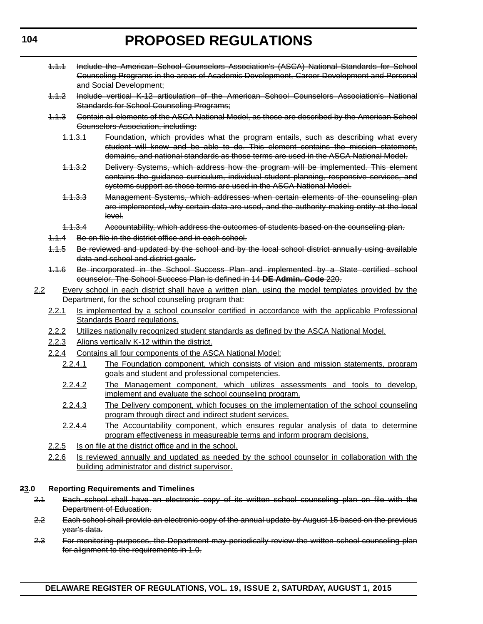- 1.1.1 Include the American School Counselors Association's (ASCA) National Standards for School Counseling Programs in the areas of Academic Development, Career Development and Personal and Social Development;
- 1.1.2 Include vertical K-12 articulation of the American School Counselors Association's National Standards for School Counseling Programs;
- 1.1.3 Contain all elements of the ASCA National Model, as those are described by the American School Counselors Association, including:
	- 1.1.3.1 Foundation, which provides what the program entails, such as describing what every student will know and be able to do. This element contains the mission statement, domains, and national standards as those terms are used in the ASCA National Model.
	- 1.1.3.2 Delivery Systems, which address how the program will be implemented. This element contains the guidance curriculum, individual student planning, responsive services, and systems support as those terms are used in the ASCA National Model.
	- 1.1.3.3 Management Systems, which addresses when certain elements of the counseling plan are implemented, why certain data are used, and the authority making entity at the local level.
	- 1.1.3.4 Accountability, which address the outcomes of students based on the counseling plan.
- 1.1.4 Be on file in the district office and in each school.
- 1.1.5 Be reviewed and updated by the school and by the local school district annually using available data and school and district goals.
- 1.1.6 Be incorporated in the School Success Plan and implemented by a State certified school counselor. The School Success Plan is defined in 14 **DE Admin. Code** 220.
- 2.2 Every school in each district shall have a written plan, using the model templates provided by the Department, for the school counseling program that:
	- 2.2.1 Is implemented by a school counselor certified in accordance with the applicable Professional Standards Board regulations.
	- 2.2.2 Utilizes nationally recognized student standards as defined by the ASCA National Model.
	- 2.2.3 Aligns vertically K-12 within the district.
	- 2.2.4 Contains all four components of the ASCA National Model:
		- 2.2.4.1 The Foundation component, which consists of vision and mission statements, program goals and student and professional competencies.
		- 2.2.4.2 The Management component, which utilizes assessments and tools to develop, implement and evaluate the school counseling program.
		- 2.2.4.3 The Delivery component, which focuses on the implementation of the school counseling program through direct and indirect student services.
		- 2.2.4.4 The Accountability component, which ensures regular analysis of data to determine program effectiveness in measureable terms and inform program decisions.
	- 2.2.5 Is on file at the district office and in the school.
	- 2.2.6 Is reviewed annually and updated as needed by the school counselor in collaboration with the building administrator and district supervisor.

#### **23.0 Reporting Requirements and Timelines**

- 2.1 Each school shall have an electronic copy of its written school counseling plan on file with the Department of Education.
- 2.2 Each school shall provide an electronic copy of the annual update by August 15 based on the previous year's data.
- 2.3 For monitoring purposes, the Department may periodically review the written school counseling plan for alignment to the requirements in 1.0.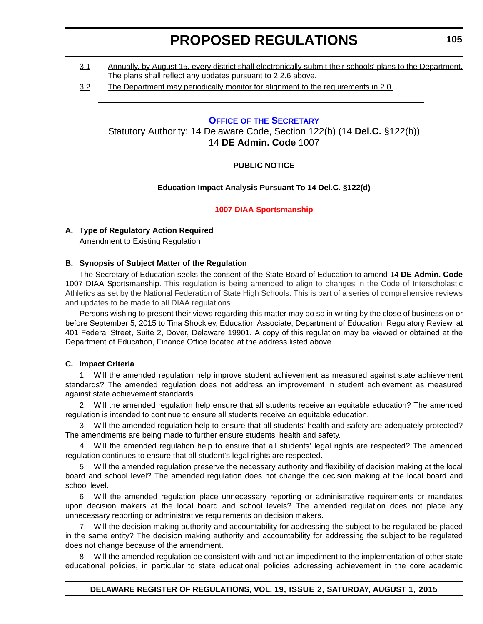- <span id="page-21-0"></span>3.1 Annually, by August 15, every district shall electronically submit their schools' plans to the Department. The plans shall reflect any updates pursuant to 2.2.6 above.
- 3.2 The Department may periodically monitor for alignment to the requirements in 2.0.

#### **OFFICE OF [THE SECRETARY](https://pubapps.doe.k12.de.us/EducationalDirectoryPublic/pages/DDOE/Default.aspx)**

Statutory Authority: 14 Delaware Code, Section 122(b) (14 **Del.C.** §122(b)) 14 **DE Admin. Code** 1007

#### **PUBLIC NOTICE**

#### **Education Impact Analysis Pursuant To 14 Del.C**. **§122(d)**

#### **[1007 DIAA Sportsmanship](#page-3-0)**

#### **A. Type of Regulatory Action Required**

Amendment to Existing Regulation

#### **B. Synopsis of Subject Matter of the Regulation**

The Secretary of Education seeks the consent of the State Board of Education to amend 14 **DE Admin. Code** 1007 DIAA Sportsmanship. This regulation is being amended to align to changes in the Code of Interscholastic Athletics as set by the National Federation of State High Schools. This is part of a series of comprehensive reviews and updates to be made to all DIAA regulations.

Persons wishing to present their views regarding this matter may do so in writing by the close of business on or before September 5, 2015 to Tina Shockley, Education Associate, Department of Education, Regulatory Review, at 401 Federal Street, Suite 2, Dover, Delaware 19901. A copy of this regulation may be viewed or obtained at the Department of Education, Finance Office located at the address listed above.

#### **C. Impact Criteria**

1. Will the amended regulation help improve student achievement as measured against state achievement standards? The amended regulation does not address an improvement in student achievement as measured against state achievement standards.

2. Will the amended regulation help ensure that all students receive an equitable education? The amended regulation is intended to continue to ensure all students receive an equitable education.

3. Will the amended regulation help to ensure that all students' health and safety are adequately protected? The amendments are being made to further ensure students' health and safety.

4. Will the amended regulation help to ensure that all students' legal rights are respected? The amended regulation continues to ensure that all student's legal rights are respected.

5. Will the amended regulation preserve the necessary authority and flexibility of decision making at the local board and school level? The amended regulation does not change the decision making at the local board and school level.

6. Will the amended regulation place unnecessary reporting or administrative requirements or mandates upon decision makers at the local board and school levels? The amended regulation does not place any unnecessary reporting or administrative requirements on decision makers.

7. Will the decision making authority and accountability for addressing the subject to be regulated be placed in the same entity? The decision making authority and accountability for addressing the subject to be regulated does not change because of the amendment.

8. Will the amended regulation be consistent with and not an impediment to the implementation of other state educational policies, in particular to state educational policies addressing achievement in the core academic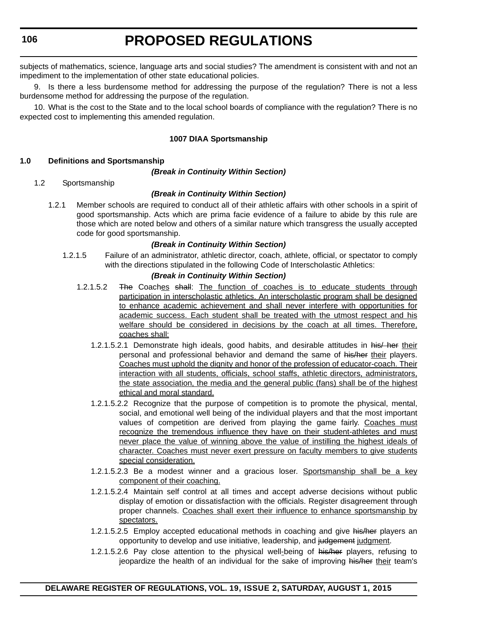subjects of mathematics, science, language arts and social studies? The amendment is consistent with and not an impediment to the implementation of other state educational policies.

9. Is there a less burdensome method for addressing the purpose of the regulation? There is not a less burdensome method for addressing the purpose of the regulation.

10. What is the cost to the State and to the local school boards of compliance with the regulation? There is no expected cost to implementing this amended regulation.

#### **1007 DIAA Sportsmanship**

#### **1.0 Definitions and Sportsmanship**

#### *(Break in Continuity Within Section)*

#### 1.2 Sportsmanship

#### *(Break in Continuity Within Section)*

1.2.1 Member schools are required to conduct all of their athletic affairs with other schools in a spirit of good sportsmanship. Acts which are prima facie evidence of a failure to abide by this rule are those which are noted below and others of a similar nature which transgress the usually accepted code for good sportsmanship.

#### *(Break in Continuity Within Section)*

1.2.1.5 Failure of an administrator, athletic director, coach, athlete, official, or spectator to comply with the directions stipulated in the following Code of Interscholastic Athletics:

- 1.2.1.5.2 The Coaches shall: The function of coaches is to educate students through participation in interscholastic athletics. An interscholastic program shall be designed to enhance academic achievement and shall never interfere with opportunities for academic success. Each student shall be treated with the utmost respect and his welfare should be considered in decisions by the coach at all times. Therefore, coaches shall:
	- 1.2.1.5.2.1 Demonstrate high ideals, good habits, and desirable attitudes in his/her their personal and professional behavior and demand the same of his/her their players. Coaches must uphold the dignity and honor of the profession of educator-coach. Their interaction with all students, officials, school staffs, athletic directors, administrators, the state association, the media and the general public (fans) shall be of the highest ethical and moral standard.
	- 1.2.1.5.2.2 Recognize that the purpose of competition is to promote the physical, mental, social, and emotional well being of the individual players and that the most important values of competition are derived from playing the game fairly. Coaches must recognize the tremendous influence they have on their student-athletes and must never place the value of winning above the value of instilling the highest ideals of character. Coaches must never exert pressure on faculty members to give students special consideration.
	- 1.2.1.5.2.3 Be a modest winner and a gracious loser. Sportsmanship shall be a key component of their coaching.
	- 1.2.1.5.2.4 Maintain self control at all times and accept adverse decisions without public display of emotion or dissatisfaction with the officials. Register disagreement through proper channels. Coaches shall exert their influence to enhance sportsmanship by spectators.
	- 1.2.1.5.2.5 Employ accepted educational methods in coaching and give his/her players an opportunity to develop and use initiative, leadership, and judgement judgment.
	- 1.2.1.5.2.6 Pay close attention to the physical well-being of his/her players, refusing to jeopardize the health of an individual for the sake of improving his/her their team's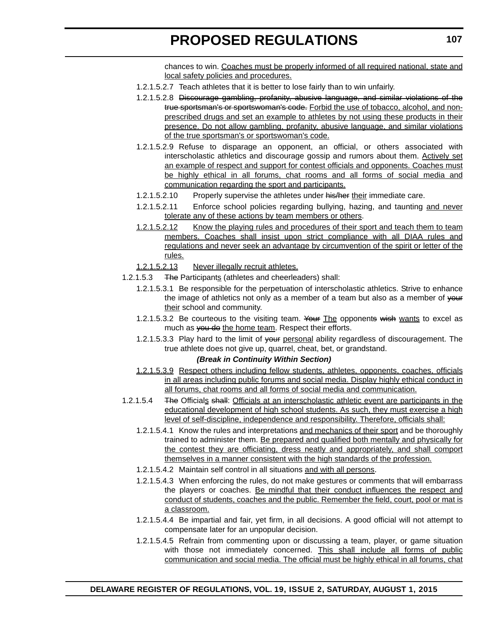chances to win. Coaches must be properly informed of all required national, state and local safety policies and procedures.

- 1.2.1.5.2.7 Teach athletes that it is better to lose fairly than to win unfairly.
- 1.2.1.5.2.8 Discourage gambling, profanity, abusive language, and similar violations of the true sportsman's or sportswoman's code. Forbid the use of tobacco, alcohol, and nonprescribed drugs and set an example to athletes by not using these products in their presence. Do not allow gambling, profanity, abusive language, and similar violations of the true sportsman's or sportswoman's code.
- 1.2.1.5.2.9 Refuse to disparage an opponent, an official, or others associated with interscholastic athletics and discourage gossip and rumors about them. Actively set an example of respect and support for contest officials and opponents. Coaches must be highly ethical in all forums, chat rooms and all forms of social media and communication regarding the sport and participants.
- 1.2.1.5.2.10 Properly supervise the athletes under his/her their immediate care.
- 1.2.1.5.2.11 Enforce school policies regarding bullying, hazing, and taunting and never tolerate any of these actions by team members or others.
- 1.2.1.5.2.12 Know the playing rules and procedures of their sport and teach them to team members. Coaches shall insist upon strict compliance with all DIAA rules and regulations and never seek an advantage by circumvention of the spirit or letter of the rules.
- 1.2.1.5.2.13 Never illegally recruit athletes.
- 1.2.1.5.3 The Participants (athletes and cheerleaders) shall:
	- 1.2.1.5.3.1 Be responsible for the perpetuation of interscholastic athletics. Strive to enhance the image of athletics not only as a member of a team but also as a member of your their school and community.
	- 1.2.1.5.3.2 Be courteous to the visiting team. Your The opponents wish wants to excel as much as you do the home team. Respect their efforts.
	- 1.2.1.5.3.3 Play hard to the limit of your personal ability regardless of discouragement. The true athlete does not give up, quarrel, cheat, bet, or grandstand.

- 1.2.1.5.3.9 Respect others including fellow students, athletes, opponents, coaches, officials in all areas including public forums and social media. Display highly ethical conduct in all forums, chat rooms and all forms of social media and communication.
- 1.2.1.5.4 The Officials shall: Officials at an interscholastic athletic event are participants in the educational development of high school students. As such, they must exercise a high level of self-discipline, independence and responsibility. Therefore, officials shall:
	- 1.2.1.5.4.1 Know the rules and interpretations and mechanics of their sport and be thoroughly trained to administer them. Be prepared and qualified both mentally and physically for the contest they are officiating, dress neatly and appropriately, and shall comport themselves in a manner consistent with the high standards of the profession.
	- 1.2.1.5.4.2 Maintain self control in all situations and with all persons.
	- 1.2.1.5.4.3 When enforcing the rules, do not make gestures or comments that will embarrass the players or coaches. Be mindful that their conduct influences the respect and conduct of students, coaches and the public. Remember the field, court, pool or mat is a classroom.
	- 1.2.1.5.4.4 Be impartial and fair, yet firm, in all decisions. A good official will not attempt to compensate later for an unpopular decision.
	- 1.2.1.5.4.5 Refrain from commenting upon or discussing a team, player, or game situation with those not immediately concerned. This shall include all forms of public communication and social media. The official must be highly ethical in all forums, chat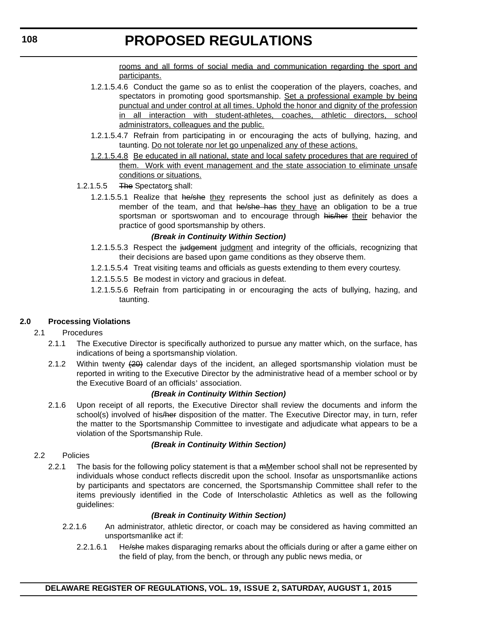rooms and all forms of social media and communication regarding the sport and participants.

- 1.2.1.5.4.6 Conduct the game so as to enlist the cooperation of the players, coaches, and spectators in promoting good sportsmanship. Set a professional example by being punctual and under control at all times. Uphold the honor and dignity of the profession in all interaction with student-athletes, coaches, athletic directors, school administrators, colleagues and the public.
- 1.2.1.5.4.7 Refrain from participating in or encouraging the acts of bullying, hazing, and taunting. Do not tolerate nor let go unpenalized any of these actions.
- 1.2.1.5.4.8 Be educated in all national, state and local safety procedures that are required of them. Work with event management and the state association to eliminate unsafe conditions or situations.
- 1.2.1.5.5 The Spectators shall:
	- 1.2.1.5.5.1 Realize that he/she they represents the school just as definitely as does a member of the team, and that he/she has they have an obligation to be a true sportsman or sportswoman and to encourage through his/her their behavior the practice of good sportsmanship by others.

#### *(Break in Continuity Within Section)*

- 1.2.1.5.5.3 Respect the judgement judgment and integrity of the officials, recognizing that their decisions are based upon game conditions as they observe them.
- 1.2.1.5.5.4 Treat visiting teams and officials as guests extending to them every courtesy.
- 1.2.1.5.5.5 Be modest in victory and gracious in defeat.
- 1.2.1.5.5.6 Refrain from participating in or encouraging the acts of bullying, hazing, and taunting.

#### **2.0 Processing Violations**

#### 2.1 Procedures

- 2.1.1 The Executive Director is specifically authorized to pursue any matter which, on the surface, has indications of being a sportsmanship violation.
- 2.1.2 Within twenty  $(20)$  calendar days of the incident, an alleged sportsmanship violation must be reported in writing to the Executive Director by the administrative head of a member school or by the Executive Board of an officials' association.

#### *(Break in Continuity Within Section)*

2.1.6 Upon receipt of all reports, the Executive Director shall review the documents and inform the school(s) involved of his/her disposition of the matter. The Executive Director may, in turn, refer the matter to the Sportsmanship Committee to investigate and adjudicate what appears to be a violation of the Sportsmanship Rule.

#### *(Break in Continuity Within Section)*

- 2.2 Policies
	- 2.2.1 The basis for the following policy statement is that a mMember school shall not be represented by individuals whose conduct reflects discredit upon the school. Insofar as unsportsmanlike actions by participants and spectators are concerned, the Sportsmanship Committee shall refer to the items previously identified in the Code of Interscholastic Athletics as well as the following guidelines:

- 2.2.1.6 An administrator, athletic director, or coach may be considered as having committed an unsportsmanlike act if:
	- 2.2.1.6.1 He/she makes disparaging remarks about the officials during or after a game either on the field of play, from the bench, or through any public news media, or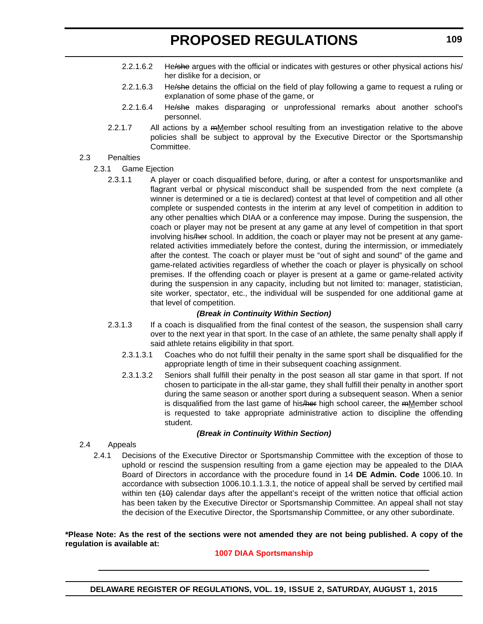- 2.2.1.6.2 He/she argues with the official or indicates with gestures or other physical actions his/ her dislike for a decision, or
- 2.2.1.6.3 He/she detains the official on the field of play following a game to request a ruling or explanation of some phase of the game, or
- 2.2.1.6.4 He/she makes disparaging or unprofessional remarks about another school's personnel.
- 2.2.1.7 All actions by a meMember school resulting from an investigation relative to the above policies shall be subject to approval by the Executive Director or the Sportsmanship Committee.

#### 2.3 Penalties

- 2.3.1 Game Ejection
	- 2.3.1.1 A player or coach disqualified before, during, or after a contest for unsportsmanlike and flagrant verbal or physical misconduct shall be suspended from the next complete (a winner is determined or a tie is declared) contest at that level of competition and all other complete or suspended contests in the interim at any level of competition in addition to any other penalties which DIAA or a conference may impose. During the suspension, the coach or player may not be present at any game at any level of competition in that sport involving his/her school. In addition, the coach or player may not be present at any gamerelated activities immediately before the contest, during the intermission, or immediately after the contest. The coach or player must be "out of sight and sound" of the game and game-related activities regardless of whether the coach or player is physically on school premises. If the offending coach or player is present at a game or game-related activity during the suspension in any capacity, including but not limited to: manager, statistician, site worker, spectator, etc., the individual will be suspended for one additional game at that level of competition.

#### *(Break in Continuity Within Section)*

- 2.3.1.3 If a coach is disqualified from the final contest of the season, the suspension shall carry over to the next year in that sport. In the case of an athlete, the same penalty shall apply if said athlete retains eligibility in that sport.
	- 2.3.1.3.1 Coaches who do not fulfill their penalty in the same sport shall be disqualified for the appropriate length of time in their subsequent coaching assignment.
	- 2.3.1.3.2 Seniors shall fulfill their penalty in the post season all star game in that sport. If not chosen to participate in the all-star game, they shall fulfill their penalty in another sport during the same season or another sport during a subsequent season. When a senior is disqualified from the last game of his/her high school career, the  $m$  member school is requested to take appropriate administrative action to discipline the offending student.

#### *(Break in Continuity Within Section)*

- 2.4 Appeals
	- 2.4.1 Decisions of the Executive Director or Sportsmanship Committee with the exception of those to uphold or rescind the suspension resulting from a game ejection may be appealed to the DIAA Board of Directors in accordance with the procedure found in 14 **DE Admin. Code** 1006.10. In accordance with subsection 1006.10.1.1.3.1, the notice of appeal shall be served by certified mail within ten (10) calendar days after the appellant's receipt of the written notice that official action has been taken by the Executive Director or Sportsmanship Committee. An appeal shall not stay the decision of the Executive Director, the Sportsmanship Committee, or any other subordinate.

#### **\*Please Note: As the rest of the sections were not amended they are not being published. A copy of the regulation is available at:**

#### **[1007 DIAA Sportsmanship](http://regulations.delaware.gov/register/august2015/proposed/19 DE Reg 105 08-01-15.htm)**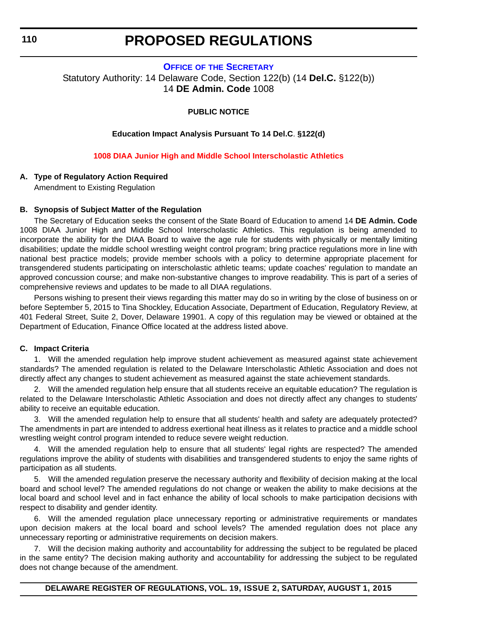#### **OFFICE OF [THE SECRETARY](https://pubapps.doe.k12.de.us/EducationalDirectoryPublic/pages/DDOE/Default.aspx)**

<span id="page-26-0"></span>Statutory Authority: 14 Delaware Code, Section 122(b) (14 **Del.C.** §122(b)) 14 **DE Admin. Code** 1008

#### **PUBLIC NOTICE**

#### **Education Impact Analysis Pursuant To 14 Del.C**. **§122(d)**

#### **[1008 DIAA Junior High and Middle School Interscholastic Athletics](#page-3-0)**

#### **A. Type of Regulatory Action Required**

Amendment to Existing Regulation

#### **B. Synopsis of Subject Matter of the Regulation**

The Secretary of Education seeks the consent of the State Board of Education to amend 14 **DE Admin. Code** 1008 DIAA Junior High and Middle School Interscholastic Athletics. This regulation is being amended to incorporate the ability for the DIAA Board to waive the age rule for students with physically or mentally limiting disabilities; update the middle school wrestling weight control program; bring practice regulations more in line with national best practice models; provide member schools with a policy to determine appropriate placement for transgendered students participating on interscholastic athletic teams; update coaches' regulation to mandate an approved concussion course; and make non-substantive changes to improve readability. This is part of a series of comprehensive reviews and updates to be made to all DIAA regulations.

Persons wishing to present their views regarding this matter may do so in writing by the close of business on or before September 5, 2015 to Tina Shockley, Education Associate, Department of Education, Regulatory Review, at 401 Federal Street, Suite 2, Dover, Delaware 19901. A copy of this regulation may be viewed or obtained at the Department of Education, Finance Office located at the address listed above.

#### **C. Impact Criteria**

1. Will the amended regulation help improve student achievement as measured against state achievement standards? The amended regulation is related to the Delaware Interscholastic Athletic Association and does not directly affect any changes to student achievement as measured against the state achievement standards.

2. Will the amended regulation help ensure that all students receive an equitable education? The regulation is related to the Delaware Interscholastic Athletic Association and does not directly affect any changes to students' ability to receive an equitable education.

3. Will the amended regulation help to ensure that all students' health and safety are adequately protected? The amendments in part are intended to address exertional heat illness as it relates to practice and a middle school wrestling weight control program intended to reduce severe weight reduction.

4. Will the amended regulation help to ensure that all students' legal rights are respected? The amended regulations improve the ability of students with disabilities and transgendered students to enjoy the same rights of participation as all students.

5. Will the amended regulation preserve the necessary authority and flexibility of decision making at the local board and school level? The amended regulations do not change or weaken the ability to make decisions at the local board and school level and in fact enhance the ability of local schools to make participation decisions with respect to disability and gender identity.

6. Will the amended regulation place unnecessary reporting or administrative requirements or mandates upon decision makers at the local board and school levels? The amended regulation does not place any unnecessary reporting or administrative requirements on decision makers.

7. Will the decision making authority and accountability for addressing the subject to be regulated be placed in the same entity? The decision making authority and accountability for addressing the subject to be regulated does not change because of the amendment.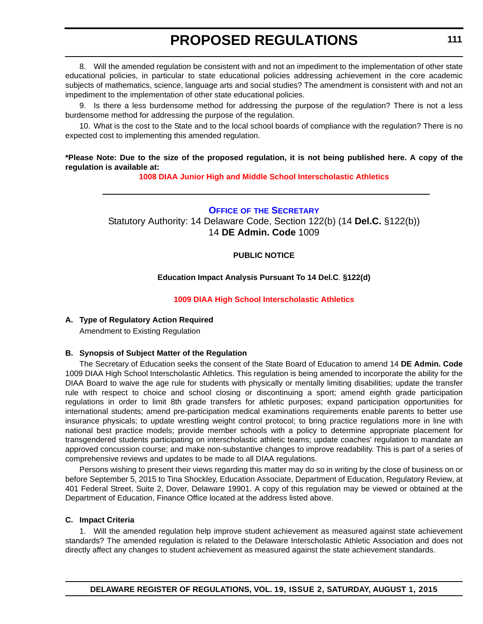<span id="page-27-0"></span>8. Will the amended regulation be consistent with and not an impediment to the implementation of other state educational policies, in particular to state educational policies addressing achievement in the core academic subjects of mathematics, science, language arts and social studies? The amendment is consistent with and not an impediment to the implementation of other state educational policies.

9. Is there a less burdensome method for addressing the purpose of the regulation? There is not a less burdensome method for addressing the purpose of the regulation.

10. What is the cost to the State and to the local school boards of compliance with the regulation? There is no expected cost to implementing this amended regulation.

#### **\*Please Note: Due to the size of the proposed regulation, it is not being published here. A copy of the regulation is available at:**

**[1008 DIAA Junior High and Middle School Interscholastic Athletics](http://regulations.delaware.gov/register/august2015/proposed/19 DE Reg 110 08-01-15.htm)**

#### **OFFICE OF [THE SECRETARY](https://pubapps.doe.k12.de.us/EducationalDirectoryPublic/pages/DDOE/Default.aspx)**

Statutory Authority: 14 Delaware Code, Section 122(b) (14 **Del.C.** §122(b)) 14 **DE Admin. Code** 1009

#### **PUBLIC NOTICE**

#### **Education Impact Analysis Pursuant To 14 Del.C**. **§122(d)**

#### **[1009 DIAA High School Interscholastic Athletics](#page-3-0)**

#### **A. Type of Regulatory Action Required**

Amendment to Existing Regulation

#### **B. Synopsis of Subject Matter of the Regulation**

The Secretary of Education seeks the consent of the State Board of Education to amend 14 **DE Admin. Code** 1009 DIAA High School Interscholastic Athletics. This regulation is being amended to incorporate the ability for the DIAA Board to waive the age rule for students with physically or mentally limiting disabilities; update the transfer rule with respect to choice and school closing or discontinuing a sport; amend eighth grade participation regulations in order to limit 8th grade transfers for athletic purposes; expand participation opportunities for international students; amend pre-participation medical examinations requirements enable parents to better use insurance physicals; to update wrestling weight control protocol; to bring practice regulations more in line with national best practice models; provide member schools with a policy to determine appropriate placement for transgendered students participating on interscholastic athletic teams; update coaches' regulation to mandate an approved concussion course; and make non-substantive changes to improve readability. This is part of a series of comprehensive reviews and updates to be made to all DIAA regulations.

Persons wishing to present their views regarding this matter may do so in writing by the close of business on or before September 5, 2015 to Tina Shockley, Education Associate, Department of Education, Regulatory Review, at 401 Federal Street, Suite 2, Dover, Delaware 19901. A copy of this regulation may be viewed or obtained at the Department of Education, Finance Office located at the address listed above.

#### **C. Impact Criteria**

1. Will the amended regulation help improve student achievement as measured against state achievement standards? The amended regulation is related to the Delaware Interscholastic Athletic Association and does not directly affect any changes to student achievement as measured against the state achievement standards.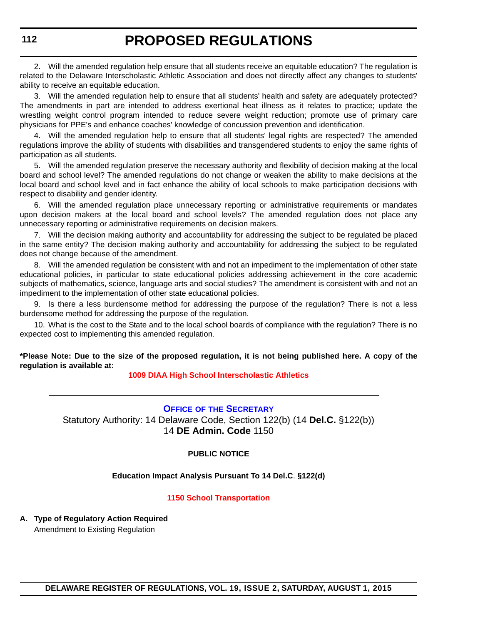<span id="page-28-0"></span>2. Will the amended regulation help ensure that all students receive an equitable education? The regulation is related to the Delaware Interscholastic Athletic Association and does not directly affect any changes to students' ability to receive an equitable education.

3. Will the amended regulation help to ensure that all students' health and safety are adequately protected? The amendments in part are intended to address exertional heat illness as it relates to practice; update the wrestling weight control program intended to reduce severe weight reduction; promote use of primary care physicians for PPE's and enhance coaches' knowledge of concussion prevention and identification.

4. Will the amended regulation help to ensure that all students' legal rights are respected? The amended regulations improve the ability of students with disabilities and transgendered students to enjoy the same rights of participation as all students.

5. Will the amended regulation preserve the necessary authority and flexibility of decision making at the local board and school level? The amended regulations do not change or weaken the ability to make decisions at the local board and school level and in fact enhance the ability of local schools to make participation decisions with respect to disability and gender identity.

6. Will the amended regulation place unnecessary reporting or administrative requirements or mandates upon decision makers at the local board and school levels? The amended regulation does not place any unnecessary reporting or administrative requirements on decision makers.

7. Will the decision making authority and accountability for addressing the subject to be regulated be placed in the same entity? The decision making authority and accountability for addressing the subject to be regulated does not change because of the amendment.

Will the amended regulation be consistent with and not an impediment to the implementation of other state educational policies, in particular to state educational policies addressing achievement in the core academic subjects of mathematics, science, language arts and social studies? The amendment is consistent with and not an impediment to the implementation of other state educational policies.

9. Is there a less burdensome method for addressing the purpose of the regulation? There is not a less burdensome method for addressing the purpose of the regulation.

10. What is the cost to the State and to the local school boards of compliance with the regulation? There is no expected cost to implementing this amended regulation.

**\*Please Note: Due to the size of the proposed regulation, it is not being published here. A copy of the regulation is available at:**

**[1009 DIAA High School Interscholastic Athletics](http://regulations.delaware.gov/register/august2015/proposed/19 DE Reg 111 08-01-15.htm)**

#### **OFFICE OF [THE SECRETARY](https://pubapps.doe.k12.de.us/EducationalDirectoryPublic/pages/DDOE/Default.aspx)**

Statutory Authority: 14 Delaware Code, Section 122(b) (14 **Del.C.** §122(b)) 14 **DE Admin. Code** 1150

#### **PUBLIC NOTICE**

**Education Impact Analysis Pursuant To 14 Del.C**. **§122(d)**

#### **[1150 School Transportation](#page-3-0)**

**A. Type of Regulatory Action Required** Amendment to Existing Regulation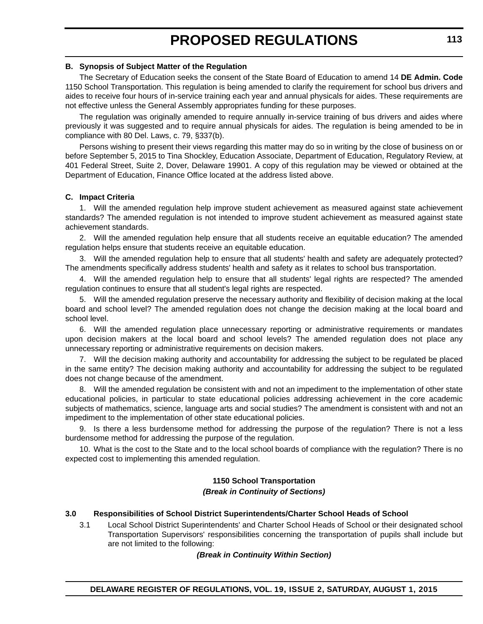#### **B. Synopsis of Subject Matter of the Regulation**

The Secretary of Education seeks the consent of the State Board of Education to amend 14 **DE Admin. Code** 1150 School Transportation. This regulation is being amended to clarify the requirement for school bus drivers and aides to receive four hours of in-service training each year and annual physicals for aides. These requirements are not effective unless the General Assembly appropriates funding for these purposes.

The regulation was originally amended to require annually in-service training of bus drivers and aides where previously it was suggested and to require annual physicals for aides. The regulation is being amended to be in compliance with 80 Del. Laws, c. 79, §337(b).

Persons wishing to present their views regarding this matter may do so in writing by the close of business on or before September 5, 2015 to Tina Shockley, Education Associate, Department of Education, Regulatory Review, at 401 Federal Street, Suite 2, Dover, Delaware 19901. A copy of this regulation may be viewed or obtained at the Department of Education, Finance Office located at the address listed above.

#### **C. Impact Criteria**

1. Will the amended regulation help improve student achievement as measured against state achievement standards? The amended regulation is not intended to improve student achievement as measured against state achievement standards.

2. Will the amended regulation help ensure that all students receive an equitable education? The amended regulation helps ensure that students receive an equitable education.

3. Will the amended regulation help to ensure that all students' health and safety are adequately protected? The amendments specifically address students' health and safety as it relates to school bus transportation.

4. Will the amended regulation help to ensure that all students' legal rights are respected? The amended regulation continues to ensure that all student's legal rights are respected.

5. Will the amended regulation preserve the necessary authority and flexibility of decision making at the local board and school level? The amended regulation does not change the decision making at the local board and school level.

6. Will the amended regulation place unnecessary reporting or administrative requirements or mandates upon decision makers at the local board and school levels? The amended regulation does not place any unnecessary reporting or administrative requirements on decision makers.

7. Will the decision making authority and accountability for addressing the subject to be regulated be placed in the same entity? The decision making authority and accountability for addressing the subject to be regulated does not change because of the amendment.

Will the amended regulation be consistent with and not an impediment to the implementation of other state educational policies, in particular to state educational policies addressing achievement in the core academic subjects of mathematics, science, language arts and social studies? The amendment is consistent with and not an impediment to the implementation of other state educational policies.

9. Is there a less burdensome method for addressing the purpose of the regulation? There is not a less burdensome method for addressing the purpose of the regulation.

10. What is the cost to the State and to the local school boards of compliance with the regulation? There is no expected cost to implementing this amended regulation.

#### **1150 School Transportation** *(Break in Continuity of Sections)*

#### **3.0 Responsibilities of School District Superintendents/Charter School Heads of School**

3.1 Local School District Superintendents' and Charter School Heads of School or their designated school Transportation Supervisors' responsibilities concerning the transportation of pupils shall include but are not limited to the following: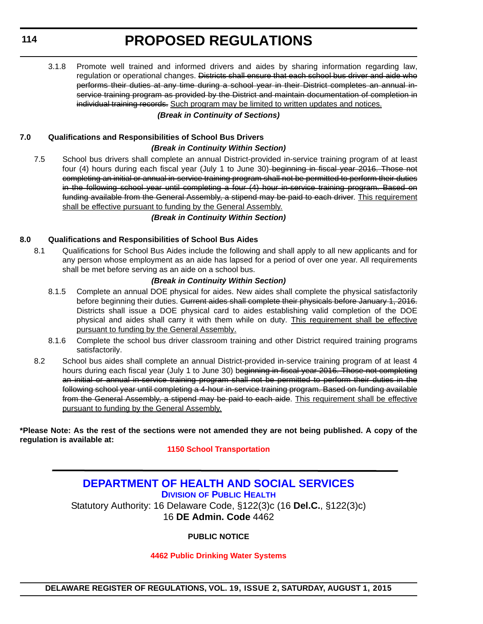#### <span id="page-30-0"></span>**114**

# **PROPOSED REGULATIONS**

3.1.8 Promote well trained and informed drivers and aides by sharing information regarding law, regulation or operational changes. <del>Districts shall ensure that each school bus driver and aide who</del> performs their duties at any time during a school year in their District completes an annual inservice training program as provided by the District and maintain documentation of completion in individual training records. Such program may be limited to written updates and notices.

#### *(Break in Continuity of Sections)*

#### **7.0 Qualifications and Responsibilities of School Bus Drivers**

#### *(Break in Continuity Within Section)*

7.5 School bus drivers shall complete an annual District-provided in-service training program of at least four (4) hours during each fiscal year (July 1 to June 30) beginning in fiscal year 2016. Those not completing an initial or annual in-service training program shall not be permitted to perform their duties in the following school year until completing a four (4) hour in-service training program. Based on funding available from the General Assembly, a stipend may be paid to each driver. This requirement shall be effective pursuant to funding by the General Assembly.

#### *(Break in Continuity Within Section)*

#### **8.0 Qualifications and Responsibilities of School Bus Aides**

8.1 Qualifications for School Bus Aides include the following and shall apply to all new applicants and for any person whose employment as an aide has lapsed for a period of over one year. All requirements shall be met before serving as an aide on a school bus.

#### *(Break in Continuity Within Section)*

- 8.1.5 Complete an annual DOE physical for aides. New aides shall complete the physical satisfactorily before beginning their duties. Current aides shall complete their physicals before January 1, 2016. Districts shall issue a DOE physical card to aides establishing valid completion of the DOE physical and aides shall carry it with them while on duty. This requirement shall be effective pursuant to funding by the General Assembly.
- 8.1.6 Complete the school bus driver classroom training and other District required training programs satisfactorily.
- 8.2 School bus aides shall complete an annual District-provided in-service training program of at least 4 hours during each fiscal year (July 1 to June 30) beginning in fiscal year 2016. Those not completing an initial or annual in-service training program shall not be permitted to perform their duties in the following school year until completing a 4-hour in-service training program. Based on funding available from the General Assembly, a stipend may be paid to each aide. This requirement shall be effective pursuant to funding by the General Assembly.

**\*Please Note: As the rest of the sections were not amended they are not being published. A copy of the regulation is available at:**

#### **[1150 School Transportation](http://regulations.delaware.gov/register/august2015/proposed/19 DE Reg 112 08-01-15.htm)**

### **[DEPARTMENT OF HEALTH AND SOCIAL SERVICES](http://www.dhss.delaware.gov/dhss/dph/index.html) DIVISION OF PUBLIC HEALTH** Statutory Authority: 16 Delaware Code, §122(3)c (16 **Del.C.**, §122(3)c)

16 **DE Admin. Code** 4462

#### **PUBLIC NOTICE**

#### **[4462 Public Drinking Water Systems](#page-3-0)**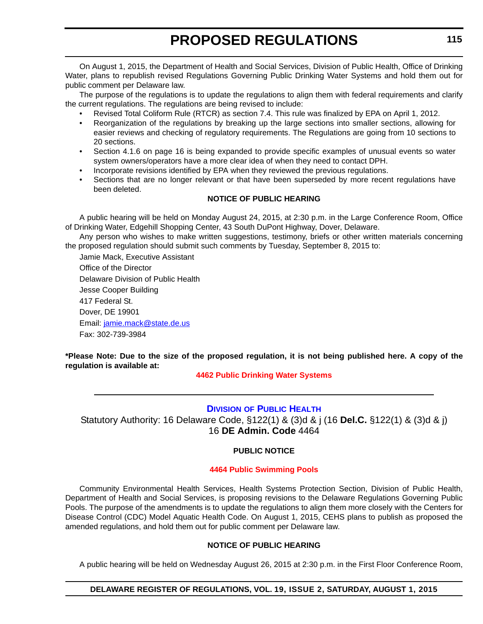<span id="page-31-0"></span>On August 1, 2015, the Department of Health and Social Services, Division of Public Health, Office of Drinking Water, plans to republish revised Regulations Governing Public Drinking Water Systems and hold them out for public comment per Delaware law.

The purpose of the regulations is to update the regulations to align them with federal requirements and clarify the current regulations. The regulations are being revised to include:

- Revised Total Coliform Rule (RTCR) as section 7.4. This rule was finalized by EPA on April 1, 2012.
- Reorganization of the regulations by breaking up the large sections into smaller sections, allowing for easier reviews and checking of regulatory requirements. The Regulations are going from 10 sections to 20 sections.
- Section 4.1.6 on page 16 is being expanded to provide specific examples of unusual events so water system owners/operators have a more clear idea of when they need to contact DPH.
- Incorporate revisions identified by EPA when they reviewed the previous regulations.
- Sections that are no longer relevant or that have been superseded by more recent regulations have been deleted.

#### **NOTICE OF PUBLIC HEARING**

A public hearing will be held on Monday August 24, 2015, at 2:30 p.m. in the Large Conference Room, Office of Drinking Water, Edgehill Shopping Center, 43 South DuPont Highway, Dover, Delaware.

Any person who wishes to make written suggestions, testimony, briefs or other written materials concerning the proposed regulation should submit such comments by Tuesday, September 8, 2015 to:

Jamie Mack, Executive Assistant Office of the Director Delaware Division of Public Health Jesse Cooper Building 417 Federal St. Dover, DE 19901 Email: jamie.mack@state.de.us Fax: 302-739-3984

**\*Please Note: Due to the size of the proposed regulation, it is not being published here. A copy of the regulation is available at:**

**[4462 Public Drinking Water Systems](http://regulations.delaware.gov/register/august2015/proposed/19 DE Reg 114 08-01-15.htm)**

#### **DIVISION [OF PUBLIC HEALTH](http://www.dhss.delaware.gov/dhss/dph/index.html)**

Statutory Authority: 16 Delaware Code, §122(1) & (3)d & j (16 **Del.C.** §122(1) & (3)d & j) 16 **DE Admin. Code** 4464

#### **PUBLIC NOTICE**

#### **[4464 Public Swimming Pools](#page-3-0)**

Community Environmental Health Services, Health Systems Protection Section, Division of Public Health, Department of Health and Social Services, is proposing revisions to the Delaware Regulations Governing Public Pools. The purpose of the amendments is to update the regulations to align them more closely with the Centers for Disease Control (CDC) Model Aquatic Health Code. On August 1, 2015, CEHS plans to publish as proposed the amended regulations, and hold them out for public comment per Delaware law.

#### **NOTICE OF PUBLIC HEARING**

A public hearing will be held on Wednesday August 26, 2015 at 2:30 p.m. in the First Floor Conference Room,

#### **DELAWARE REGISTER OF REGULATIONS, VOL. 19, ISSUE 2, SATURDAY, AUGUST 1, 2015**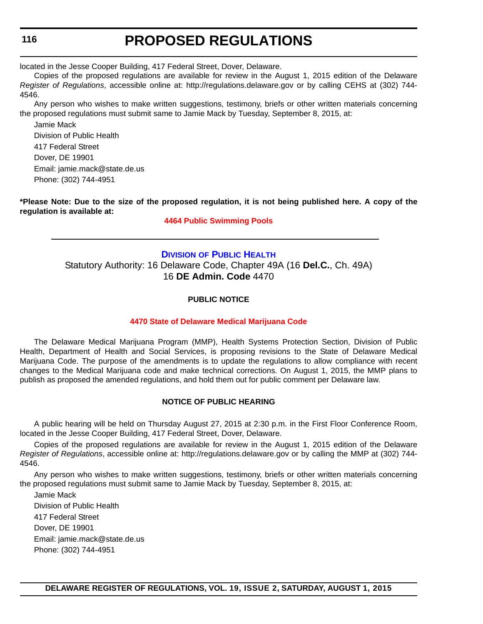<span id="page-32-0"></span>located in the Jesse Cooper Building, 417 Federal Street, Dover, Delaware.

Copies of the proposed regulations are available for review in the August 1, 2015 edition of the Delaware *Register of Regulations*, accessible online at: http://regulations.delaware.gov or by calling CEHS at (302) 744- 4546.

Any person who wishes to make written suggestions, testimony, briefs or other written materials concerning the proposed regulations must submit same to Jamie Mack by Tuesday, September 8, 2015, at:

Jamie Mack Division of Public Health 417 Federal Street Dover, DE 19901 Email: jamie.mack@state.de.us Phone: (302) 744-4951

**\*Please Note: Due to the size of the proposed regulation, it is not being published here. A copy of the regulation is available at:**

#### **[4464 Public Swimming Pools](http://regulations.delaware.gov/register/august2015/proposed/19 DE Reg 115 08-01-15.htm)**

#### **DIVISION [OF PUBLIC HEALTH](http://www.dhss.delaware.gov/dhss/dph/index.html)**

Statutory Authority: 16 Delaware Code, Chapter 49A (16 **Del.C.**, Ch. 49A) 16 **DE Admin. Code** 4470

#### **PUBLIC NOTICE**

#### **[4470 State of Delaware Medical Marijuana Code](#page-3-0)**

The Delaware Medical Marijuana Program (MMP), Health Systems Protection Section, Division of Public Health, Department of Health and Social Services, is proposing revisions to the State of Delaware Medical Marijuana Code. The purpose of the amendments is to update the regulations to allow compliance with recent changes to the Medical Marijuana code and make technical corrections. On August 1, 2015, the MMP plans to publish as proposed the amended regulations, and hold them out for public comment per Delaware law.

#### **NOTICE OF PUBLIC HEARING**

A public hearing will be held on Thursday August 27, 2015 at 2:30 p.m. in the First Floor Conference Room, located in the Jesse Cooper Building, 417 Federal Street, Dover, Delaware.

Copies of the proposed regulations are available for review in the August 1, 2015 edition of the Delaware *Register of Regulations*, accessible online at: http://regulations.delaware.gov or by calling the MMP at (302) 744- 4546.

Any person who wishes to make written suggestions, testimony, briefs or other written materials concerning the proposed regulations must submit same to Jamie Mack by Tuesday, September 8, 2015, at:

Jamie Mack Division of Public Health 417 Federal Street Dover, DE 19901 Email: jamie.mack@state.de.us Phone: (302) 744-4951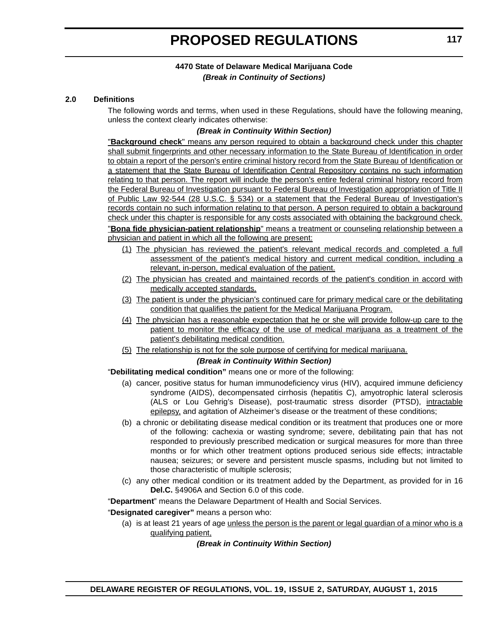#### **2.0 Definitions**

The following words and terms, when used in these Regulations, should have the following meaning, unless the context clearly indicates otherwise:

#### *(Break in Continuity Within Section)*

"**Background check**" means any person required to obtain a background check under this chapter shall submit fingerprints and other necessary information to the State Bureau of Identification in order to obtain a report of the person's entire criminal history record from the State Bureau of Identification or a statement that the State Bureau of Identification Central Repository contains no such information relating to that person. The report will include the person's entire federal criminal history record from the Federal Bureau of Investigation pursuant to Federal Bureau of Investigation appropriation of Title II of Public Law 92-544 (28 U.S.C. § 534) or a statement that the Federal Bureau of Investigation's records contain no such information relating to that person. A person required to obtain a background check under this chapter is responsible for any costs associated with obtaining the background check.

"**Bona fide physician-patient relationship**" means a treatment or counseling relationship between a physician and patient in which all the following are present:

- (1) The physician has reviewed the patient's relevant medical records and completed a full assessment of the patient's medical history and current medical condition, including a relevant, in-person, medical evaluation of the patient.
- (2) The physician has created and maintained records of the patient's condition in accord with medically accepted standards.
- (3) The patient is under the physician's continued care for primary medical care or the debilitating condition that qualifies the patient for the Medical Marijuana Program.
- (4) The physician has a reasonable expectation that he or she will provide follow-up care to the patient to monitor the efficacy of the use of medical marijuana as a treatment of the patient's debilitating medical condition.
- (5) The relationship is not for the sole purpose of certifying for medical marijuana.

#### *(Break in Continuity Within Section)*

"**Debilitating medical condition"** means one or more of the following:

- (a) cancer, positive status for human immunodeficiency virus (HIV), acquired immune deficiency syndrome (AIDS), decompensated cirrhosis (hepatitis C), amyotrophic lateral sclerosis (ALS or Lou Gehrig's Disease), post-traumatic stress disorder (PTSD), intractable epilepsy, and agitation of Alzheimer's disease or the treatment of these conditions;
- (b) a chronic or debilitating disease medical condition or its treatment that produces one or more of the following: cachexia or wasting syndrome; severe, debilitating pain that has not responded to previously prescribed medication or surgical measures for more than three months or for which other treatment options produced serious side effects; intractable nausea; seizures; or severe and persistent muscle spasms, including but not limited to those characteristic of multiple sclerosis;
- (c) any other medical condition or its treatment added by the Department, as provided for in 16 **Del.C.** §4906A and Section 6.0 of this code.

"**Department**" means the Delaware Department of Health and Social Services.

#### "**Designated caregiver"** means a person who:

(a) is at least 21 years of age unless the person is the parent or legal guardian of a minor who is a qualifying patient,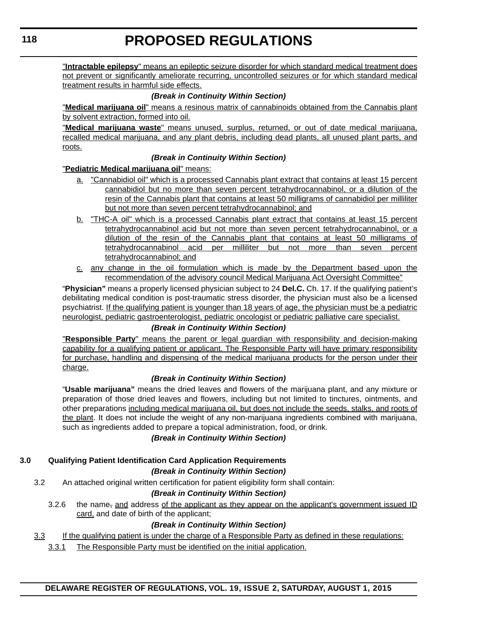"**Intractable epilepsy**" means an epileptic seizure disorder for which standard medical treatment does not prevent or significantly ameliorate recurring, uncontrolled seizures or for which standard medical treatment results in harmful side effects.

#### *(Break in Continuity Within Section)*

"**Medical marijuana oil**" means a resinous matrix of cannabinoids obtained from the Cannabis plant by solvent extraction, formed into oil.

"**Medical marijuana waste**" means unused, surplus, returned, or out of date medical marijuana, recalled medical marijuana, and any plant debris, including dead plants, all unused plant parts, and roots.

#### *(Break in Continuity Within Section)*

"**Pediatric Medical marijuana oil**" means:

- a. "Cannabidiol oil" which is a processed Cannabis plant extract that contains at least 15 percent cannabidiol but no more than seven percent tetrahydrocannabinol, or a dilution of the resin of the Cannabis plant that contains at least 50 milligrams of cannabidiol per milliliter but not more than seven percent tetrahydrocannabinol; and
- b. "THC-A oil" which is a processed Cannabis plant extract that contains at least 15 percent tetrahydrocannabinol acid but not more than seven percent tetrahydrocannabinol, or a dilution of the resin of the Cannabis plant that contains at least 50 milligrams of tetrahydrocannabinol acid per milliliter but not more than seven percent tetrahydrocannabinol; and
- c. any change in the oil formulation which is made by the Department based upon the recommendation of the advisory council Medical Marijuana Act Oversight Committee"

"**Physician"** means a properly licensed physician subject to 24 **Del.C.** Ch. 17. If the qualifying patient's debilitating medical condition is post-traumatic stress disorder, the physician must also be a licensed psychiatrist. If the qualifying patient is younger than 18 years of age, the physician must be a pediatric neurologist, pediatric gastroenterologist, pediatric oncologist or pediatric palliative care specialist.

#### *(Break in Continuity Within Section)*

"**Responsible Party**" means the parent or legal guardian with responsibility and decision-making capability for a qualifying patient or applicant. The Responsible Party will have primary responsibility for purchase, handling and dispensing of the medical marijuana products for the person under their charge.

#### *(Break in Continuity Within Section)*

"**Usable marijuana"** means the dried leaves and flowers of the marijuana plant, and any mixture or preparation of those dried leaves and flowers, including but not limited to tinctures, ointments, and other preparations including medical marijuana oil, but does not include the seeds, stalks, and roots of the plant. It does not include the weight of any non-marijuana ingredients combined with marijuana, such as ingredients added to prepare a topical administration, food, or drink.

#### *(Break in Continuity Within Section)*

#### **3.0 Qualifying Patient Identification Card Application Requirements**

#### *(Break in Continuity Within Section)*

3.2 An attached original written certification for patient eligibility form shall contain:

#### *(Break in Continuity Within Section)*

3.2.6 the name<sub>r</sub> and address of the applicant as they appear on the applicant's government issued ID card, and date of birth of the applicant;

#### *(Break in Continuity Within Section)*

- 3.3 If the qualifying patient is under the charge of a Responsible Party as defined in these regulations:
	- 3.3.1 The Responsible Party must be identified on the initial application.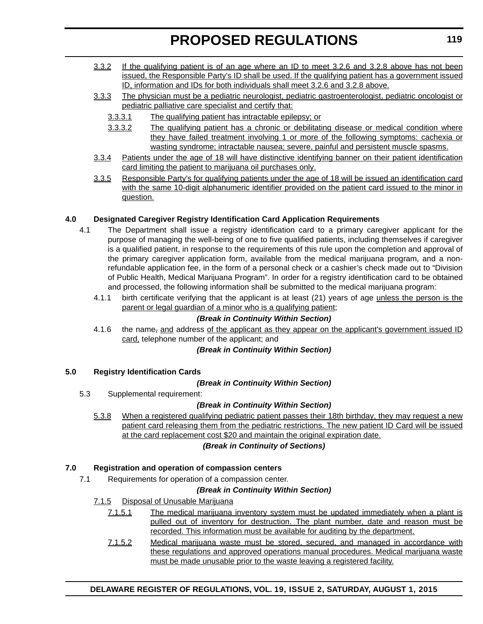- 3.3.2 If the qualifying patient is of an age where an ID to meet 3.2.6 and 3.2.8 above has not been issued, the Responsible Party's ID shall be used. If the qualifying patient has a government issued ID, information and IDs for both individuals shall meet 3.2.6 and 3.2.8 above.
- 3.3.3 The physician must be a pediatric neurologist, pediatric gastroenterologist, pediatric oncologist or pediatric palliative care specialist and certify that:
	- 3.3.3.1 The qualifying patient has intractable epilepsy; or
	- 3.3.3.2 The qualifying patient has a chronic or debilitating disease or medical condition where they have failed treatment involving 1 or more of the following symptoms: cachexia or wasting syndrome; intractable nausea; severe, painful and persistent muscle spasms.
- 3.3.4 Patients under the age of 18 will have distinctive identifying banner on their patient identification card limiting the patient to marijuana oil purchases only.
- 3.3.5 Responsible Party's for qualifying patients under the age of 18 will be issued an identification card with the same 10-digit alphanumeric identifier provided on the patient card issued to the minor in question.

#### **4.0 Designated Caregiver Registry Identification Card Application Requirements**

- 4.1 The Department shall issue a registry identification card to a primary caregiver applicant for the purpose of managing the well-being of one to five qualified patients, including themselves if caregiver is a qualified patient, in response to the requirements of this rule upon the completion and approval of the primary caregiver application form, available from the medical marijuana program, and a nonrefundable application fee, in the form of a personal check or a cashier's check made out to "Division of Public Health, Medical Marijuana Program". In order for a registry identification card to be obtained and processed, the following information shall be submitted to the medical marijuana program:
	- 4.1.1 birth certificate verifying that the applicant is at least (21) years of age unless the person is the parent or legal guardian of a minor who is a qualifying patient;

#### *(Break in Continuity Within Section)*

4.1.6 the name<sub>r</sub> and address of the applicant as they appear on the applicant's government issued ID card, telephone number of the applicant; and

#### *(Break in Continuity Within Section)*

#### **5.0 Registry Identification Cards**

#### *(Break in Continuity Within Section)*

5.3 Supplemental requirement:

#### *(Break in Continuity Within Section)*

5.3.8 When a registered qualifying pediatric patient passes their 18th birthday, they may request a new patient card releasing them from the pediatric restrictions. The new patient ID Card will be issued at the card replacement cost \$20 and maintain the original expiration date.

#### *(Break in Continuity of Sections)*

#### **7.0 Registration and operation of compassion centers**

7.1 Requirements for operation of a compassion center.

#### *(Break in Continuity Within Section)*

#### 7.1.5 Disposal of Unusable Marijuana

- 7.1.5.1 The medical marijuana inventory system must be updated immediately when a plant is pulled out of inventory for destruction. The plant number, date and reason must be recorded. This information must be available for auditing by the department.
- 7.1.5.2 Medical marijuana waste must be stored, secured, and managed in accordance with these regulations and approved operations manual procedures. Medical marijuana waste must be made unusable prior to the waste leaving a registered facility.

#### **DELAWARE REGISTER OF REGULATIONS, VOL. 19, ISSUE 2, SATURDAY, AUGUST 1, 2015**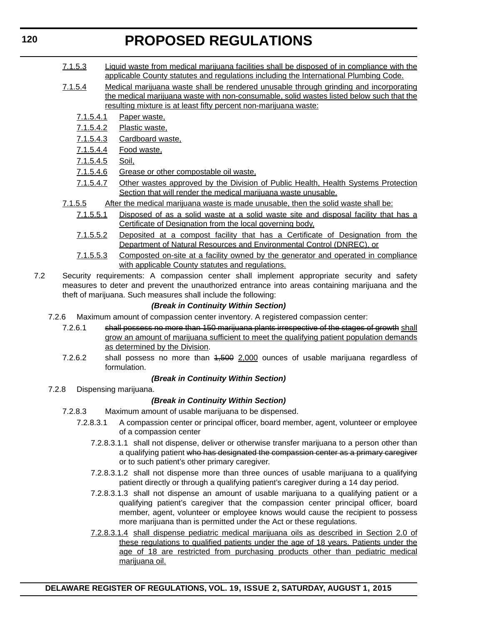- 7.1.5.3 Liquid waste from medical marijuana facilities shall be disposed of in compliance with the applicable County statutes and regulations including the International Plumbing Code.
- 7.1.5.4 Medical marijuana waste shall be rendered unusable through grinding and incorporating the medical marijuana waste with non-consumable, solid wastes listed below such that the resulting mixture is at least fifty percent non-marijuana waste:
	- 7.1.5.4.1 Paper waste,
	- 7.1.5.4.2 Plastic waste,
	- 7.1.5.4.3 Cardboard waste,
	- 7.1.5.4.4 Food waste,
	- 7.1.5.4.5 Soil,
	- 7.1.5.4.6 Grease or other compostable oil waste,
	- 7.1.5.4.7 Other wastes approved by the Division of Public Health, Health Systems Protection Section that will render the medical marijuana waste unusable.
- 7.1.5.5 After the medical marijuana waste is made unusable, then the solid waste shall be:
	- 7.1.5.5.1 Disposed of as a solid waste at a solid waste site and disposal facility that has a Certificate of Designation from the local governing body,
	- 7.1.5.5.2 Deposited at a compost facility that has a Certificate of Designation from the Department of Natural Resources and Environmental Control (DNREC), or
	- 7.1.5.5.3 Composted on-site at a facility owned by the generator and operated in compliance with applicable County statutes and regulations.
- 7.2 Security requirements: A compassion center shall implement appropriate security and safety measures to deter and prevent the unauthorized entrance into areas containing marijuana and the theft of marijuana. Such measures shall include the following:

#### *(Break in Continuity Within Section)*

- 7.2.6 Maximum amount of compassion center inventory. A registered compassion center:
	- 7.2.6.1 shall possess no more than 150 marijuana plants irrespective of the stages of growth shall grow an amount of marijuana sufficient to meet the qualifying patient population demands as determined by the Division.
	- 7.2.6.2 shall possess no more than  $1,500$  2,000 ounces of usable marijuana regardless of formulation.

#### *(Break in Continuity Within Section)*

7.2.8 Dispensing marijuana.

#### *(Break in Continuity Within Section)*

- 7.2.8.3 Maximum amount of usable marijuana to be dispensed.
	- 7.2.8.3.1 A compassion center or principal officer, board member, agent, volunteer or employee of a compassion center
		- 7.2.8.3.1.1 shall not dispense, deliver or otherwise transfer marijuana to a person other than a qualifying patient who has designated the compassion center as a primary caregiver or to such patient's other primary caregiver.
		- 7.2.8.3.1.2 shall not dispense more than three ounces of usable marijuana to a qualifying patient directly or through a qualifying patient's caregiver during a 14 day period.
		- 7.2.8.3.1.3 shall not dispense an amount of usable marijuana to a qualifying patient or a qualifying patient's caregiver that the compassion center principal officer, board member, agent, volunteer or employee knows would cause the recipient to possess more marijuana than is permitted under the Act or these regulations.
		- 7.2.8.3.1.4 shall dispense pediatric medical marijuana oils as described in Section 2.0 of these regulations to qualified patients under the age of 18 years. Patients under the age of 18 are restricted from purchasing products other than pediatric medical marijuana oil.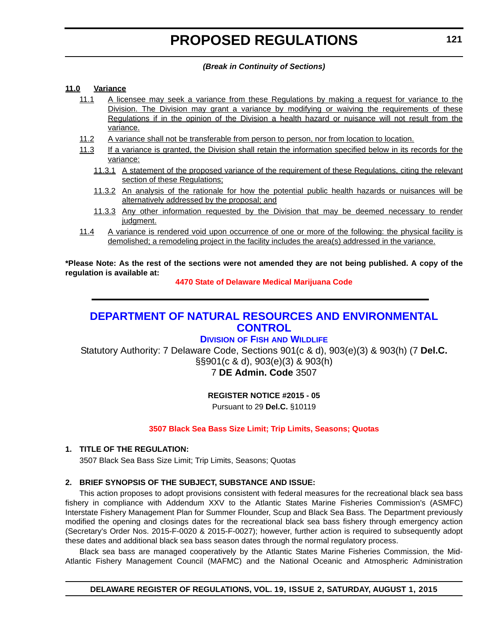#### *(Break in Continuity of Sections)*

#### <span id="page-37-0"></span>**11.0 Variance**

- 11.1 A licensee may seek a variance from these Regulations by making a request for variance to the Division. The Division may grant a variance by modifying or waiving the requirements of these Regulations if in the opinion of the Division a health hazard or nuisance will not result from the variance.
- 11.2 A variance shall not be transferable from person to person, nor from location to location.
- 11.3 If a variance is granted, the Division shall retain the information specified below in its records for the variance:
	- 11.3.1 A statement of the proposed variance of the requirement of these Regulations, citing the relevant section of these Regulations;
	- 11.3.2 An analysis of the rationale for how the potential public health hazards or nuisances will be alternatively addressed by the proposal; and
	- 11.3.3 Any other information requested by the Division that may be deemed necessary to render judament.
- 11.4 A variance is rendered void upon occurrence of one or more of the following: the physical facility is demolished; a remodeling project in the facility includes the area(s) addressed in the variance.

**\*Please Note: As the rest of the sections were not amended they are not being published. A copy of the regulation is available at:**

**[4470 State of Delaware Medical Marijuana Code](http://regulations.delaware.gov/register/august2015/proposed/19 DE Reg 116 08-01-15.htm)**

### **[DEPARTMENT OF NATURAL RESOURCES AND ENVIRONMENTAL](http://www.dnrec.delaware.gov/fw/Pages/FWPortal.aspx)  CONTROL**

#### **DIVISION OF FISH AND WILDLIFE**

Statutory Authority: 7 Delaware Code, Sections 901(c & d), 903(e)(3) & 903(h) (7 **Del.C.**  §§901(c & d), 903(e)(3) & 903(h) 7 **DE Admin. Code** 3507

#### **REGISTER NOTICE #2015 - 05**

Pursuant to 29 **Del.C.** §10119

#### **[3507 Black Sea Bass Size Limit; Trip Limits, Seasons; Quotas](#page-3-0)**

#### **1. TITLE OF THE REGULATION:**

3507 Black Sea Bass Size Limit; Trip Limits, Seasons; Quotas

#### **2. BRIEF SYNOPSIS OF THE SUBJECT, SUBSTANCE AND ISSUE:**

This action proposes to adopt provisions consistent with federal measures for the recreational black sea bass fishery in compliance with Addendum XXV to the Atlantic States Marine Fisheries Commission's (ASMFC) Interstate Fishery Management Plan for Summer Flounder, Scup and Black Sea Bass. The Department previously modified the opening and closings dates for the recreational black sea bass fishery through emergency action (Secretary's Order Nos. 2015-F-0020 & 2015-F-0027); however, further action is required to subsequently adopt these dates and additional black sea bass season dates through the normal regulatory process.

Black sea bass are managed cooperatively by the Atlantic States Marine Fisheries Commission, the Mid-Atlantic Fishery Management Council (MAFMC) and the National Oceanic and Atmospheric Administration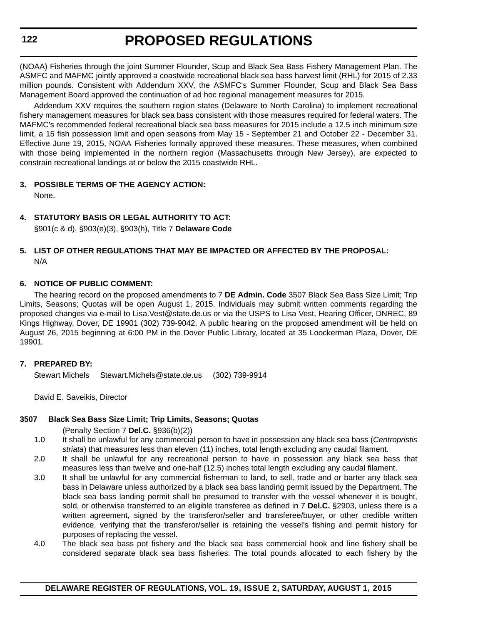### **122**

# **PROPOSED REGULATIONS**

(NOAA) Fisheries through the joint Summer Flounder, Scup and Black Sea Bass Fishery Management Plan. The ASMFC and MAFMC jointly approved a coastwide recreational black sea bass harvest limit (RHL) for 2015 of 2.33 million pounds. Consistent with Addendum XXV, the ASMFC's Summer Flounder, Scup and Black Sea Bass Management Board approved the continuation of ad hoc regional management measures for 2015.

Addendum XXV requires the southern region states (Delaware to North Carolina) to implement recreational fishery management measures for black sea bass consistent with those measures required for federal waters. The MAFMC's recommended federal recreational black sea bass measures for 2015 include a 12.5 inch minimum size limit, a 15 fish possession limit and open seasons from May 15 - September 21 and October 22 - December 31. Effective June 19, 2015, NOAA Fisheries formally approved these measures. These measures, when combined with those being implemented in the northern region (Massachusetts through New Jersey), are expected to constrain recreational landings at or below the 2015 coastwide RHL.

#### **3. POSSIBLE TERMS OF THE AGENCY ACTION:**

None.

#### **4. STATUTORY BASIS OR LEGAL AUTHORITY TO ACT:**

§901(c & d), §903(e)(3), §903(h), Title 7 **Delaware Code**

#### **5. LIST OF OTHER REGULATIONS THAT MAY BE IMPACTED OR AFFECTED BY THE PROPOSAL:** N/A

#### **6. NOTICE OF PUBLIC COMMENT:**

The hearing record on the proposed amendments to 7 **DE Admin. Code** 3507 Black Sea Bass Size Limit; Trip Limits, Seasons; Quotas will be open August 1, 2015. Individuals may submit written comments regarding the proposed changes via e-mail to Lisa.Vest@state.de.us or via the USPS to Lisa Vest, Hearing Officer, DNREC, 89 Kings Highway, Dover, DE 19901 (302) 739-9042. A public hearing on the proposed amendment will be held on August 26, 2015 beginning at 6:00 PM in the Dover Public Library, located at 35 Loockerman Plaza, Dover, DE 19901.

#### **7. PREPARED BY:**

Stewart Michels Stewart.Michels@state.de.us (302) 739-9914

David E. Saveikis, Director

#### **3507 Black Sea Bass Size Limit; Trip Limits, Seasons; Quotas**

(Penalty Section 7 **Del.C.** §936(b)(2))

- 1.0 It shall be unlawful for any commercial person to have in possession any black sea bass (*Centropristis striata*) that measures less than eleven (11) inches, total length excluding any caudal filament.
- 2.0 It shall be unlawful for any recreational person to have in possession any black sea bass that measures less than twelve and one-half (12.5) inches total length excluding any caudal filament.
- 3.0 It shall be unlawful for any commercial fisherman to land, to sell, trade and or barter any black sea bass in Delaware unless authorized by a black sea bass landing permit issued by the Department. The black sea bass landing permit shall be presumed to transfer with the vessel whenever it is bought, sold, or otherwise transferred to an eligible transferee as defined in 7 **Del.C.** §2903, unless there is a written agreement, signed by the transferor/seller and transferee/buyer, or other credible written evidence, verifying that the transferor/seller is retaining the vessel's fishing and permit history for purposes of replacing the vessel.
- 4.0 The black sea bass pot fishery and the black sea bass commercial hook and line fishery shall be considered separate black sea bass fisheries. The total pounds allocated to each fishery by the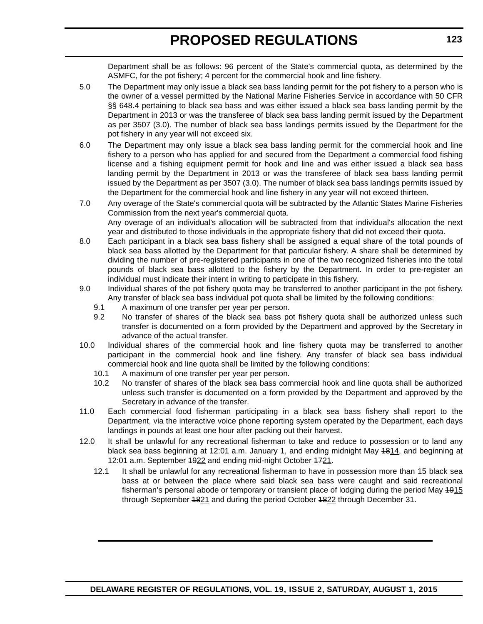Department shall be as follows: 96 percent of the State's commercial quota, as determined by the ASMFC, for the pot fishery; 4 percent for the commercial hook and line fishery.

- 5.0 The Department may only issue a black sea bass landing permit for the pot fishery to a person who is the owner of a vessel permitted by the National Marine Fisheries Service in accordance with 50 CFR §§ 648.4 pertaining to black sea bass and was either issued a black sea bass landing permit by the Department in 2013 or was the transferee of black sea bass landing permit issued by the Department as per 3507 (3.0). The number of black sea bass landings permits issued by the Department for the pot fishery in any year will not exceed six.
- 6.0 The Department may only issue a black sea bass landing permit for the commercial hook and line fishery to a person who has applied for and secured from the Department a commercial food fishing license and a fishing equipment permit for hook and line and was either issued a black sea bass landing permit by the Department in 2013 or was the transferee of black sea bass landing permit issued by the Department as per 3507 (3.0). The number of black sea bass landings permits issued by the Department for the commercial hook and line fishery in any year will not exceed thirteen.
- 7.0 Any overage of the State's commercial quota will be subtracted by the Atlantic States Marine Fisheries Commission from the next year's commercial quota. Any overage of an individual's allocation will be subtracted from that individual's allocation the next year and distributed to those individuals in the appropriate fishery that did not exceed their quota.
- 8.0 Each participant in a black sea bass fishery shall be assigned a equal share of the total pounds of black sea bass allotted by the Department for that particular fishery. A share shall be determined by dividing the number of pre-registered participants in one of the two recognized fisheries into the total pounds of black sea bass allotted to the fishery by the Department. In order to pre-register an individual must indicate their intent in writing to participate in this fishery.
- 9.0 Individual shares of the pot fishery quota may be transferred to another participant in the pot fishery. Any transfer of black sea bass individual pot quota shall be limited by the following conditions:
	- 9.1 A maximum of one transfer per year per person.
	- 9.2 No transfer of shares of the black sea bass pot fishery quota shall be authorized unless such transfer is documented on a form provided by the Department and approved by the Secretary in advance of the actual transfer.
- 10.0 Individual shares of the commercial hook and line fishery quota may be transferred to another participant in the commercial hook and line fishery. Any transfer of black sea bass individual commercial hook and line quota shall be limited by the following conditions:
	- 10.1 A maximum of one transfer per year per person.
	- 10.2 No transfer of shares of the black sea bass commercial hook and line quota shall be authorized unless such transfer is documented on a form provided by the Department and approved by the Secretary in advance of the transfer.
- 11.0 Each commercial food fisherman participating in a black sea bass fishery shall report to the Department, via the interactive voice phone reporting system operated by the Department, each days landings in pounds at least one hour after packing out their harvest.
- 12.0 It shall be unlawful for any recreational fisherman to take and reduce to possession or to land any black sea bass beginning at 12:01 a.m. January 1, and ending midnight May 4814, and beginning at 12:01 a.m. September 4922 and ending mid-night October 4721.
	- 12.1 It shall be unlawful for any recreational fisherman to have in possession more than 15 black sea bass at or between the place where said black sea bass were caught and said recreational fisherman's personal abode or temporary or transient place of lodging during the period May 4915 through September 1821 and during the period October 1822 through December 31.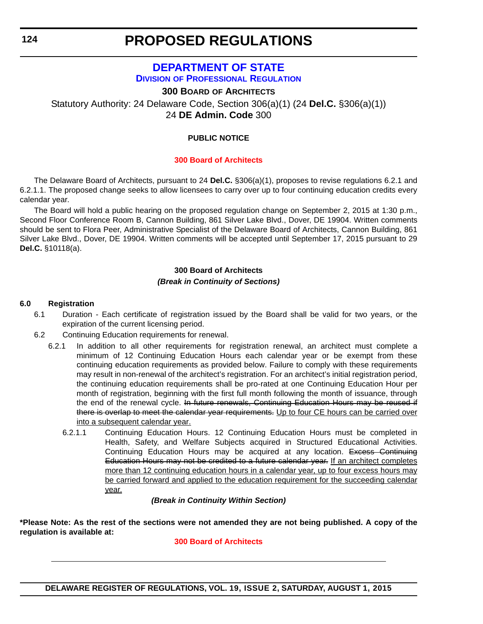### **[DEPARTMENT OF STATE](http://dpr.delaware.gov/) DIVISION OF PROFESSIONAL REGULATION**

**300 BOARD OF ARCHITECTS**

<span id="page-40-0"></span>Statutory Authority: 24 Delaware Code, Section 306(a)(1) (24 **Del.C.** §306(a)(1)) 24 **DE Admin. Code** 300

#### **PUBLIC NOTICE**

#### **[300 Board of Architects](#page-3-0)**

The Delaware Board of Architects, pursuant to 24 **Del.C.** §306(a)(1), proposes to revise regulations 6.2.1 and 6.2.1.1. The proposed change seeks to allow licensees to carry over up to four continuing education credits every calendar year.

The Board will hold a public hearing on the proposed regulation change on September 2, 2015 at 1:30 p.m., Second Floor Conference Room B, Cannon Building, 861 Silver Lake Blvd., Dover, DE 19904. Written comments should be sent to Flora Peer, Administrative Specialist of the Delaware Board of Architects, Cannon Building, 861 Silver Lake Blvd., Dover, DE 19904. Written comments will be accepted until September 17, 2015 pursuant to 29 **Del.C.** §10118(a).

### **300 Board of Architects** *(Break in Continuity of Sections)*

#### **6.0 Registration**

- 6.1 Duration Each certificate of registration issued by the Board shall be valid for two years, or the expiration of the current licensing period.
- 6.2 Continuing Education requirements for renewal.
	- 6.2.1 In addition to all other requirements for registration renewal, an architect must complete a minimum of 12 Continuing Education Hours each calendar year or be exempt from these continuing education requirements as provided below. Failure to comply with these requirements may result in non-renewal of the architect's registration. For an architect's initial registration period, the continuing education requirements shall be pro-rated at one Continuing Education Hour per month of registration, beginning with the first full month following the month of issuance, through the end of the renewal cycle. In future renewals, Continuing Education Hours may be reused if there is overlap to meet the calendar year requirements. Up to four CE hours can be carried over into a subsequent calendar year.
		- 6.2.1.1 Continuing Education Hours. 12 Continuing Education Hours must be completed in Health, Safety, and Welfare Subjects acquired in Structured Educational Activities. Continuing Education Hours may be acquired at any location. Excess Continuing Education Hours may not be credited to a future calendar year. If an architect completes more than 12 continuing education hours in a calendar year, up to four excess hours may be carried forward and applied to the education requirement for the succeeding calendar year.

*(Break in Continuity Within Section)*

**\*Please Note: As the rest of the sections were not amended they are not being published. A copy of the regulation is available at:**

#### **[300 Board of Architects](http://regulations.delaware.gov/register/august2015/proposed/19 DE Reg 124 08-01-15.htm)**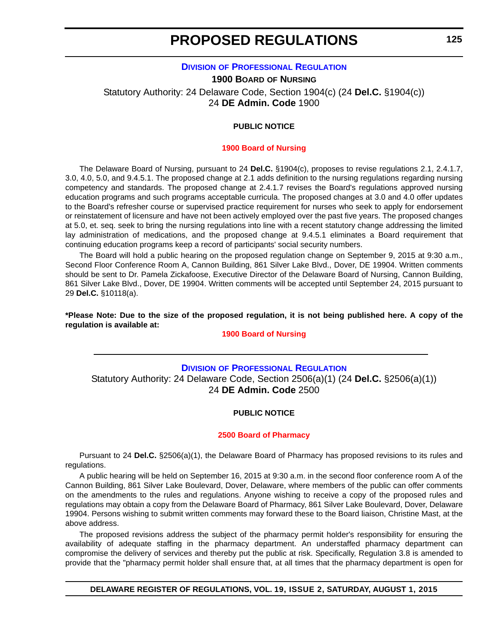#### **DIVISION [OF PROFESSIONAL REGULATION](http://dpr.delaware.gov/)**

<span id="page-41-0"></span>**1900 BOARD OF NURSING** Statutory Authority: 24 Delaware Code, Section 1904(c) (24 **Del.C.** §1904(c)) 24 **DE Admin. Code** 1900

#### **PUBLIC NOTICE**

#### **[1900 Board of Nursing](#page-3-0)**

The Delaware Board of Nursing, pursuant to 24 **Del.C.** §1904(c), proposes to revise regulations 2.1, 2.4.1.7, 3.0, 4.0, 5.0, and 9.4.5.1. The proposed change at 2.1 adds definition to the nursing regulations regarding nursing competency and standards. The proposed change at 2.4.1.7 revises the Board's regulations approved nursing education programs and such programs acceptable curricula. The proposed changes at 3.0 and 4.0 offer updates to the Board's refresher course or supervised practice requirement for nurses who seek to apply for endorsement or reinstatement of licensure and have not been actively employed over the past five years. The proposed changes at 5.0, et. seq. seek to bring the nursing regulations into line with a recent statutory change addressing the limited lay administration of medications, and the proposed change at 9.4.5.1 eliminates a Board requirement that continuing education programs keep a record of participants' social security numbers.

The Board will hold a public hearing on the proposed regulation change on September 9, 2015 at 9:30 a.m., Second Floor Conference Room A, Cannon Building, 861 Silver Lake Blvd., Dover, DE 19904. Written comments should be sent to Dr. Pamela Zickafoose, Executive Director of the Delaware Board of Nursing, Cannon Building, 861 Silver Lake Blvd., Dover, DE 19904. Written comments will be accepted until September 24, 2015 pursuant to 29 **Del.C.** §10118(a).

**\*Please Note: Due to the size of the proposed regulation, it is not being published here. A copy of the regulation is available at:**

#### **[1900 Board of Nursing](http://regulations.delaware.gov/register/august2015/proposed/19 DE Reg 125 08-01-15.htm)**

### **DIVISION [OF PROFESSIONAL REGULATION](http://dpr.delaware.gov/)** Statutory Authority: 24 Delaware Code, Section 2506(a)(1) (24 **Del.C.** §2506(a)(1)) 24 **DE Admin. Code** 2500

#### **PUBLIC NOTICE**

#### **[2500 Board of Pharmacy](#page-3-0)**

Pursuant to 24 **Del.C.** §2506(a)(1), the Delaware Board of Pharmacy has proposed revisions to its rules and regulations.

A public hearing will be held on September 16, 2015 at 9:30 a.m. in the second floor conference room A of the Cannon Building, 861 Silver Lake Boulevard, Dover, Delaware, where members of the public can offer comments on the amendments to the rules and regulations. Anyone wishing to receive a copy of the proposed rules and regulations may obtain a copy from the Delaware Board of Pharmacy, 861 Silver Lake Boulevard, Dover, Delaware 19904. Persons wishing to submit written comments may forward these to the Board liaison, Christine Mast, at the above address.

The proposed revisions address the subject of the pharmacy permit holder's responsibility for ensuring the availability of adequate staffing in the pharmacy department. An understaffed pharmacy department can compromise the delivery of services and thereby put the public at risk. Specifically, Regulation 3.8 is amended to provide that the "pharmacy permit holder shall ensure that, at all times that the pharmacy department is open for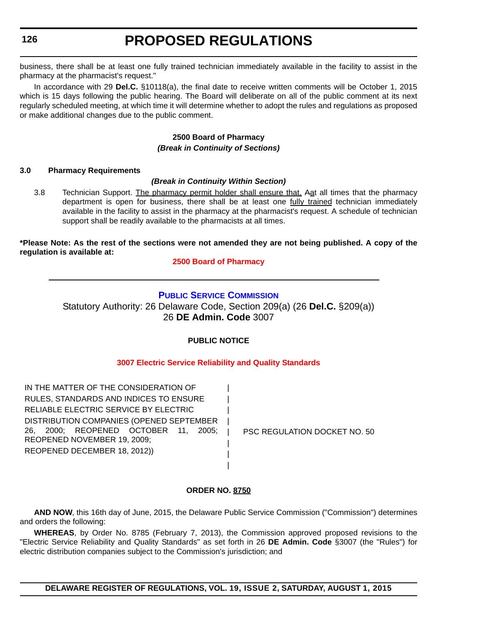<span id="page-42-0"></span>business, there shall be at least one fully trained technician immediately available in the facility to assist in the pharmacy at the pharmacist's request."

In accordance with 29 **Del.C.** §10118(a), the final date to receive written comments will be October 1, 2015 which is 15 days following the public hearing. The Board will deliberate on all of the public comment at its next regularly scheduled meeting, at which time it will determine whether to adopt the rules and regulations as proposed or make additional changes due to the public comment.

### **2500 Board of Pharmacy** *(Break in Continuity of Sections)*

#### **3.0 Pharmacy Requirements**

#### *(Break in Continuity Within Section)*

3.8 Technician Support. The pharmacy permit holder shall ensure that, Aat all times that the pharmacy department is open for business, there shall be at least one fully trained technician immediately available in the facility to assist in the pharmacy at the pharmacist's request. A schedule of technician support shall be readily available to the pharmacists at all times.

#### **\*Please Note: As the rest of the sections were not amended they are not being published. A copy of the regulation is available at:**

**[2500 Board of Pharmacy](http://regulations.delaware.gov/register/august2015/proposed/19 DE Reg 125a 08-01-15.htm)**

### **[PUBLIC SERVICE COMMISSION](http://depsc.delaware.gov/)**

Statutory Authority: 26 Delaware Code, Section 209(a) (26 **Del.C.** §209(a)) 26 **DE Admin. Code** 3007

#### **PUBLIC NOTICE**

#### **[3007 Electric Service Reliability and Quality Standards](#page-3-0)**

| | | | | | | |

IN THE MATTER OF THE CONSIDERATION OF RULES, STANDARDS AND INDICES TO ENSURE RELIABLE ELECTRIC SERVICE BY ELECTRIC DISTRIBUTION COMPANIES (OPENED SEPTEMBER 26, 2000; REOPENED OCTOBER 11, 2005; REOPENED NOVEMBER 19, 2009; REOPENED DECEMBER 18, 2012))

PSC REGULATION DOCKET NO. 50

#### **ORDER NO. 8750**

**AND NOW**, this 16th day of June, 2015, the Delaware Public Service Commission ("Commission") determines and orders the following:

**WHEREAS**, by Order No. 8785 (February 7, 2013), the Commission approved proposed revisions to the "Electric Service Reliability and Quality Standards" as set forth in 26 **DE Admin. Code** §3007 (the "Rules") for electric distribution companies subject to the Commission's jurisdiction; and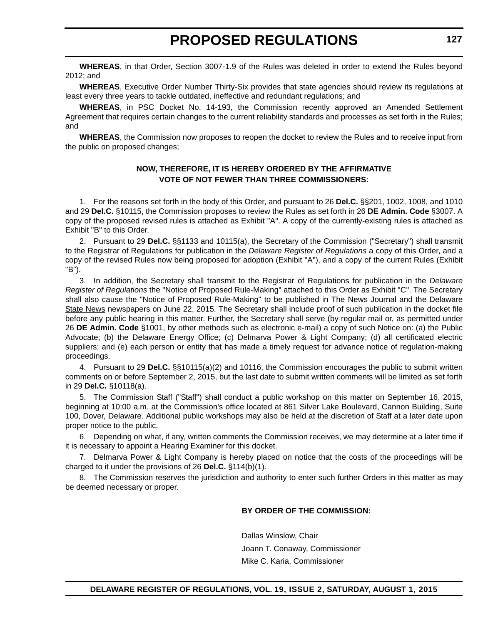**WHEREAS**, in that Order, Section 3007-1.9 of the Rules was deleted in order to extend the Rules beyond 2012; and

**WHEREAS**, Executive Order Number Thirty-Six provides that state agencies should review its regulations at least every three years to tackle outdated, ineffective and redundant regulations; and

**WHEREAS**, in PSC Docket No. 14-193, the Commission recently approved an Amended Settlement Agreement that requires certain changes to the current reliability standards and processes as set forth in the Rules; and

**WHEREAS**, the Commission now proposes to reopen the docket to review the Rules and to receive input from the public on proposed changes;

#### **NOW, THEREFORE, IT IS HEREBY ORDERED BY THE AFFIRMATIVE VOTE OF NOT FEWER THAN THREE COMMISSIONERS:**

1. For the reasons set forth in the body of this Order, and pursuant to 26 **Del.C.** §§201, 1002, 1008, and 1010 and 29 **Del.C.** §10115, the Commission proposes to review the Rules as set forth in 26 **DE Admin. Code** §3007. A copy of the proposed revised rules is attached as Exhibit "A". A copy of the currently-existing rules is attached as Exhibit "B" to this Order.

2. Pursuant to 29 **Del.C.** §§1133 and 10115(a), the Secretary of the Commission ("Secretary") shall transmit to the Registrar of Regulations for publication in the *Delaware Register of Regulations* a copy of this Order, and a copy of the revised Rules now being proposed for adoption (Exhibit "A"), and a copy of the current Rules (Exhibit "B").

3. In addition, the Secretary shall transmit to the Registrar of Regulations for publication in the *Delaware Register of Regulations* the "Notice of Proposed Rule-Making" attached to this Order as Exhibit "C". The Secretary shall also cause the "Notice of Proposed Rule-Making" to be published in **The News Journal** and the Delaware State News newspapers on June 22, 2015. The Secretary shall include proof of such publication in the docket file before any public hearing in this matter. Further, the Secretary shall serve (by regular mail or, as permitted under 26 **DE Admin. Code** §1001, by other methods such as electronic e-mail) a copy of such Notice on: (a) the Public Advocate; (b) the Delaware Energy Office; (c) Delmarva Power & Light Company; (d) all certificated electric suppliers; and (e) each person or entity that has made a timely request for advance notice of regulation-making proceedings.

4. Pursuant to 29 **Del.C.** §§10115(a)(2) and 10116, the Commission encourages the public to submit written comments on or before September 2, 2015, but the last date to submit written comments will be limited as set forth in 29 **Del.C.** §10118(a).

5. The Commission Staff ("Staff") shall conduct a public workshop on this matter on September 16, 2015, beginning at 10:00 a.m. at the Commission's office located at 861 Silver Lake Boulevard, Cannon Building, Suite 100, Dover, Delaware. Additional public workshops may also be held at the discretion of Staff at a later date upon proper notice to the public.

6. Depending on what, if any, written comments the Commission receives, we may determine at a later time if it is necessary to appoint a Hearing Examiner for this docket.

7. Delmarva Power & Light Company is hereby placed on notice that the costs of the proceedings will be charged to it under the provisions of 26 **Del.C.** §114(b)(1).

8. The Commission reserves the jurisdiction and authority to enter such further Orders in this matter as may be deemed necessary or proper.

#### **BY ORDER OF THE COMMISSION:**

Dallas Winslow, Chair Joann T. Conaway, Commissioner Mike C. Karia, Commissioner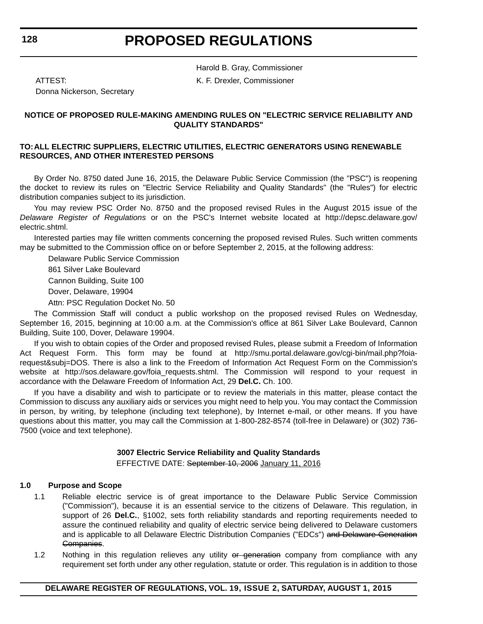Harold B. Gray, Commissioner

ATTEST: K. F. Drexler, Commissioner

Donna Nickerson, Secretary

#### **NOTICE OF PROPOSED RULE-MAKING AMENDING RULES ON "ELECTRIC SERVICE RELIABILITY AND QUALITY STANDARDS"**

#### **TO:ALL ELECTRIC SUPPLIERS, ELECTRIC UTILITIES, ELECTRIC GENERATORS USING RENEWABLE RESOURCES, AND OTHER INTERESTED PERSONS**

By Order No. 8750 dated June 16, 2015, the Delaware Public Service Commission (the "PSC") is reopening the docket to review its rules on "Electric Service Reliability and Quality Standards" (the "Rules") for electric distribution companies subject to its jurisdiction.

You may review PSC Order No. 8750 and the proposed revised Rules in the August 2015 issue of the *Delaware Register of Regulations* or on the PSC's Internet website located at http://depsc.delaware.gov/ electric.shtml.

Interested parties may file written comments concerning the proposed revised Rules. Such written comments may be submitted to the Commission office on or before September 2, 2015, at the following address:

Delaware Public Service Commission

861 Silver Lake Boulevard

Cannon Building, Suite 100

Dover, Delaware, 19904

Attn: PSC Regulation Docket No. 50

The Commission Staff will conduct a public workshop on the proposed revised Rules on Wednesday, September 16, 2015, beginning at 10:00 a.m. at the Commission's office at 861 Silver Lake Boulevard, Cannon Building, Suite 100, Dover, Delaware 19904.

If you wish to obtain copies of the Order and proposed revised Rules, please submit a Freedom of Information Act Request Form. This form may be found at http://smu.portal.delaware.gov/cgi-bin/mail.php?foiarequest&subj=DOS. There is also a link to the Freedom of Information Act Request Form on the Commission's website at http://sos.delaware.gov/foia\_requests.shtml. The Commission will respond to your request in accordance with the Delaware Freedom of Information Act, 29 **Del.C.** Ch. 100.

If you have a disability and wish to participate or to review the materials in this matter, please contact the Commission to discuss any auxiliary aids or services you might need to help you. You may contact the Commission in person, by writing, by telephone (including text telephone), by Internet e-mail, or other means. If you have questions about this matter, you may call the Commission at 1-800-282-8574 (toll-free in Delaware) or (302) 736- 7500 (voice and text telephone).

#### **3007 Electric Service Reliability and Quality Standards**

EFFECTIVE DATE: September 10, 2006 January 11, 2016

#### **1.0 Purpose and Scope**

- 1.1 Reliable electric service is of great importance to the Delaware Public Service Commission ("Commission"), because it is an essential service to the citizens of Delaware. This regulation, in support of 26 **Del.C.**, §1002, sets forth reliability standards and reporting requirements needed to assure the continued reliability and quality of electric service being delivered to Delaware customers and is applicable to all Delaware Electric Distribution Companies ("EDCs") and Delaware Generation Companies.
- 1.2 Nothing in this regulation relieves any utility or generation company from compliance with any requirement set forth under any other regulation, statute or order. This regulation is in addition to those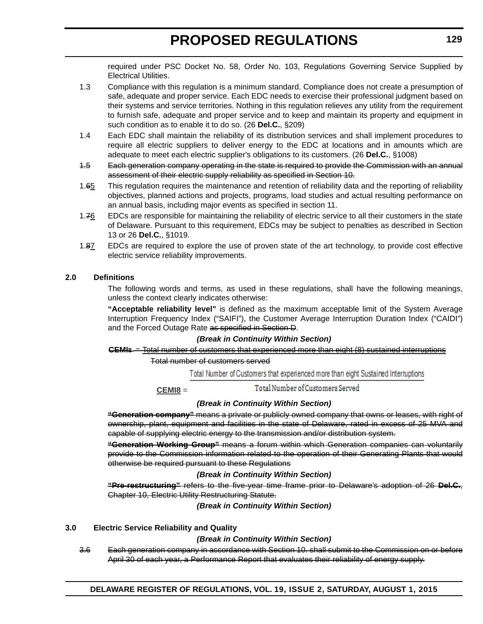required under PSC Docket No. 58, Order No. 103, Regulations Governing Service Supplied by Electrical Utilities.

- 1.3 Compliance with this regulation is a minimum standard. Compliance does not create a presumption of safe, adequate and proper service. Each EDC needs to exercise their professional judgment based on their systems and service territories. Nothing in this regulation relieves any utility from the requirement to furnish safe, adequate and proper service and to keep and maintain its property and equipment in such condition as to enable it to do so. (26 **Del.C.**, §209)
- 1.4 Each EDC shall maintain the reliability of its distribution services and shall implement procedures to require all electric suppliers to deliver energy to the EDC at locations and in amounts which are adequate to meet each electric supplier's obligations to its customers. (26 **Del.C.**, §1008)
- 1.5 Each generation company operating in the state is required to provide the Commission with an annual assessment of their electric supply reliability as specified in Section 10.
- 1.65 This regulation requires the maintenance and retention of reliability data and the reporting of reliability objectives, planned actions and projects, programs, load studies and actual resulting performance on an annual basis, including major events as specified in section 11.
- 1.76 EDCs are responsible for maintaining the reliability of electric service to all their customers in the state of Delaware. Pursuant to this requirement, EDCs may be subject to penalties as described in Section 13 or 26 **Del.C.**, §1019.
- 1.87 EDCs are required to explore the use of proven state of the art technology, to provide cost effective electric service reliability improvements.

#### **2.0 Definitions**

The following words and terms, as used in these regulations, shall have the following meanings, unless the context clearly indicates otherwise:

**"Acceptable reliability level"** is defined as the maximum acceptable limit of the System Average Interruption Frequency Index ("SAIFI"), the Customer Average Interruption Duration Index ("CAIDI") and the Forced Outage Rate as specified in Section D.

#### *(Break in Continuity Within Section)*

#### **CEMI8** = Total number of customers that experienced more than eight (8) sustained interruptions

Total number of customers served

Total Number of Customers that experienced more than eight Sustained Interruptions

Total Number of Customers Served **CEMI8** =

#### *(Break in Continuity Within Section)*

**"Generation company"** means a private or publicly owned company that owns or leases, with right of ownership, plant, equipment and facilities in the state of Delaware, rated in excess of 25 MVA and capable of supplying electric energy to the transmission and/or distribution system.

**"Generation Working Group"** means a forum within which Generation companies can voluntarily provide to the Commission information related to the operation of their Generating Plants that would otherwise be required pursuant to these Regulations

#### *(Break in Continuity Within Section)*

**"Pre-restructuring"** refers to the five-year time frame prior to Delaware's adoption of 26 **Del.C.**, Chapter 10, Electric Utility Restructuring Statute.

*(Break in Continuity Within Section)*

#### **3.0 Electric Service Reliability and Quality**

#### *(Break in Continuity Within Section)*

3.6 Each generation company in accordance with Section 10. shall submit to the Commission on or before April 30 of each year, a Performance Report that evaluates their reliability of energy supply.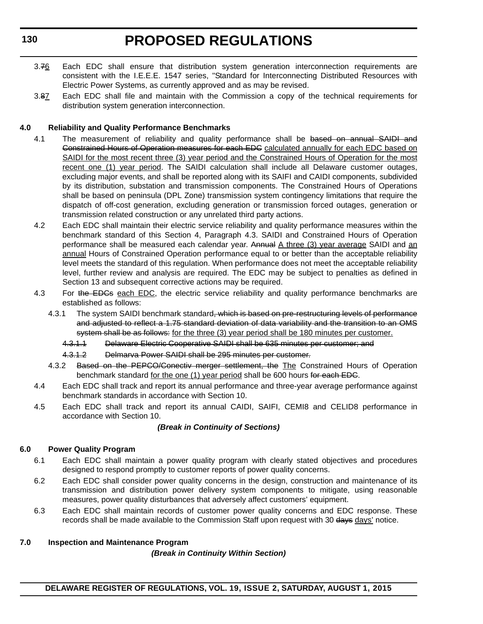- 3.76 Each EDC shall ensure that distribution system generation interconnection requirements are consistent with the I.E.E.E. 1547 series, "Standard for Interconnecting Distributed Resources with Electric Power Systems, as currently approved and as may be revised.
- 3.87 Each EDC shall file and maintain with the Commission a copy of the technical requirements for distribution system generation interconnection.

#### **4.0 Reliability and Quality Performance Benchmarks**

- 4.1 The measurement of reliability and quality performance shall be based on annual SAIDI and Constrained Hours of Operation measures for each EDC calculated annually for each EDC based on SAIDI for the most recent three (3) year period and the Constrained Hours of Operation for the most recent one (1) year period. The SAIDI calculation shall include all Delaware customer outages, excluding major events, and shall be reported along with its SAIFI and CAIDI components, subdivided by its distribution, substation and transmission components. The Constrained Hours of Operations shall be based on peninsula (DPL Zone) transmission system contingency limitations that require the dispatch of off-cost generation, excluding generation or transmission forced outages, generation or transmission related construction or any unrelated third party actions.
- 4.2 Each EDC shall maintain their electric service reliability and quality performance measures within the benchmark standard of this Section 4, Paragraph 4.3. SAIDI and Constrained Hours of Operation performance shall be measured each calendar year. Annual A three (3) year average SAIDI and an annual Hours of Constrained Operation performance equal to or better than the acceptable reliability level meets the standard of this regulation. When performance does not meet the acceptable reliability level, further review and analysis are required. The EDC may be subject to penalties as defined in Section 13 and subsequent corrective actions may be required.
- 4.3 For the EDGs each EDC, the electric service reliability and quality performance benchmarks are established as follows:
	- 4.3.1 The system SAIDI benchmark standard, which is based on pre-restructuring levels of performance and adjusted to reflect a 1.75 standard deviation of data variability and the transition to an OMS system shall be as follows: for the three (3) year period shall be 180 minutes per customer.
		- 4.3.1.1 Delaware Electric Cooperative SAIDI shall be 635 minutes per customer; and
		- 4.3.1.2 Delmarva Power SAIDI shall be 295 minutes per customer.
	- 4.3.2 Based on the PEPCO/Conectiv merger settlement, the The Constrained Hours of Operation benchmark standard <u>for the one (1) year period</u> shall be 600 hours for each EDC.
- 4.4 Each EDC shall track and report its annual performance and three-year average performance against benchmark standards in accordance with Section 10.
- 4.5 Each EDC shall track and report its annual CAIDI, SAIFI, CEMI8 and CELID8 performance in accordance with Section 10.

#### *(Break in Continuity of Sections)*

#### **6.0 Power Quality Program**

- 6.1 Each EDC shall maintain a power quality program with clearly stated objectives and procedures designed to respond promptly to customer reports of power quality concerns.
- 6.2 Each EDC shall consider power quality concerns in the design, construction and maintenance of its transmission and distribution power delivery system components to mitigate, using reasonable measures, power quality disturbances that adversely affect customers' equipment.
- 6.3 Each EDC shall maintain records of customer power quality concerns and EDC response. These records shall be made available to the Commission Staff upon request with 30 days days' notice.

#### **7.0 Inspection and Maintenance Program**

#### *(Break in Continuity Within Section)*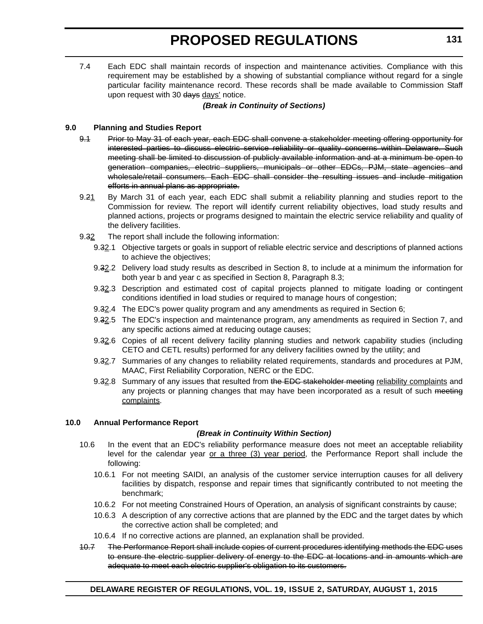7.4 Each EDC shall maintain records of inspection and maintenance activities. Compliance with this requirement may be established by a showing of substantial compliance without regard for a single particular facility maintenance record. These records shall be made available to Commission Staff upon request with 30 days days' notice.

#### *(Break in Continuity of Sections)*

#### **9.0 Planning and Studies Report**

- 9.1 Prior to May 31 of each year, each EDC shall convene a stakeholder meeting offering opportunity for interested parties to discuss electric service reliability or quality concerns within Delaware. Such meeting shall be limited to discussion of publicly available information and at a minimum be open to generation companies, electric suppliers, municipals or other EDCs, PJM, state agencies and wholesale/retail consumers. Each EDC shall consider the resulting issues and include mitigation efforts in annual plans as appropriate.
- 9.21 By March 31 of each year, each EDC shall submit a reliability planning and studies report to the Commission for review. The report will identify current reliability objectives, load study results and planned actions, projects or programs designed to maintain the electric service reliability and quality of the delivery facilities.
- 9.32 The report shall include the following information:
	- 9.32.1 Objective targets or goals in support of reliable electric service and descriptions of planned actions to achieve the objectives;
	- 9.32.2 Delivery load study results as described in Section 8, to include at a minimum the information for both year b and year c as specified in Section 8, Paragraph 8.3;
	- 9.32.3 Description and estimated cost of capital projects planned to mitigate loading or contingent conditions identified in load studies or required to manage hours of congestion;
	- 9.32.4 The EDC's power quality program and any amendments as required in Section 6;
	- 9.32.5 The EDC's inspection and maintenance program, any amendments as required in Section 7, and any specific actions aimed at reducing outage causes;
	- 9.32.6 Copies of all recent delivery facility planning studies and network capability studies (including CETO and CETL results) performed for any delivery facilities owned by the utility; and
	- 9.32.7 Summaries of any changes to reliability related requirements, standards and procedures at PJM, MAAC, First Reliability Corporation, NERC or the EDC.
	- 9.32.8 Summary of any issues that resulted from the EDC stakeholder meeting reliability complaints and any projects or planning changes that may have been incorporated as a result of such meeting complaints.

#### **10.0 Annual Performance Report**

- 10.6 In the event that an EDC's reliability performance measure does not meet an acceptable reliability level for the calendar year or a three (3) year period, the Performance Report shall include the following:
	- 10.6.1 For not meeting SAIDI, an analysis of the customer service interruption causes for all delivery facilities by dispatch, response and repair times that significantly contributed to not meeting the benchmark;
	- 10.6.2 For not meeting Constrained Hours of Operation, an analysis of significant constraints by cause;
	- 10.6.3 A description of any corrective actions that are planned by the EDC and the target dates by which the corrective action shall be completed; and
	- 10.6.4 If no corrective actions are planned, an explanation shall be provided.
- 10.7 The Performance Report shall include copies of current procedures identifying methods the EDC uses to ensure the electric supplier delivery of energy to the EDC at locations and in amounts which are adequate to meet each electric supplier's obligation to its customers.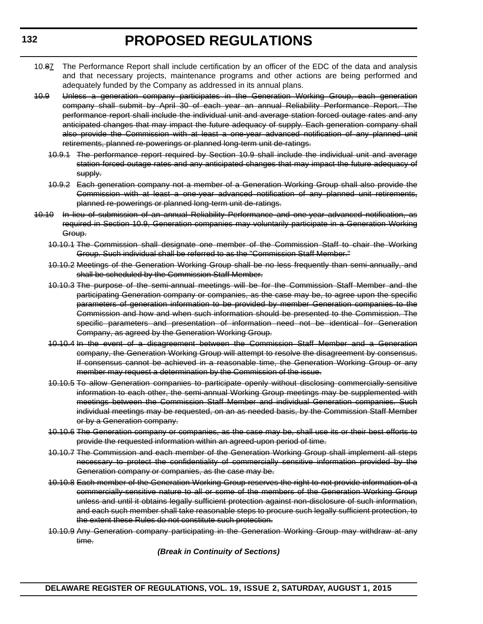- 10.87 The Performance Report shall include certification by an officer of the EDC of the data and analysis and that necessary projects, maintenance programs and other actions are being performed and adequately funded by the Company as addressed in its annual plans.
- 10.9 Unless a generation company participates in the Generation Working Group, each generation company shall submit by April 30 of each year an annual Reliability Performance Report. The performance report shall include the individual unit and average station forced outage rates and any anticipated changes that may impact the future adequacy of supply. Each generation company shall also provide the Commission with at least a one-year advanced notification of any planned unit retirements, planned re-powerings or planned long-term unit de-ratings.
	- 10.9.1 The performance report required by Section 10.9 shall include the individual unit and average station forced outage rates and any anticipated changes that may impact the future adequacy of supply.
	- 10.9.2 Each generation company not a member of a Generation Working Group shall also provide the Commission with at least a one-year advanced notification of any planned unit retirements, planned re-powerings or planned long-term unit de-ratings.
- 10.10 In lieu of submission of an annual Reliability Performance and one-year advanced notification, as required in Section 10.9, Generation companies may voluntarily participate in a Generation Working Group.
	- 10.10.1 The Commission shall designate one member of the Commission Staff to chair the Working Group. Such individual shall be referred to as the "Commission Staff Member."
	- 10.10.2 Meetings of the Generation Working Group shall be no less frequently than semi-annually, and shall be scheduled by the Commission Staff Member.
	- 10.10.3 The purpose of the semi-annual meetings will be for the Commission Staff Member and the participating Generation company or companies, as the case may be, to agree upon the specific parameters of generation information to be provided by member Generation companies to the Commission and how and when such information should be presented to the Commission. The specific parameters and presentation of information need not be identical for Generation Company, as agreed by the Generation Working Group.
	- 10.10.4 In the event of a disagreement between the Commission Staff Member and a Generation company, the Generation Working Group will attempt to resolve the disagreement by consensus. If consensus cannot be achieved in a reasonable time, the Generation Working Group or any member may request a determination by the Commission of the issue.
	- 10.10.5 To allow Generation companies to participate openly without disclosing commercially-sensitive information to each other, the semi-annual Working Group meetings may be supplemented with meetings between the Commission Staff Member and individual Generation companies. Such individual meetings may be requested, on an as needed basis, by the Commission Staff Member or by a Generation company.
	- 10.10.6 The Generation company or companies, as the case may be, shall use its or their best efforts to provide the requested information within an agreed-upon period of time.
	- 10.10.7 The Commission and each member of the Generation Working Group shall implement all steps necessary to protect the confidentiality of commercially sensitive information provided by the Generation company or companies, as the case may be.
	- 10.10.8 Each member of the Generation Working Group reserves the right to not provide information of a commercially-sensitive nature to all or some of the members of the Generation Working Group unless and until it obtains legally sufficient protection against non-disclosure of such information, and each such member shall take reasonable steps to procure such legally sufficient protection, to the extent these Rules do not constitute such protection.
	- 10.10.9 Any Generation company participating in the Generation Working Group may withdraw at any time.

*(Break in Continuity of Sections)*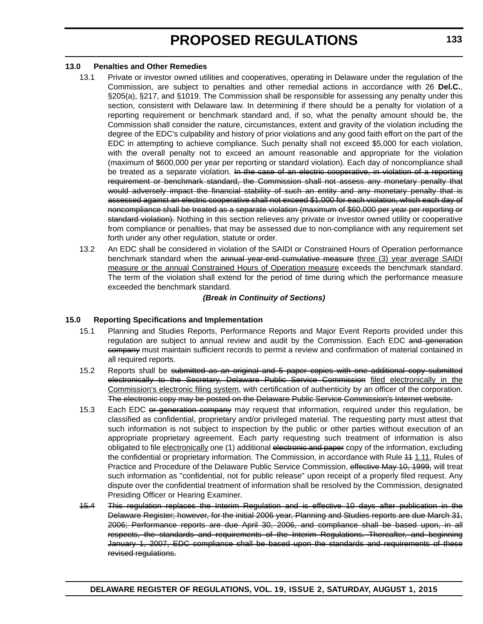#### **13.0 Penalties and Other Remedies**

- 13.1 Private or investor owned utilities and cooperatives, operating in Delaware under the regulation of the Commission, are subject to penalties and other remedial actions in accordance with 26 **Del.C.**, §205(a), §217, and §1019. The Commission shall be responsible for assessing any penalty under this section, consistent with Delaware law. In determining if there should be a penalty for violation of a reporting requirement or benchmark standard and, if so, what the penalty amount should be, the Commission shall consider the nature, circumstances, extent and gravity of the violation including the degree of the EDC's culpability and history of prior violations and any good faith effort on the part of the EDC in attempting to achieve compliance. Such penalty shall not exceed \$5,000 for each violation, with the overall penalty not to exceed an amount reasonable and appropriate for the violation (maximum of \$600,000 per year per reporting or standard violation). Each day of noncompliance shall be treated as a separate violation. In the case of an electric cooperative, in violation of a reporting requirement or benchmark standard, the Commission shall not assess any monetary penalty that would adversely impact the financial stability of such an entity and any monetary penalty that is assessed against an electric cooperative shall not exceed \$1,000 for each violation, which each day of noncompliance shall be treated as a separate violation (maximum of \$60,000 per year per reporting or standard violation). Nothing in this section relieves any private or investor owned utility or cooperative from compliance or penalties, that may be assessed due to non-compliance with any requirement set forth under any other regulation, statute or order.
- 13.2 An EDC shall be considered in violation of the SAIDI or Constrained Hours of Operation performance benchmark standard when the annual year-end cumulative measure three (3) year average SAIDI measure or the annual Constrained Hours of Operation measure exceeds the benchmark standard. The term of the violation shall extend for the period of time during which the performance measure exceeded the benchmark standard.

#### *(Break in Continuity of Sections)*

#### **15.0 Reporting Specifications and Implementation**

- 15.1 Planning and Studies Reports, Performance Reports and Major Event Reports provided under this regulation are subject to annual review and audit by the Commission. Each EDC and generation company must maintain sufficient records to permit a review and confirmation of material contained in all required reports.
- 15.2 Reports shall be submitted as an original and 5 paper copies with one additional copy submitted electronically to the Secretary, Delaware Public Service Commission filed electronically in the Commission's electronic filing system, with certification of authenticity by an officer of the corporation. The electronic copy may be posted on the Delaware Public Service Commission's Internet website.
- 15.3 Each EDC or generation company may request that information, required under this regulation, be classified as confidential, proprietary and/or privileged material. The requesting party must attest that such information is not subject to inspection by the public or other parties without execution of an appropriate proprietary agreement. Each party requesting such treatment of information is also obligated to file electronically one (1) additional electronic and paper copy of the information, excluding the confidential or proprietary information. The Commission, in accordance with Rule 11 1.11, Rules of Practice and Procedure of the Delaware Public Service Commission, effective May 10, 1999, will treat such information as "confidential, not for public release" upon receipt of a properly filed request. Any dispute over the confidential treatment of information shall be resolved by the Commission, designated Presiding Officer or Hearing Examiner.
- 15.4 This regulation replaces the Interim Regulation and is effective 10 days after publication in the Delaware Register; however, for the initial 2006 year, Planning and Studies reports are due March 31, 2006; Performance reports are due April 30, 2006, and compliance shall be based upon, in all respects, the standards and requirements of the Interim Regulations. Thereafter, and beginning January 1, 2007, EDC compliance shall be based upon the standards and requirements of these revised regulations.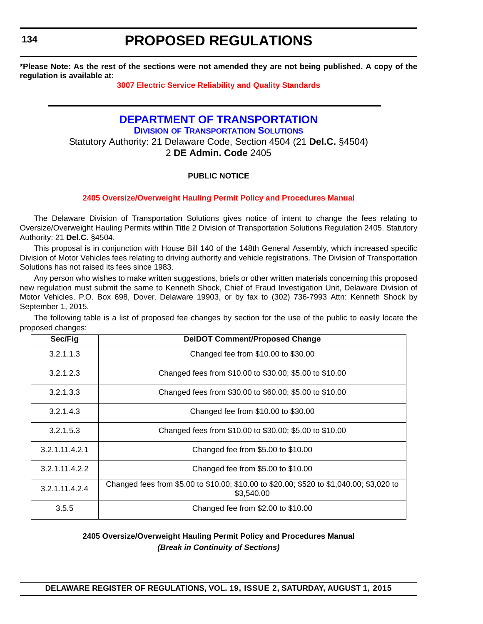<span id="page-50-0"></span>**134**

# **PROPOSED REGULATIONS**

**\*Please Note: As the rest of the sections were not amended they are not being published. A copy of the regulation is available at:**

**[3007 Electric Service Reliability and Quality Standards](http://regulations.delaware.gov/register/august2015/proposed/19 DE Reg 126 08-01-15.htm)**

### **[DEPARTMENT OF TRANSPORTATION](http://www.deldot.gov/home/divisions/) DIVISION OF TRANSPORTATION SOLUTIONS** Statutory Authority: 21 Delaware Code, Section 4504 (21 **Del.C.** §4504) 2 **DE Admin. Code** 2405

### **PUBLIC NOTICE**

#### **[2405 Oversize/Overweight Hauling Permit Policy and Procedures Manual](#page-4-0)**

The Delaware Division of Transportation Solutions gives notice of intent to change the fees relating to Oversize/Overweight Hauling Permits within Title 2 Division of Transportation Solutions Regulation 2405. Statutory Authority: 21 **Del.C.** §4504.

This proposal is in conjunction with House Bill 140 of the 148th General Assembly, which increased specific Division of Motor Vehicles fees relating to driving authority and vehicle registrations. The Division of Transportation Solutions has not raised its fees since 1983.

Any person who wishes to make written suggestions, briefs or other written materials concerning this proposed new regulation must submit the same to Kenneth Shock, Chief of Fraud Investigation Unit, Delaware Division of Motor Vehicles, P.O. Box 698, Dover, Delaware 19903, or by fax to (302) 736-7993 Attn: Kenneth Shock by September 1, 2015.

The following table is a list of proposed fee changes by section for the use of the public to easily locate the proposed changes:

| Sec/Fig        | <b>DeIDOT Comment/Proposed Change</b>                                                                  |
|----------------|--------------------------------------------------------------------------------------------------------|
| 3.2.1.1.3      | Changed fee from \$10.00 to \$30.00                                                                    |
| 3.2.1.2.3      | Changed fees from \$10.00 to \$30.00; \$5.00 to \$10.00                                                |
| 3.2.1.3.3      | Changed fees from \$30.00 to \$60.00; \$5.00 to \$10.00                                                |
| 3.2.1.4.3      | Changed fee from \$10.00 to \$30.00                                                                    |
| 3.2.1.5.3      | Changed fees from \$10.00 to \$30.00; \$5.00 to \$10.00                                                |
| 3.2.1.11.4.2.1 | Changed fee from \$5.00 to \$10.00                                                                     |
| 3.2.1.11.4.2.2 | Changed fee from \$5.00 to \$10.00                                                                     |
| 3.2.1.11.4.2.4 | Changed fees from \$5.00 to \$10.00; \$10.00 to \$20.00; \$520 to \$1,040.00; \$3,020 to<br>\$3,540.00 |
| 3.5.5          | Changed fee from $$2.00$ to $$10.00$                                                                   |

#### **2405 Oversize/Overweight Hauling Permit Policy and Procedures Manual** *(Break in Continuity of Sections)*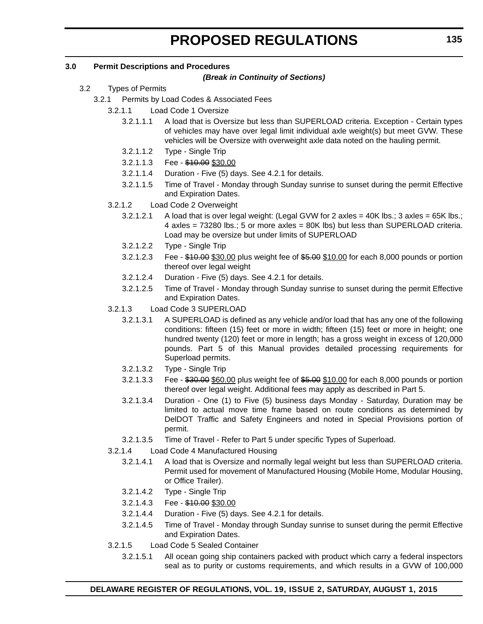#### **3.0 Permit Descriptions and Procedures**

#### *(Break in Continuity of Sections)*

- 3.2 Types of Permits
	- 3.2.1 Permits by Load Codes & Associated Fees
		- 3.2.1.1 Load Code 1 Oversize
			- 3.2.1.1.1 A load that is Oversize but less than SUPERLOAD criteria. Exception Certain types of vehicles may have over legal limit individual axle weight(s) but meet GVW. These vehicles will be Oversize with overweight axle data noted on the hauling permit.
			- 3.2.1.1.2 Type Single Trip
			- 3.2.1.1.3 Fee \$10.00 \$30.00
			- 3.2.1.1.4 Duration Five (5) days. See 4.2.1 for details.
			- 3.2.1.1.5 Time of Travel Monday through Sunday sunrise to sunset during the permit Effective and Expiration Dates.
		- 3.2.1.2 Load Code 2 Overweight
			- 3.2.1.2.1 A load that is over legal weight: (Legal GVW for 2 axles = 40K lbs.; 3 axles = 65K lbs.; 4 axles = 73280 lbs.; 5 or more axles = 80K lbs) but less than SUPERLOAD criteria. Load may be oversize but under limits of SUPERLOAD
			- 3.2.1.2.2 Type Single Trip
			- 3.2.1.2.3 Fee \$10.00 \$30.00 plus weight fee of \$5.00 \$10.00 for each 8,000 pounds or portion thereof over legal weight
			- 3.2.1.2.4 Duration Five (5) days. See 4.2.1 for details.
			- 3.2.1.2.5 Time of Travel Monday through Sunday sunrise to sunset during the permit Effective and Expiration Dates.
		- 3.2.1.3 Load Code 3 SUPERLOAD
			- 3.2.1.3.1 A SUPERLOAD is defined as any vehicle and/or load that has any one of the following conditions: fifteen (15) feet or more in width; fifteen (15) feet or more in height; one hundred twenty (120) feet or more in length; has a gross weight in excess of 120,000 pounds. Part 5 of this Manual provides detailed processing requirements for Superload permits.
			- 3.2.1.3.2 Type Single Trip
			- 3.2.1.3.3 Fee \$30.00 \$60.00 plus weight fee of \$5.00 \$10.00 for each 8,000 pounds or portion thereof over legal weight. Additional fees may apply as described in Part 5.
			- 3.2.1.3.4 Duration One (1) to Five (5) business days Monday Saturday, Duration may be limited to actual move time frame based on route conditions as determined by DelDOT Traffic and Safety Engineers and noted in Special Provisions portion of permit.
			- 3.2.1.3.5 Time of Travel Refer to Part 5 under specific Types of Superload.
		- 3.2.1.4 Load Code 4 Manufactured Housing
			- 3.2.1.4.1 A load that is Oversize and normally legal weight but less than SUPERLOAD criteria. Permit used for movement of Manufactured Housing (Mobile Home, Modular Housing, or Office Trailer).
			- 3.2.1.4.2 Type Single Trip
			- 3.2.1.4.3 Fee \$10.00 \$30.00
			- 3.2.1.4.4 Duration Five (5) days. See 4.2.1 for details.
			- 3.2.1.4.5 Time of Travel Monday through Sunday sunrise to sunset during the permit Effective and Expiration Dates.
		- 3.2.1.5 Load Code 5 Sealed Container
			- 3.2.1.5.1 All ocean going ship containers packed with product which carry a federal inspectors seal as to purity or customs requirements, and which results in a GVW of 100,000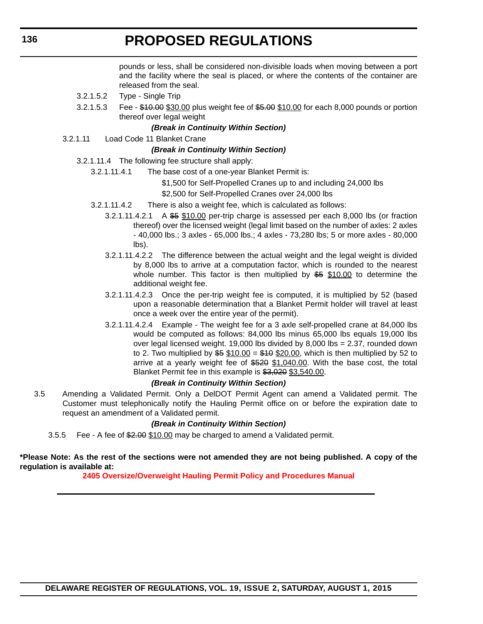pounds or less, shall be considered non-divisible loads when moving between a port and the facility where the seal is placed, or where the contents of the container are released from the seal.

- 3.2.1.5.2 Type Single Trip
- 3.2.1.5.3 Fee \$10.00 \$30.00 plus weight fee of \$5.00 \$10.00 for each 8,000 pounds or portion thereof over legal weight

#### *(Break in Continuity Within Section)*

3.2.1.11 Load Code 11 Blanket Crane

#### *(Break in Continuity Within Section)*

- 3.2.1.11.4 The following fee structure shall apply:
	- 3.2.1.11.4.1 The base cost of a one-year Blanket Permit is:
		- \$1,500 for Self-Propelled Cranes up to and including 24,000 lbs
		- \$2,500 for Self-Propelled Cranes over 24,000 lbs
	- 3.2.1.11.4.2 There is also a weight fee, which is calculated as follows:
		- 3.2.1.11.4.2.1 A \$5 \$10.00 per-trip charge is assessed per each 8,000 lbs (or fraction thereof) over the licensed weight (legal limit based on the number of axles: 2 axles - 40,000 lbs.; 3 axles - 65,000 lbs.; 4 axles - 73,280 lbs; 5 or more axles - 80,000 lbs).
		- 3.2.1.11.4.2.2 The difference between the actual weight and the legal weight is divided by 8,000 lbs to arrive at a computation factor, which is rounded to the nearest whole number. This factor is then multiplied by  $$5$  \$10.00 to determine the additional weight fee.
		- 3.2.1.11.4.2.3 Once the per-trip weight fee is computed, it is multiplied by 52 (based upon a reasonable determination that a Blanket Permit holder will travel at least once a week over the entire year of the permit).
		- 3.2.1.11.4.2.4 Example The weight fee for a 3 axle self-propelled crane at 84,000 lbs would be computed as follows: 84,000 lbs minus 65,000 lbs equals 19,000 lbs over legal licensed weight. 19,000 lbs divided by  $8,000$  lbs = 2.37, rounded down to 2. Two multiplied by  $$5 \, $10.00 = $10 \, $20.00$ , which is then multiplied by 52 to arrive at a yearly weight fee of \$520 \$1,040.00. With the base cost, the total Blanket Permit fee in this example is \$3,020 \$3,540.00.

#### *(Break in Continuity Within Section)*

3.5 Amending a Validated Permit. Only a DelDOT Permit Agent can amend a Validated permit. The Customer must telephonically notify the Hauling Permit office on or before the expiration date to request an amendment of a Validated permit.

#### *(Break in Continuity Within Section)*

3.5.5 Fee - A fee of \$2.00 \$10.00 may be charged to amend a Validated permit.

**\*Please Note: As the rest of the sections were not amended they are not being published. A copy of the regulation is available at:**

**[2405 Oversize/Overweight Hauling Permit Policy and Procedures Manual](http://regulations.delaware.gov/register/august2015/proposed/19 DE Reg 134 08-01-15.htm)**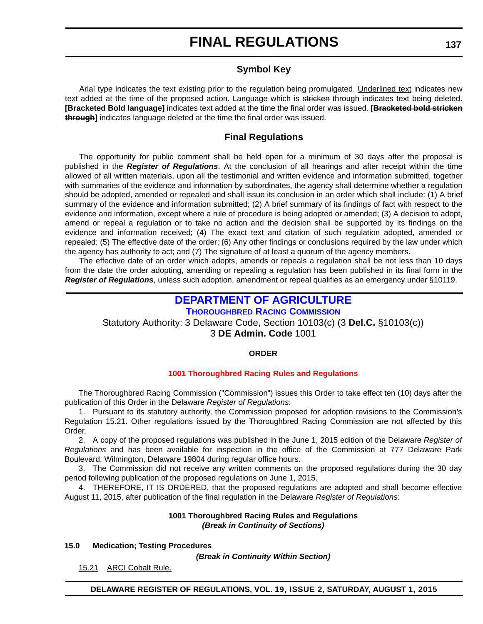#### **Symbol Key**

<span id="page-53-0"></span>Arial type indicates the text existing prior to the regulation being promulgated. Underlined text indicates new text added at the time of the proposed action. Language which is stricken through indicates text being deleted. **[Bracketed Bold language]** indicates text added at the time the final order was issued. **[Bracketed bold stricken through]** indicates language deleted at the time the final order was issued.

### **Final Regulations**

The opportunity for public comment shall be held open for a minimum of 30 days after the proposal is published in the *Register of Regulations*. At the conclusion of all hearings and after receipt within the time allowed of all written materials, upon all the testimonial and written evidence and information submitted, together with summaries of the evidence and information by subordinates, the agency shall determine whether a regulation should be adopted, amended or repealed and shall issue its conclusion in an order which shall include: (1) A brief summary of the evidence and information submitted; (2) A brief summary of its findings of fact with respect to the evidence and information, except where a rule of procedure is being adopted or amended; (3) A decision to adopt, amend or repeal a regulation or to take no action and the decision shall be supported by its findings on the evidence and information received; (4) The exact text and citation of such regulation adopted, amended or repealed; (5) The effective date of the order; (6) Any other findings or conclusions required by the law under which the agency has authority to act; and (7) The signature of at least a quorum of the agency members.

The effective date of an order which adopts, amends or repeals a regulation shall be not less than 10 days from the date the order adopting, amending or repealing a regulation has been published in its final form in the *Register of Regulations*, unless such adoption, amendment or repeal qualifies as an emergency under §10119.

### **[DEPARTMENT OF AGRICULTURE](http://dda.delaware.gov/thoroughbred/)**

### **THOROUGHBRED RACING COMMISSION**

Statutory Authority: 3 Delaware Code, Section 10103(c) (3 **Del.C.** §10103(c)) 3 **DE Admin. Code** 1001

#### **ORDER**

#### **[1001 Thoroughbred Racing](#page-4-0) Rules and Regulations**

The Thoroughbred Racing Commission ("Commission") issues this Order to take effect ten (10) days after the publication of this Order in the Delaware *Register of Regulations*:

1. Pursuant to its statutory authority, the Commission proposed for adoption revisions to the Commission's Regulation 15.21. Other regulations issued by the Thoroughbred Racing Commission are not affected by this Order.

2. A copy of the proposed regulations was published in the June 1, 2015 edition of the Delaware *Register of Regulations* and has been available for inspection in the office of the Commission at 777 Delaware Park Boulevard, Wilmington, Delaware 19804 during regular office hours.

3. The Commission did not receive any written comments on the proposed regulations during the 30 day period following publication of the proposed regulations on June 1, 2015.

4. THEREFORE, IT IS ORDERED, that the proposed regulations are adopted and shall become effective August 11, 2015, after publication of the final regulation in the Delaware *Register of Regulations*:

#### **1001 Thoroughbred Racing Rules and Regulations** *(Break in Continuity of Sections)*

#### **15.0 Medication; Testing Procedures**

*(Break in Continuity Within Section)*

15.21 ARCI Cobalt Rule.

**DELAWARE REGISTER OF REGULATIONS, VOL. 19, ISSUE 2, SATURDAY, AUGUST 1, 2015**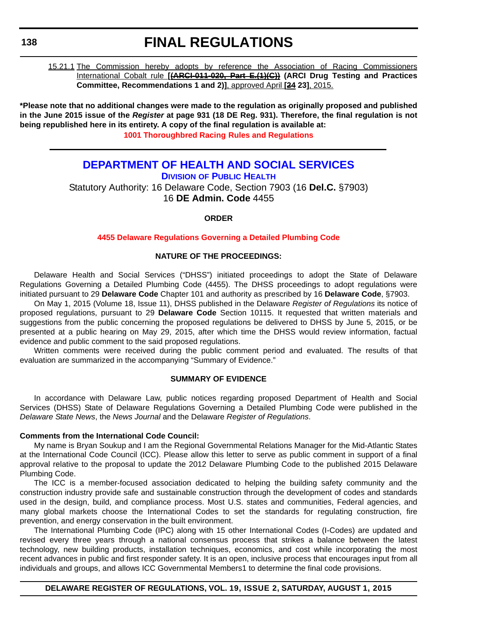#### <span id="page-54-0"></span>**138**

### **FINAL REGULATIONS**

15.21.1 The Commission hereby adopts by reference the Association of Racing Commissioners International Cobalt rule **[(ARCI-011-020, Part E.(1)(C)) (ARCI Drug Testing and Practices Committee, Recommendations 1 and 2)]**, approved April **[24 23]**, 2015.

**\*Please note that no additional changes were made to the regulation as originally proposed and published in the June 2015 issue of the** *Register* **at page 931 (18 DE Reg. 931). Therefore, the final regulation is not being republished here in its entirety. A copy of the final regulation is available at: [1001 Thoroughbred Racing](http://regulations.delaware.gov/register/august2015/final/19 DE Reg 137 08-01-15.htm) Rules and Regulations**

### **[DEPARTMENT OF HEALTH AND SOCIAL SERVICES](http://www.dhss.delaware.gov/dhss/dph/index.html) DIVISION OF PUBLIC HEALTH** Statutory Authority: 16 Delaware Code, Section 7903 (16 **Del.C.** §7903) 16 **DE Admin. Code** 4455

#### **ORDER**

#### **[4455 Delaware Regulations Governing a Detailed Plumbing Code](#page-4-0)**

#### **NATURE OF THE PROCEEDINGS:**

Delaware Health and Social Services ("DHSS") initiated proceedings to adopt the State of Delaware Regulations Governing a Detailed Plumbing Code (4455). The DHSS proceedings to adopt regulations were initiated pursuant to 29 **Delaware Code** Chapter 101 and authority as prescribed by 16 **Delaware Code**, §7903.

On May 1, 2015 (Volume 18, Issue 11), DHSS published in the Delaware *Register of Regulations* its notice of proposed regulations, pursuant to 29 **Delaware Code** Section 10115. It requested that written materials and suggestions from the public concerning the proposed regulations be delivered to DHSS by June 5, 2015, or be presented at a public hearing on May 29, 2015, after which time the DHSS would review information, factual evidence and public comment to the said proposed regulations.

Written comments were received during the public comment period and evaluated. The results of that evaluation are summarized in the accompanying "Summary of Evidence."

#### **SUMMARY OF EVIDENCE**

In accordance with Delaware Law, public notices regarding proposed Department of Health and Social Services (DHSS) State of Delaware Regulations Governing a Detailed Plumbing Code were published in the *Delaware State News*, the *News Journal* and the Delaware *Register of Regulations*.

#### **Comments from the International Code Council:**

My name is Bryan Soukup and I am the Regional Governmental Relations Manager for the Mid-Atlantic States at the International Code Council (ICC). Please allow this letter to serve as public comment in support of a final approval relative to the proposal to update the 2012 Delaware Plumbing Code to the published 2015 Delaware Plumbing Code.

The ICC is a member-focused association dedicated to helping the building safety community and the construction industry provide safe and sustainable construction through the development of codes and standards used in the design, build, and compliance process. Most U.S. states and communities, Federal agencies, and many global markets choose the International Codes to set the standards for regulating construction, fire prevention, and energy conservation in the built environment.

The International Plumbing Code (IPC) along with 15 other International Codes (I-Codes) are updated and revised every three years through a national consensus process that strikes a balance between the latest technology, new building products, installation techniques, economics, and cost while incorporating the most recent advances in public and first responder safety. It is an open, inclusive process that encourages input from all individuals and groups, and allows ICC Governmental Members1 to determine the final code provisions.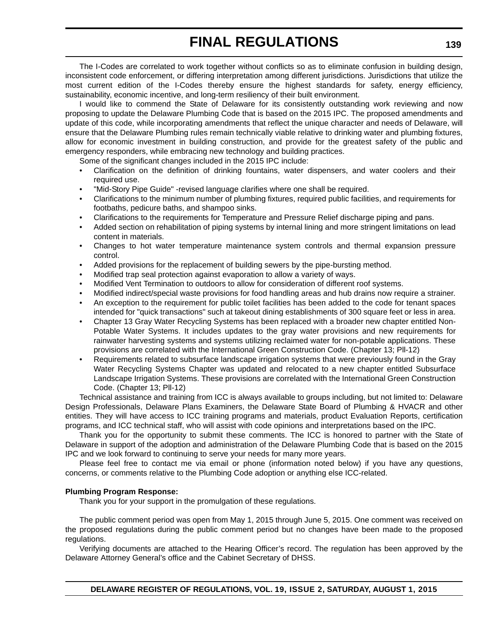The I-Codes are correlated to work together without conflicts so as to eliminate confusion in building design, inconsistent code enforcement, or differing interpretation among different jurisdictions. Jurisdictions that utilize the most current edition of the I-Codes thereby ensure the highest standards for safety, energy efficiency, sustainability, economic incentive, and long-term resiliency of their built environment.

I would like to commend the State of Delaware for its consistently outstanding work reviewing and now proposing to update the Delaware Plumbing Code that is based on the 2015 IPC. The proposed amendments and update of this code, while incorporating amendments that reflect the unique character and needs of Delaware, will ensure that the Delaware Plumbing rules remain technically viable relative to drinking water and plumbing fixtures, allow for economic investment in building construction, and provide for the greatest safety of the public and emergency responders, while embracing new technology and building practices.

Some of the significant changes included in the 2015 IPC include:

- Clarification on the definition of drinking fountains, water dispensers, and water coolers and their required use.
- "Mid-Story Pipe Guide" -revised language clarifies where one shall be required.
- Clarifications to the minimum number of plumbing fixtures, required public facilities, and requirements for footbaths, pedicure baths, and shampoo sinks.
- Clarifications to the requirements for Temperature and Pressure Relief discharge piping and pans.
- Added section on rehabilitation of piping systems by internal lining and more stringent limitations on lead content in materials.
- Changes to hot water temperature maintenance system controls and thermal expansion pressure control.
- Added provisions for the replacement of building sewers by the pipe-bursting method.
- Modified trap seal protection against evaporation to allow a variety of ways.
- Modified Vent Termination to outdoors to allow for consideration of different roof systems.
- Modified indirect/special waste provisions for food handling areas and hub drains now require a strainer.
- An exception to the requirement for public toilet facilities has been added to the code for tenant spaces intended for "quick transactions" such at takeout dining establishments of 300 square feet or less in area.
- Chapter 13 Gray Water Recycling Systems has been replaced with a broader new chapter entitled Non-Potable Water Systems. It includes updates to the gray water provisions and new requirements for rainwater harvesting systems and systems utilizing reclaimed water for non-potable applications. These provisions are correlated with the International Green Construction Code. (Chapter 13; Pll-12)
- Requirements related to subsurface landscape irrigation systems that were previously found in the Gray Water Recycling Systems Chapter was updated and relocated to a new chapter entitled Subsurface Landscape Irrigation Systems. These provisions are correlated with the International Green Construction Code. (Chapter 13; Pll-12)

Technical assistance and training from ICC is always available to groups including, but not limited to: Delaware Design Professionals, Delaware Plans Examiners, the Delaware State Board of Plumbing & HVACR and other entities. They will have access to ICC training programs and materials, product Evaluation Reports, certification programs, and ICC technical staff, who will assist with code opinions and interpretations based on the IPC.

Thank you for the opportunity to submit these comments. The ICC is honored to partner with the State of Delaware in support of the adoption and administration of the Delaware Plumbing Code that is based on the 2015 IPC and we look forward to continuing to serve your needs for many more years.

Please feel free to contact me via email or phone (information noted below) if you have any questions, concerns, or comments relative to the Plumbing Code adoption or anything else ICC-related.

#### **Plumbing Program Response:**

Thank you for your support in the promulgation of these regulations.

The public comment period was open from May 1, 2015 through June 5, 2015. One comment was received on the proposed regulations during the public comment period but no changes have been made to the proposed regulations.

Verifying documents are attached to the Hearing Officer's record. The regulation has been approved by the Delaware Attorney General's office and the Cabinet Secretary of DHSS.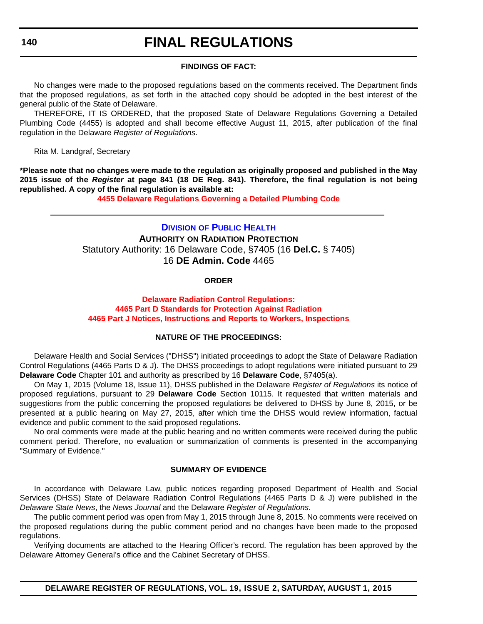### <span id="page-56-0"></span>**140**

# **FINAL REGULATIONS**

#### **FINDINGS OF FACT:**

No changes were made to the proposed regulations based on the comments received. The Department finds that the proposed regulations, as set forth in the attached copy should be adopted in the best interest of the general public of the State of Delaware.

THEREFORE, IT IS ORDERED, that the proposed State of Delaware Regulations Governing a Detailed Plumbing Code (4455) is adopted and shall become effective August 11, 2015, after publication of the final regulation in the Delaware *Register of Regulations*.

Rita M. Landgraf, Secretary

**\*Please note that no changes were made to the regulation as originally proposed and published in the May 2015 issue of the** *Register* **at page 841 (18 DE Reg. 841). Therefore, the final regulation is not being republished. A copy of the final regulation is available at:**

**[4455 Delaware Regulations Governing a Detailed Plumbing Code](http://regulations.delaware.gov/register/august2015/final/19 DE Reg 138 08-01-15.htm)**

### **DIVISION [OF PUBLIC HEALTH](http://www.dhss.delaware.gov/dhss/dph/index.html) AUTHORITY ON RADIATION PROTECTION** Statutory Authority: 16 Delaware Code, §7405 (16 **Del.C.** § 7405) 16 **DE Admin. Code** 4465

#### **ORDER**

#### **Delaware Radiation Control Regulations: 4465 Part D Standards for Protection Against Radiation [4465 Part J Notices, Instructions and Reports to Workers, Inspections](#page-4-0)**

#### **NATURE OF THE PROCEEDINGS:**

Delaware Health and Social Services ("DHSS") initiated proceedings to adopt the State of Delaware Radiation Control Regulations (4465 Parts D & J). The DHSS proceedings to adopt regulations were initiated pursuant to 29 **Delaware Code** Chapter 101 and authority as prescribed by 16 **Delaware Code**, §7405(a).

On May 1, 2015 (Volume 18, Issue 11), DHSS published in the Delaware *Register of Regulations* its notice of proposed regulations, pursuant to 29 **Delaware Code** Section 10115. It requested that written materials and suggestions from the public concerning the proposed regulations be delivered to DHSS by June 8, 2015, or be presented at a public hearing on May 27, 2015, after which time the DHSS would review information, factual evidence and public comment to the said proposed regulations.

No oral comments were made at the public hearing and no written comments were received during the public comment period. Therefore, no evaluation or summarization of comments is presented in the accompanying "Summary of Evidence."

#### **SUMMARY OF EVIDENCE**

In accordance with Delaware Law, public notices regarding proposed Department of Health and Social Services (DHSS) State of Delaware Radiation Control Regulations (4465 Parts D & J) were published in the *Delaware State News*, the *News Journal* and the Delaware *Register of Regulations*.

The public comment period was open from May 1, 2015 through June 8, 2015. No comments were received on the proposed regulations during the public comment period and no changes have been made to the proposed regulations.

Verifying documents are attached to the Hearing Officer's record. The regulation has been approved by the Delaware Attorney General's office and the Cabinet Secretary of DHSS.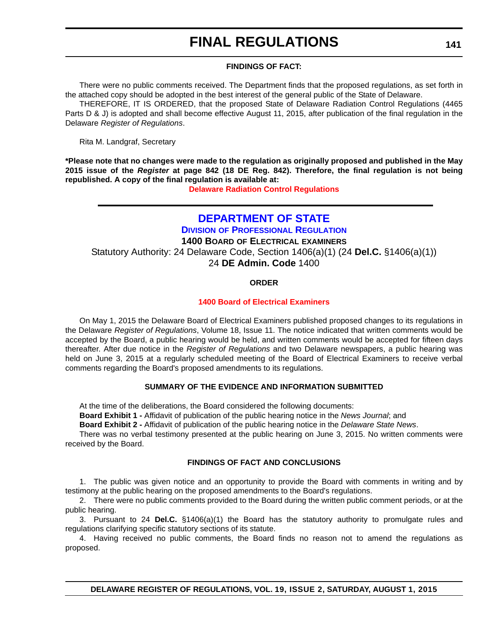#### **FINDINGS OF FACT:**

<span id="page-57-0"></span>There were no public comments received. The Department finds that the proposed regulations, as set forth in the attached copy should be adopted in the best interest of the general public of the State of Delaware.

THEREFORE, IT IS ORDERED, that the proposed State of Delaware Radiation Control Regulations (4465 Parts D & J) is adopted and shall become effective August 11, 2015, after publication of the final regulation in the Delaware *Register of Regulations*.

Rita M. Landgraf, Secretary

**\*Please note that no changes were made to the regulation as originally proposed and published in the May 2015 issue of the** *Register* **at page 842 (18 DE Reg. 842). Therefore, the final regulation is not being republished. A copy of the final regulation is available at:**

**[Delaware Radiation Control Regulations](http://regulations.delaware.gov/register/august2015/final/19 DE Reg 140 08-01-15.htm)**

### **[DEPARTMENT OF STATE](http://dpr.delaware.gov/)**

**DIVISION OF PROFESSIONAL REGULATION 1400 BOARD OF ELECTRICAL EXAMINERS** Statutory Authority: 24 Delaware Code, Section 1406(a)(1) (24 **Del.C.** §1406(a)(1)) 24 **DE Admin. Code** 1400

#### **ORDER**

#### **[1400 Board of Electrical Examiners](#page-4-0)**

On May 1, 2015 the Delaware Board of Electrical Examiners published proposed changes to its regulations in the Delaware *Register of Regulations*, Volume 18, Issue 11. The notice indicated that written comments would be accepted by the Board, a public hearing would be held, and written comments would be accepted for fifteen days thereafter. After due notice in the *Register of Regulations* and two Delaware newspapers, a public hearing was held on June 3, 2015 at a regularly scheduled meeting of the Board of Electrical Examiners to receive verbal comments regarding the Board's proposed amendments to its regulations.

#### **SUMMARY OF THE EVIDENCE AND INFORMATION SUBMITTED**

At the time of the deliberations, the Board considered the following documents:

**Board Exhibit 1 -** Affidavit of publication of the public hearing notice in the *News Journal*; and

**Board Exhibit 2 -** Affidavit of publication of the public hearing notice in the *Delaware State News*.

There was no verbal testimony presented at the public hearing on June 3, 2015. No written comments were received by the Board.

#### **FINDINGS OF FACT AND CONCLUSIONS**

1. The public was given notice and an opportunity to provide the Board with comments in writing and by testimony at the public hearing on the proposed amendments to the Board's regulations.

2. There were no public comments provided to the Board during the written public comment periods, or at the public hearing.

3. Pursuant to 24 **Del.C.** §1406(a)(1) the Board has the statutory authority to promulgate rules and regulations clarifying specific statutory sections of its statute.

4. Having received no public comments, the Board finds no reason not to amend the regulations as proposed.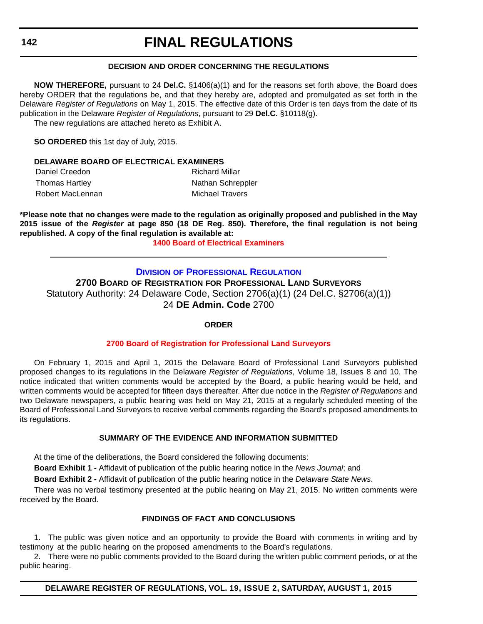#### **DECISION AND ORDER CONCERNING THE REGULATIONS**

<span id="page-58-0"></span>**NOW THEREFORE,** pursuant to 24 **Del.C.** §1406(a)(1) and for the reasons set forth above, the Board does hereby ORDER that the regulations be, and that they hereby are, adopted and promulgated as set forth in the Delaware *Register of Regulations* on May 1, 2015. The effective date of this Order is ten days from the date of its publication in the Delaware *Register of Regulations*, pursuant to 29 **Del.C.** §10118(g).

The new regulations are attached hereto as Exhibit A.

**SO ORDERED** this 1st day of July, 2015.

#### **DELAWARE BOARD OF ELECTRICAL EXAMINERS**

| Daniel Creedon   | <b>Richard Millar</b> |
|------------------|-----------------------|
| Thomas Hartley   | Nathan Schreppler     |
| Robert MacLennan | Michael Travers       |

**\*Please note that no changes were made to the regulation as originally proposed and published in the May 2015 issue of the** *Register* **at page 850 (18 DE Reg. 850). Therefore, the final regulation is not being republished. A copy of the final regulation is available at:**

**[1400 Board of Electrical Examiners](http://regulations.delaware.gov/register/august2015/final/19 DE Reg 141 08-01-15.htm)**

#### **DIVISION [OF PROFESSIONAL REGULATION](http://dpr.delaware.gov/)**

**2700 BOARD OF REGISTRATION FOR PROFESSIONAL LAND SURVEYORS** Statutory Authority: 24 Delaware Code, Section 2706(a)(1) (24 Del.C. §2706(a)(1)) 24 **DE Admin. Code** 2700

#### **ORDER**

#### **[2700 Board of Registration for Professional Land Surveyors](#page-4-0)**

On February 1, 2015 and April 1, 2015 the Delaware Board of Professional Land Surveyors published proposed changes to its regulations in the Delaware *Register of Regulations*, Volume 18, Issues 8 and 10. The notice indicated that written comments would be accepted by the Board, a public hearing would be held, and written comments would be accepted for fifteen days thereafter. After due notice in the *Register of Regulations* and two Delaware newspapers, a public hearing was held on May 21, 2015 at a regularly scheduled meeting of the Board of Professional Land Surveyors to receive verbal comments regarding the Board's proposed amendments to its regulations.

#### **SUMMARY OF THE EVIDENCE AND INFORMATION SUBMITTED**

At the time of the deliberations, the Board considered the following documents:

**Board Exhibit 1 -** Affidavit of publication of the public hearing notice in the *News Journal*; and

**Board Exhibit 2 -** Affidavit of publication of the public hearing notice in the *Delaware State News*.

There was no verbal testimony presented at the public hearing on May 21, 2015. No written comments were received by the Board.

#### **FINDINGS OF FACT AND CONCLUSIONS**

1. The public was given notice and an opportunity to provide the Board with comments in writing and by testimony at the public hearing on the proposed amendments to the Board's regulations.

2. There were no public comments provided to the Board during the written public comment periods, or at the public hearing.

**DELAWARE REGISTER OF REGULATIONS, VOL. 19, ISSUE 2, SATURDAY, AUGUST 1, 2015**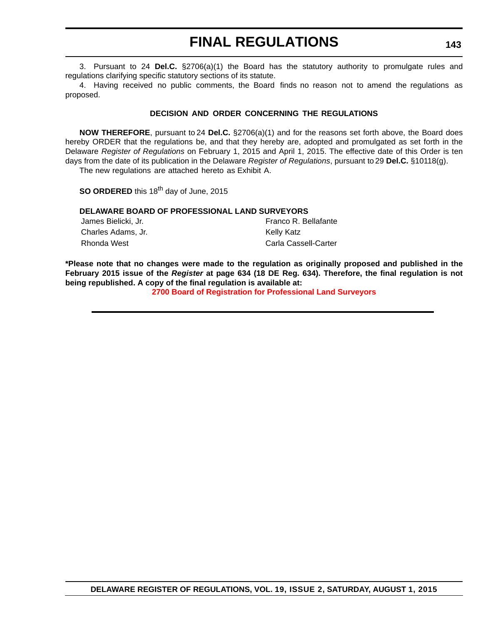3. Pursuant to 24 **Del.C.** §2706(a)(1) the Board has the statutory authority to promulgate rules and regulations clarifying specific statutory sections of its statute.

4. Having received no public comments, the Board finds no reason not to amend the regulations as proposed.

#### **DECISION AND ORDER CONCERNING THE REGULATIONS**

**NOW THEREFORE**, pursuant to 24 **Del.C.** §2706(a)(1) and for the reasons set forth above, the Board does hereby ORDER that the regulations be, and that they hereby are, adopted and promulgated as set forth in the Delaware *Register of Regulations* on February 1, 2015 and April 1, 2015. The effective date of this Order is ten days from the date of its publication in the Delaware *Register of Regulations*, pursuant to 29 **Del.C.** §10118(g). The new regulations are attached hereto as Exhibit A.

**SO ORDERED** this 18<sup>th</sup> day of June, 2015

#### **DELAWARE BOARD OF PROFESSIONAL LAND SURVEYORS**

| James Bielicki, Jr. | Franco R. Bellafante |
|---------------------|----------------------|
| Charles Adams, Jr.  | Kelly Katz           |
| Rhonda West         | Carla Cassell-Carter |

**\*Please note that no changes were made to the regulation as originally proposed and published in the February 2015 issue of the** *Register* **at page 634 (18 DE Reg. 634). Therefore, the final regulation is not being republished. A copy of the final regulation is available at:**

**[2700 Board of Registration for Professional Land Surveyors](http://regulations.delaware.gov/register/august2015/final/19 DE Reg 142 08-01-15.htm)**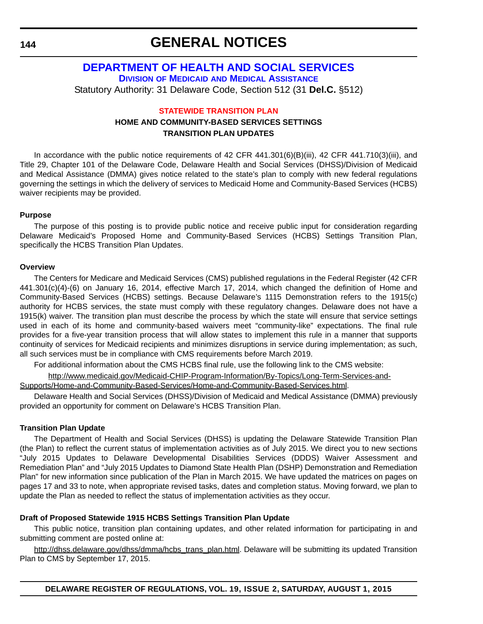<span id="page-60-0"></span>**144**

# **GENERAL NOTICES**

### **[DEPARTMENT OF HEALTH AND SOCIAL SERVICES](http://www.dhss.delaware.gov/dhss/dmma/) DIVISION OF MEDICAID AND MEDICAL ASSISTANCE** Statutory Authority: 31 Delaware Code, Section 512 (31 **Del.C.** §512)

#### **[STATEWIDE TRANSITION PLAN](#page-4-0)**

### **HOME AND COMMUNITY-BASED SERVICES SETTINGS TRANSITION PLAN UPDATES**

In accordance with the public notice requirements of 42 CFR 441.301(6)(B)(iii), 42 CFR 441.710(3)(iii), and Title 29, Chapter 101 of the Delaware Code, Delaware Health and Social Services (DHSS)/Division of Medicaid and Medical Assistance (DMMA) gives notice related to the state's plan to comply with new federal regulations governing the settings in which the delivery of services to Medicaid Home and Community-Based Services (HCBS) waiver recipients may be provided.

#### **Purpose**

The purpose of this posting is to provide public notice and receive public input for consideration regarding Delaware Medicaid's Proposed Home and Community-Based Services (HCBS) Settings Transition Plan, specifically the HCBS Transition Plan Updates.

#### **Overview**

The Centers for Medicare and Medicaid Services (CMS) published regulations in the Federal Register (42 CFR 441.301(c)(4)-(6) on January 16, 2014, effective March 17, 2014, which changed the definition of Home and Community-Based Services (HCBS) settings. Because Delaware's 1115 Demonstration refers to the 1915(c) authority for HCBS services, the state must comply with these regulatory changes. Delaware does not have a 1915(k) waiver. The transition plan must describe the process by which the state will ensure that service settings used in each of its home and community-based waivers meet "community-like" expectations. The final rule provides for a five-year transition process that will allow states to implement this rule in a manner that supports continuity of services for Medicaid recipients and minimizes disruptions in service during implementation; as such, all such services must be in compliance with CMS requirements before March 2019.

For additional information about the CMS HCBS final rule, use the following link to the CMS website:

[http://www.medicaid.gov/Medicaid-CHIP-Program-Information/By-Topics/Long-Term-Services-and-](http://www.medicaid.gov/Medicaid-CHIP-Program-Information/By-Topics/Long-Term-Services-and-Supports/Home-and-Community-Based-Services/Home-and-Community-Based-Services.html)

[Supports/Home-and-Community-Based-Services/Home-and-Community-Based-Services.html.](http://www.medicaid.gov/Medicaid-CHIP-Program-Information/By-Topics/Long-Term-Services-and-Supports/Home-and-Community-Based-Services/Home-and-Community-Based-Services.html)

Delaware Health and Social Services (DHSS)/Division of Medicaid and Medical Assistance (DMMA) previously provided an opportunity for comment on Delaware's HCBS Transition Plan.

#### **Transition Plan Update**

The Department of Health and Social Services (DHSS) is updating the Delaware Statewide Transition Plan (the Plan) to reflect the current status of implementation activities as of July 2015. We direct you to new sections "July 2015 Updates to Delaware Developmental Disabilities Services (DDDS) Waiver Assessment and Remediation Plan" and "July 2015 Updates to Diamond State Health Plan (DSHP) Demonstration and Remediation Plan" for new information since publication of the Plan in March 2015. We have updated the matrices on pages on pages 17 and 33 to note, when appropriate revised tasks, dates and completion status. Moving forward, we plan to update the Plan as needed to reflect the status of implementation activities as they occur.

#### **Draft of Proposed Statewide 1915 HCBS Settings Transition Plan Update**

This public notice, transition plan containing updates, and other related information for participating in and submitting comment are posted online at:

[http://dhss.delaware.gov/dhss/dmma/hcbs\\_trans\\_plan.html.](http://dhss.delaware.gov/dhss/dmma/hcbs_trans_plan.html) Delaware will be submitting its updated Transition Plan to CMS by September 17, 2015.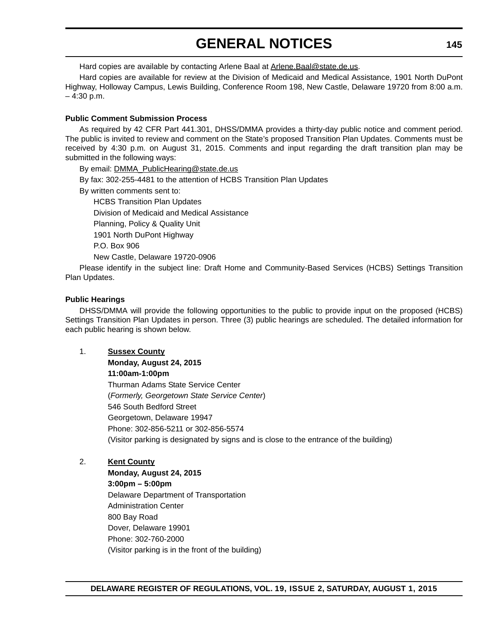# **GENERAL NOTICES**

Hard copies are available by contacting Arlene Baal at [Arlene.Baal@state.de.us.](mailto:Arlene.Baal@state.de.us)

Hard copies are available for review at the Division of Medicaid and Medical Assistance, 1901 North DuPont Highway, Holloway Campus, Lewis Building, Conference Room 198, New Castle, Delaware 19720 from 8:00 a.m.  $-4:30$  p.m.

#### **Public Comment Submission Process**

As required by 42 CFR Part 441.301, DHSS/DMMA provides a thirty-day public notice and comment period. The public is invited to review and comment on the State's proposed Transition Plan Updates. Comments must be received by 4:30 p.m. on August 31, 2015. Comments and input regarding the draft transition plan may be submitted in the following ways:

By email: [DMMA\\_PublicHearing@state.de.us](mailto:DMMA_PublicHearing@state.de.us)

- By fax: 302-255-4481 to the attention of HCBS Transition Plan Updates
- By written comments sent to:

HCBS Transition Plan Updates

Division of Medicaid and Medical Assistance

Planning, Policy & Quality Unit

1901 North DuPont Highway

P.O. Box 906

New Castle, Delaware 19720-0906

Please identify in the subject line: Draft Home and Community-Based Services (HCBS) Settings Transition Plan Updates.

#### **Public Hearings**

DHSS/DMMA will provide the following opportunities to the public to provide input on the proposed (HCBS) Settings Transition Plan Updates in person. Three (3) public hearings are scheduled. The detailed information for each public hearing is shown below.

1. **Sussex County**

**Monday, August 24, 2015 11:00am-1:00pm** Thurman Adams State Service Center (*Formerly, Georgetown State Service Center*) 546 South Bedford Street Georgetown, Delaware 19947 Phone: 302-856-5211 or 302-856-5574 (Visitor parking is designated by signs and is close to the entrance of the building)

#### 2. **Kent County**

**Monday, August 24, 2015 3:00pm – 5:00pm** Delaware Department of Transportation Administration Center 800 Bay Road Dover, Delaware 19901 Phone: 302-760-2000 (Visitor parking is in the front of the building)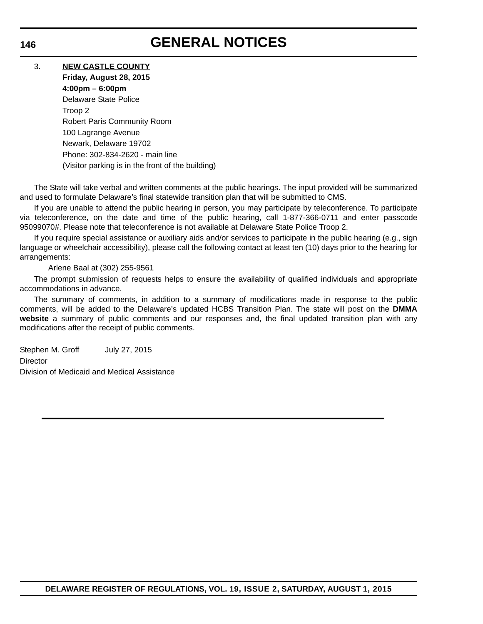# **GENERAL NOTICES**

#### 3. **NEW CASTLE COUNTY**

**Friday, August 28, 2015 4:00pm – 6:00pm** Delaware State Police Troop 2 Robert Paris Community Room 100 Lagrange Avenue Newark, Delaware 19702 Phone: 302-834-2620 - main line (Visitor parking is in the front of the building)

The State will take verbal and written comments at the public hearings. The input provided will be summarized and used to formulate Delaware's final statewide transition plan that will be submitted to CMS.

If you are unable to attend the public hearing in person, you may participate by teleconference. To participate via teleconference, on the date and time of the public hearing, call 1-877-366-0711 and enter passcode 95099070#. Please note that teleconference is not available at Delaware State Police Troop 2.

If you require special assistance or auxiliary aids and/or services to participate in the public hearing (e.g., sign language or wheelchair accessibility), please call the following contact at least ten (10) days prior to the hearing for arrangements:

#### Arlene Baal at (302) 255-9561

The prompt submission of requests helps to ensure the availability of qualified individuals and appropriate accommodations in advance.

The summary of comments, in addition to a summary of modifications made in response to the public comments, will be added to the Delaware's updated HCBS Transition Plan. The state will post on the **DMMA website** a summary of public comments and our responses and, the final updated transition plan with any modifications after the receipt of public comments.

Stephen M. Groff July 27, 2015 **Director** Division of Medicaid and Medical Assistance

#### **DELAWARE REGISTER OF REGULATIONS, VOL. 19, ISSUE 2, SATURDAY, AUGUST 1, 2015**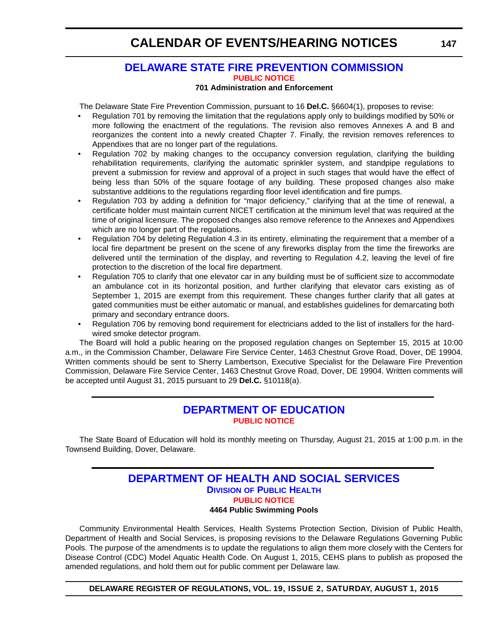#### <span id="page-63-0"></span>**[DELAWARE STATE FIRE PREVENTION COMMISSION](http://www.statefirecommission.delaware.gov/) [PUBLIC NOTICE](#page-4-0)**

#### **701 Administration and Enforcement**

The Delaware State Fire Prevention Commission, pursuant to 16 **Del.C.** §6604(1), proposes to revise:

- Regulation 701 by removing the limitation that the regulations apply only to buildings modified by 50% or more following the enactment of the regulations. The revision also removes Annexes A and B and reorganizes the content into a newly created Chapter 7. Finally, the revision removes references to Appendixes that are no longer part of the regulations.
- Regulation 702 by making changes to the occupancy conversion regulation, clarifying the building rehabilitation requirements, clarifying the automatic sprinkler system, and standpipe regulations to prevent a submission for review and approval of a project in such stages that would have the effect of being less than 50% of the square footage of any building. These proposed changes also make substantive additions to the regulations regarding floor level identification and fire pumps.
- Regulation 703 by adding a definition for "major deficiency," clarifying that at the time of renewal, a certificate holder must maintain current NICET certification at the minimum level that was required at the time of original licensure. The proposed changes also remove reference to the Annexes and Appendixes which are no longer part of the regulations.
- Regulation 704 by deleting Regulation 4.3 in its entirety, eliminating the requirement that a member of a local fire department be present on the scene of any fireworks display from the time the fireworks are delivered until the termination of the display, and reverting to Regulation 4.2, leaving the level of fire protection to the discretion of the local fire department.
- Regulation 705 to clarify that one elevator car in any building must be of sufficient size to accommodate an ambulance cot in its horizontal position, and further clarifying that elevator cars existing as of September 1, 2015 are exempt from this requirement. These changes further clarify that all gates at gated communities must be either automatic or manual, and establishes guidelines for demarcating both primary and secondary entrance doors.
- Regulation 706 by removing bond requirement for electricians added to the list of installers for the hardwired smoke detector program.

The Board will hold a public hearing on the proposed regulation changes on September 15, 2015 at 10:00 a.m., in the Commission Chamber, Delaware Fire Service Center, 1463 Chestnut Grove Road, Dover, DE 19904. Written comments should be sent to Sherry Lambertson, Executive Specialist for the Delaware Fire Prevention Commission, Delaware Fire Service Center, 1463 Chestnut Grove Road, Dover, DE 19904. Written comments will be accepted until August 31, 2015 pursuant to 29 **Del.C.** §10118(a).

### **[DEPARTMENT OF EDUCATION](http://www.doe.k12.de.us/site/default.aspx?PageID=1) [PUBLIC NOTICE](#page-4-0)**

The State Board of Education will hold its monthly meeting on Thursday, August 21, 2015 at 1:00 p.m. in the Townsend Building, Dover, Delaware.

#### **[DEPARTMENT OF HEALTH AND SOCIAL SERVICES](http://www.dhss.delaware.gov/dhss/dph/index.html) DIVISION OF PUBLIC HEALTH [PUBLIC NOTICE](#page-4-0) 4464 Public Swimming Pools**

Community Environmental Health Services, Health Systems Protection Section, Division of Public Health, Department of Health and Social Services, is proposing revisions to the Delaware Regulations Governing Public Pools. The purpose of the amendments is to update the regulations to align them more closely with the Centers for Disease Control (CDC) Model Aquatic Health Code. On August 1, 2015, CEHS plans to publish as proposed the amended regulations, and hold them out for public comment per Delaware law.

**DELAWARE REGISTER OF REGULATIONS, VOL. 19, ISSUE 2, SATURDAY, AUGUST 1, 2015**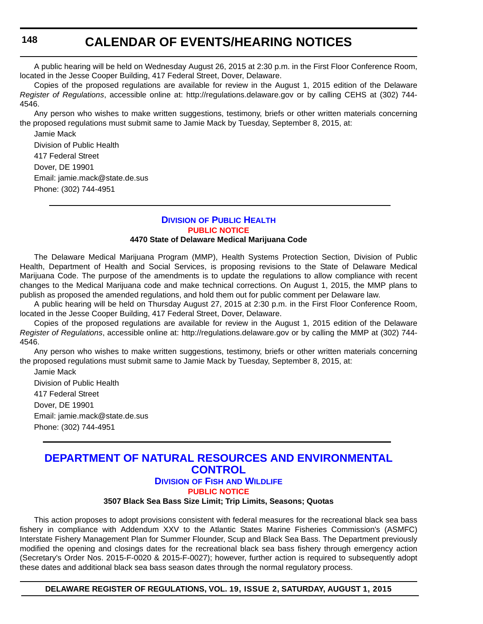<span id="page-64-0"></span>A public hearing will be held on Wednesday August 26, 2015 at 2:30 p.m. in the First Floor Conference Room, located in the Jesse Cooper Building, 417 Federal Street, Dover, Delaware.

Copies of the proposed regulations are available for review in the August 1, 2015 edition of the Delaware *Register of Regulations*, accessible online at: http://regulations.delaware.gov or by calling CEHS at (302) 744- 4546.

Any person who wishes to make written suggestions, testimony, briefs or other written materials concerning the proposed regulations must submit same to Jamie Mack by Tuesday, September 8, 2015, at:

Jamie Mack Division of Public Health 417 Federal Street Dover, DE 19901 Email: jamie.mack@state.de.sus Phone: (302) 744-4951

### **DIVISION [OF PUBLIC HEALTH](http://www.dhss.delaware.gov/dhss/dph/index.html) [PUBLIC NOTICE](#page-4-0)**

#### **4470 State of Delaware Medical Marijuana Code**

The Delaware Medical Marijuana Program (MMP), Health Systems Protection Section, Division of Public Health, Department of Health and Social Services, is proposing revisions to the State of Delaware Medical Marijuana Code. The purpose of the amendments is to update the regulations to allow compliance with recent changes to the Medical Marijuana code and make technical corrections. On August 1, 2015, the MMP plans to publish as proposed the amended regulations, and hold them out for public comment per Delaware law.

A public hearing will be held on Thursday August 27, 2015 at 2:30 p.m. in the First Floor Conference Room, located in the Jesse Cooper Building, 417 Federal Street, Dover, Delaware.

Copies of the proposed regulations are available for review in the August 1, 2015 edition of the Delaware *Register of Regulations*, accessible online at: http://regulations.delaware.gov or by calling the MMP at (302) 744- 4546.

Any person who wishes to make written suggestions, testimony, briefs or other written materials concerning the proposed regulations must submit same to Jamie Mack by Tuesday, September 8, 2015, at:

Jamie Mack Division of Public Health 417 Federal Street Dover, DE 19901 Email: jamie.mack@state.de.sus Phone: (302) 744-4951

### **[DEPARTMENT OF NATURAL RESOURCES AND ENVIRONMENTAL](http://www.dnrec.delaware.gov/fw/Pages/FWPortal.aspx)  CONTROL**

**DIVISION OF FISH AND WILDLIFE**

**[PUBLIC NOTICE](#page-4-0)**

**3507 Black Sea Bass Size Limit; Trip Limits, Seasons; Quotas**

This action proposes to adopt provisions consistent with federal measures for the recreational black sea bass fishery in compliance with Addendum XXV to the Atlantic States Marine Fisheries Commission's (ASMFC) Interstate Fishery Management Plan for Summer Flounder, Scup and Black Sea Bass. The Department previously modified the opening and closings dates for the recreational black sea bass fishery through emergency action (Secretary's Order Nos. 2015-F-0020 & 2015-F-0027); however, further action is required to subsequently adopt these dates and additional black sea bass season dates through the normal regulatory process.

**DELAWARE REGISTER OF REGULATIONS, VOL. 19, ISSUE 2, SATURDAY, AUGUST 1, 2015**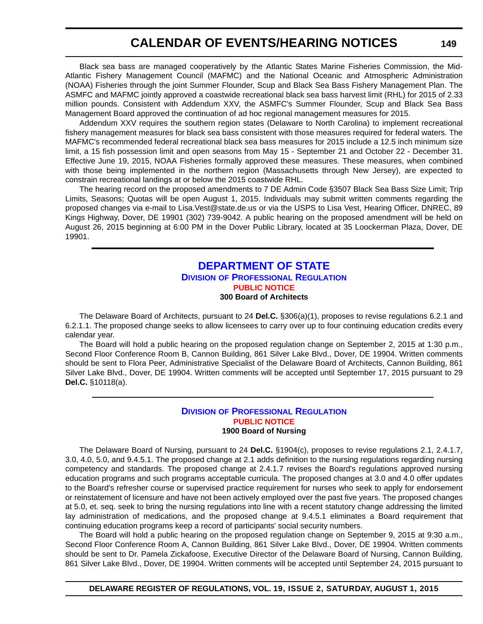<span id="page-65-0"></span>Black sea bass are managed cooperatively by the Atlantic States Marine Fisheries Commission, the Mid-Atlantic Fishery Management Council (MAFMC) and the National Oceanic and Atmospheric Administration (NOAA) Fisheries through the joint Summer Flounder, Scup and Black Sea Bass Fishery Management Plan. The ASMFC and MAFMC jointly approved a coastwide recreational black sea bass harvest limit (RHL) for 2015 of 2.33 million pounds. Consistent with Addendum XXV, the ASMFC's Summer Flounder, Scup and Black Sea Bass Management Board approved the continuation of ad hoc regional management measures for 2015.

Addendum XXV requires the southern region states (Delaware to North Carolina) to implement recreational fishery management measures for black sea bass consistent with those measures required for federal waters. The MAFMC's recommended federal recreational black sea bass measures for 2015 include a 12.5 inch minimum size limit, a 15 fish possession limit and open seasons from May 15 - September 21 and October 22 - December 31. Effective June 19, 2015, NOAA Fisheries formally approved these measures. These measures, when combined with those being implemented in the northern region (Massachusetts through New Jersey), are expected to constrain recreational landings at or below the 2015 coastwide RHL.

The hearing record on the proposed amendments to 7 DE Admin Code §3507 Black Sea Bass Size Limit; Trip Limits, Seasons; Quotas will be open August 1, 2015. Individuals may submit written comments regarding the proposed changes via e-mail to Lisa.Vest@state.de.us or via the USPS to Lisa Vest, Hearing Officer, DNREC, 89 Kings Highway, Dover, DE 19901 (302) 739-9042. A public hearing on the proposed amendment will be held on August 26, 2015 beginning at 6:00 PM in the Dover Public Library, located at 35 Loockerman Plaza, Dover, DE 19901.

#### **[DEPARTMENT OF STATE](http://dpr.delaware.gov/) DIVISION OF PROFESSIONAL REGULATION [PUBLIC NOTICE](#page-4-0) 300 Board of Architects**

The Delaware Board of Architects, pursuant to 24 **Del.C.** §306(a)(1), proposes to revise regulations 6.2.1 and 6.2.1.1. The proposed change seeks to allow licensees to carry over up to four continuing education credits every calendar year.

The Board will hold a public hearing on the proposed regulation change on September 2, 2015 at 1:30 p.m., Second Floor Conference Room B, Cannon Building, 861 Silver Lake Blvd., Dover, DE 19904. Written comments should be sent to Flora Peer, Administrative Specialist of the Delaware Board of Architects, Cannon Building, 861 Silver Lake Blvd., Dover, DE 19904. Written comments will be accepted until September 17, 2015 pursuant to 29 **Del.C.** §10118(a).

#### **DIVISION [OF PROFESSIONAL REGULATION](http://dpr.delaware.gov/) [PUBLIC NOTICE](#page-4-0) 1900 Board of Nursing**

The Delaware Board of Nursing, pursuant to 24 **Del.C.** §1904(c), proposes to revise regulations 2.1, 2.4.1.7, 3.0, 4.0, 5.0, and 9.4.5.1. The proposed change at 2.1 adds definition to the nursing regulations regarding nursing competency and standards. The proposed change at 2.4.1.7 revises the Board's regulations approved nursing education programs and such programs acceptable curricula. The proposed changes at 3.0 and 4.0 offer updates to the Board's refresher course or supervised practice requirement for nurses who seek to apply for endorsement or reinstatement of licensure and have not been actively employed over the past five years. The proposed changes at 5.0, et. seq. seek to bring the nursing regulations into line with a recent statutory change addressing the limited lay administration of medications, and the proposed change at 9.4.5.1 eliminates a Board requirement that continuing education programs keep a record of participants' social security numbers.

The Board will hold a public hearing on the proposed regulation change on September 9, 2015 at 9:30 a.m., Second Floor Conference Room A, Cannon Building, 861 Silver Lake Blvd., Dover, DE 19904. Written comments should be sent to Dr. Pamela Zickafoose, Executive Director of the Delaware Board of Nursing, Cannon Building, 861 Silver Lake Blvd., Dover, DE 19904. Written comments will be accepted until September 24, 2015 pursuant to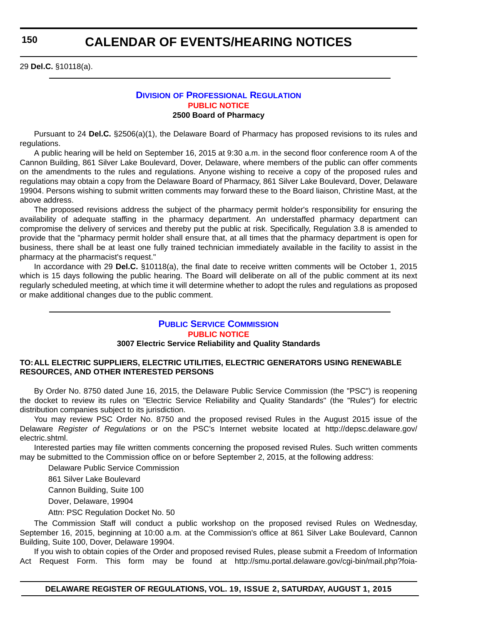**150**

### **CALENDAR OF EVENTS/HEARING NOTICES**

29 **Del.C.** §10118(a).

#### **DIVISION [OF PROFESSIONAL REGULATION](http://dpr.delaware.gov/) [PUBLIC NOTICE](#page-4-0) 2500 Board of Pharmacy**

Pursuant to 24 **Del.C.** §2506(a)(1), the Delaware Board of Pharmacy has proposed revisions to its rules and regulations.

A public hearing will be held on September 16, 2015 at 9:30 a.m. in the second floor conference room A of the Cannon Building, 861 Silver Lake Boulevard, Dover, Delaware, where members of the public can offer comments on the amendments to the rules and regulations. Anyone wishing to receive a copy of the proposed rules and regulations may obtain a copy from the Delaware Board of Pharmacy, 861 Silver Lake Boulevard, Dover, Delaware 19904. Persons wishing to submit written comments may forward these to the Board liaison, Christine Mast, at the above address.

The proposed revisions address the subject of the pharmacy permit holder's responsibility for ensuring the availability of adequate staffing in the pharmacy department. An understaffed pharmacy department can compromise the delivery of services and thereby put the public at risk. Specifically, Regulation 3.8 is amended to provide that the "pharmacy permit holder shall ensure that, at all times that the pharmacy department is open for business, there shall be at least one fully trained technician immediately available in the facility to assist in the pharmacy at the pharmacist's request."

In accordance with 29 **Del.C.** §10118(a), the final date to receive written comments will be October 1, 2015 which is 15 days following the public hearing. The Board will deliberate on all of the public comment at its next regularly scheduled meeting, at which time it will determine whether to adopt the rules and regulations as proposed or make additional changes due to the public comment.

### **[PUBLIC SERVICE COMMISSION](http://depsc.delaware.gov/) [PUBLIC NOTICE](#page-4-0)**

#### **3007 Electric Service Reliability and Quality Standards**

#### **TO:ALL ELECTRIC SUPPLIERS, ELECTRIC UTILITIES, ELECTRIC GENERATORS USING RENEWABLE RESOURCES, AND OTHER INTERESTED PERSONS**

By Order No. 8750 dated June 16, 2015, the Delaware Public Service Commission (the "PSC") is reopening the docket to review its rules on "Electric Service Reliability and Quality Standards" (the "Rules") for electric distribution companies subject to its jurisdiction.

You may review PSC Order No. 8750 and the proposed revised Rules in the August 2015 issue of the Delaware *Register of Regulations* or on the PSC's Internet website located at http://depsc.delaware.gov/ electric.shtml.

Interested parties may file written comments concerning the proposed revised Rules. Such written comments may be submitted to the Commission office on or before September 2, 2015, at the following address:

Delaware Public Service Commission

861 Silver Lake Boulevard

Cannon Building, Suite 100

Dover, Delaware, 19904

Attn: PSC Regulation Docket No. 50

The Commission Staff will conduct a public workshop on the proposed revised Rules on Wednesday, September 16, 2015, beginning at 10:00 a.m. at the Commission's office at 861 Silver Lake Boulevard, Cannon Building, Suite 100, Dover, Delaware 19904.

If you wish to obtain copies of the Order and proposed revised Rules, please submit a Freedom of Information Act Request Form. This form may be found at http://smu.portal.delaware.gov/cgi-bin/mail.php?foia-